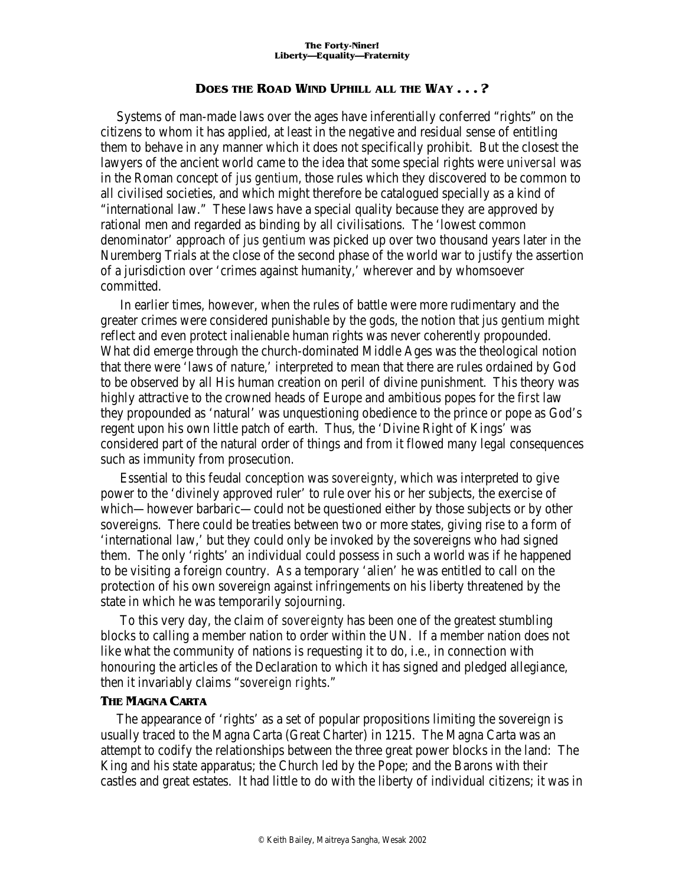#### The Forty-Niner! Liberty—Equality—Fraternity

### DOES THE ROAD WIND UPHILL ALL THE WAY . . . ?

Systems of man-made laws over the ages have inferentially conferred "rights" on the citizens to whom it has applied, at least in the negative and residual sense of entitling them to behave in any manner which it does not specifically prohibit. But the closest the lawyers of the ancient world came to the idea that some special rights were *universal* was in the Roman concept of *jus gentium*, those rules which they discovered to be common to all civilised societies, and which might therefore be catalogued specially as a kind of "international law." These laws have a special quality because they are approved by rational men and regarded as binding by all civilisations. The 'lowest common denominator' approach of *jus gentium* was picked up over two thousand years later in the Nuremberg Trials at the close of the second phase of the world war to justify the assertion of a jurisdiction over 'crimes against humanity,' wherever and by whomsoever committed.

In earlier times, however, when the rules of battle were more rudimentary and the greater crimes were considered punishable by the gods, the notion that *jus gentium* might reflect and even protect inalienable human rights was never coherently propounded. What did emerge through the church-dominated Middle Ages was the theological notion that there were 'laws of nature,' interpreted to mean that there are rules ordained by God to be observed by all His human creation on peril of divine punishment. This theory was highly attractive to the crowned heads of Europe and ambitious popes for the *first* law they propounded as 'natural' was unquestioning obedience to the prince or pope as God's regent upon his own little patch of earth. Thus, the 'Divine Right of Kings' was considered part of the natural order of things and from it flowed many legal consequences such as immunity from prosecution.

Essential to this feudal conception was *sovereignty*, which was interpreted to give power to the 'divinely approved ruler' to rule over his or her subjects, the exercise of which—however barbaric—could not be questioned either by those subjects or by other sovereigns. There could be treaties between two or more states, giving rise to a form of 'international law,' but they could only be invoked by the sovereigns who had signed them. The only 'rights' an individual could possess in such a world was if he happened to be visiting a foreign country. As a temporary 'alien' he was entitled to call on the protection of his own sovereign against infringements on his liberty threatened by the state in which he was temporarily sojourning.

To this very day, the claim of *sovereignty* has been one of the greatest stumbling blocks to calling a member nation to order within the UN. If a member nation does not like what the community of nations is requesting it to do, i.e., in connection with honouring the articles of the Declaration to which it has signed and pledged allegiance, then it invariably claims "*sovereign rights*."

## THE MAGNA CARTA

The appearance of 'rights' as a set of popular propositions limiting the sovereign is usually traced to the Magna Carta (Great Charter) in 1215. The Magna Carta was an attempt to codify the relationships between the three great power blocks in the land: The King and his state apparatus; the Church led by the Pope; and the Barons with their castles and great estates. It had little to do with the liberty of individual citizens; it was in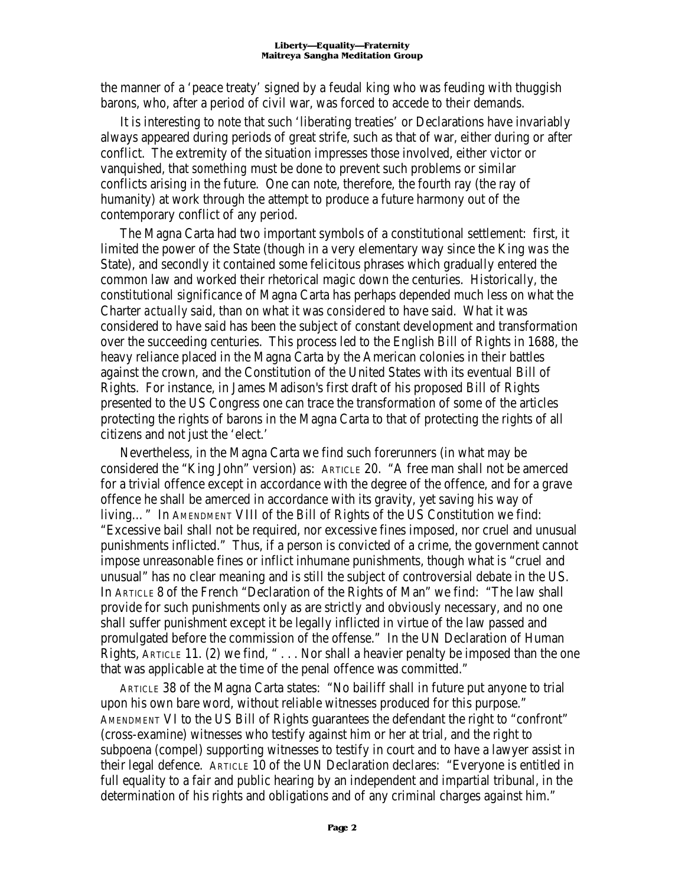the manner of a 'peace treaty' signed by a feudal king who was feuding with thuggish barons, who, after a period of civil war, was forced to accede to their demands.

It is interesting to note that such 'liberating treaties' or Declarations have invariably always appeared during periods of great strife, such as that of war, either during or after conflict. The extremity of the situation impresses those involved, either victor or vanquished, that *something* must be done to prevent such problems or similar conflicts arising in the future. One can note, therefore, the fourth ray (the ray of humanity) at work through the attempt to produce a future harmony out of the contemporary conflict of any period.

The Magna Carta had two important symbols of a constitutional settlement: first, it limited the power of the State (though in a very elementary way since the King *was* the State), and secondly it contained some felicitous phrases which gradually entered the common law and worked their rhetorical magic down the centuries. Historically, the constitutional significance of Magna Carta has perhaps depended much less on what the Charter *actually* said, than on what it was *considered* to have said. What it was considered to have said has been the subject of constant development and transformation over the succeeding centuries. This process led to the English Bill of Rights in 1688, the heavy reliance placed in the Magna Carta by the American colonies in their battles against the crown, and the Constitution of the United States with its eventual Bill of Rights. For instance, in James Madison's first draft of his proposed Bill of Rights presented to the US Congress one can trace the transformation of some of the articles protecting the rights of barons in the Magna Carta to that of protecting the rights of all citizens and not just the 'elect.'

Nevertheless, in the Magna Carta we find such forerunners (in what may be considered the "King John" version) as: ARTICLE 20. "A free man shall not be amerced for a trivial offence except in accordance with the degree of the offence, and for a grave offence he shall be amerced in accordance with its gravity, yet saving his way of living…" In AMENDMENT VIII of the Bill of Rights of the US Constitution we find: "Excessive bail shall not be required, nor excessive fines imposed, nor cruel and unusual punishments inflicted." Thus, if a person is convicted of a crime, the government cannot impose unreasonable fines or inflict inhumane punishments, though what is "cruel and unusual" has no clear meaning and is still the subject of controversial debate in the US. In ARTICLE 8 of the French "Declaration of the Rights of Man" we find: "The law shall provide for such punishments only as are strictly and obviously necessary, and no one shall suffer punishment except it be legally inflicted in virtue of the law passed and promulgated before the commission of the offense." In the UN Declaration of Human Rights, ARTICLE 11. (2) we find, " $\dots$  Nor shall a heavier penalty be imposed than the one that was applicable at the time of the penal offence was committed."

ARTICLE 38 of the Magna Carta states: "No bailiff shall in future put anyone to trial upon his own bare word, without reliable witnesses produced for this purpose." AMENDMENT VI to the US Bill of Rights guarantees the defendant the right to "confront" (cross-examine) witnesses who testify against him or her at trial, and the right to subpoena (compel) supporting witnesses to testify in court and to have a lawyer assist in their legal defence. ARTICLE 10 of the UN Declaration declares: "Everyone is entitled in full equality to a fair and public hearing by an independent and impartial tribunal, in the determination of his rights and obligations and of any criminal charges against him."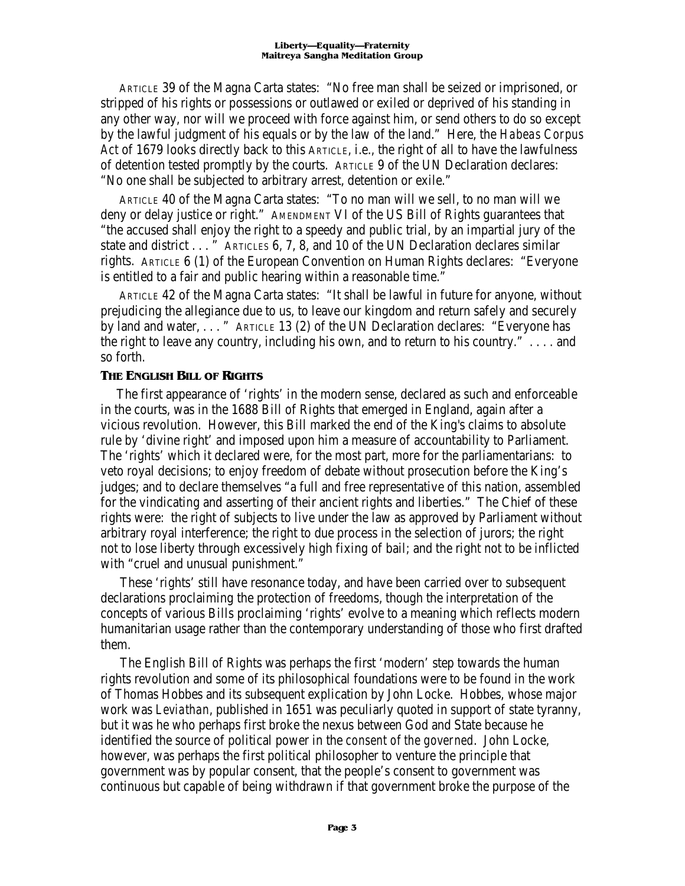ARTICLE 39 of the Magna Carta states: "No free man shall be seized or imprisoned, or stripped of his rights or possessions or outlawed or exiled or deprived of his standing in any other way, nor will we proceed with force against him, or send others to do so except by the lawful judgment of his equals or by the law of the land." Here, the *Habeas Corpus Act* of 1679 looks directly back to this ARTICLE, i.e., the right of all to have the lawfulness of detention tested promptly by the courts. ARTICLE 9 of the UN Declaration declares: "No one shall be subjected to arbitrary arrest, detention or exile."

ARTICLE 40 of the Magna Carta states: "To no man will we sell, to no man will we deny or delay justice or right." AMENDMENT VI of the US Bill of Rights guarantees that "the accused shall enjoy the right to a speedy and public trial, by an impartial jury of the state and district . . . " ARTICLES 6, 7, 8, and 10 of the UN Declaration declares similar rights. ARTICLE 6 (1) of the European Convention on Human Rights declares: "Everyone is entitled to a fair and public hearing within a reasonable time."

ARTICLE 42 of the Magna Carta states: "It shall be lawful in future for anyone, without prejudicing the allegiance due to us, to leave our kingdom and return safely and securely by land and water, . . . " ARTICLE 13 (2) of the UN Declaration declares: "Everyone has the right to leave any country, including his own, and to return to his country." . . . . and so forth.

# THE ENGLISH BILL OF RIGHTS

The first appearance of 'rights' in the modern sense, declared as such and enforceable in the courts, was in the 1688 Bill of Rights that emerged in England, again after a vicious revolution. However, this Bill marked the end of the King's claims to absolute rule by 'divine right' and imposed upon him a measure of accountability to Parliament. The 'rights' which it declared were, for the most part, more for the parliamentarians: to veto royal decisions; to enjoy freedom of debate without prosecution before the King's judges; and to declare themselves "a full and free representative of this nation, assembled for the vindicating and asserting of their ancient rights and liberties." The Chief of these rights were: the right of subjects to live under the law as approved by Parliament without arbitrary royal interference; the right to due process in the selection of jurors; the right not to lose liberty through excessively high fixing of bail; and the right not to be inflicted with "cruel and unusual punishment."

These 'rights' still have resonance today, and have been carried over to subsequent declarations proclaiming the protection of freedoms, though the interpretation of the concepts of various Bills proclaiming 'rights' evolve to a meaning which reflects modern humanitarian usage rather than the contemporary understanding of those who first drafted them.

The English Bill of Rights was perhaps the first 'modern' step towards the human rights revolution and some of its philosophical foundations were to be found in the work of Thomas Hobbes and its subsequent explication by John Locke. Hobbes, whose major work was *Leviathan*, published in 1651 was peculiarly quoted in support of state tyranny, but it was he who perhaps first broke the nexus between God and State because he identified the source of political power in the *consent of the governed*. John Locke, however, was perhaps the first political philosopher to venture the principle that government was by popular consent, that the people's consent to government was continuous but capable of being withdrawn if that government broke the purpose of the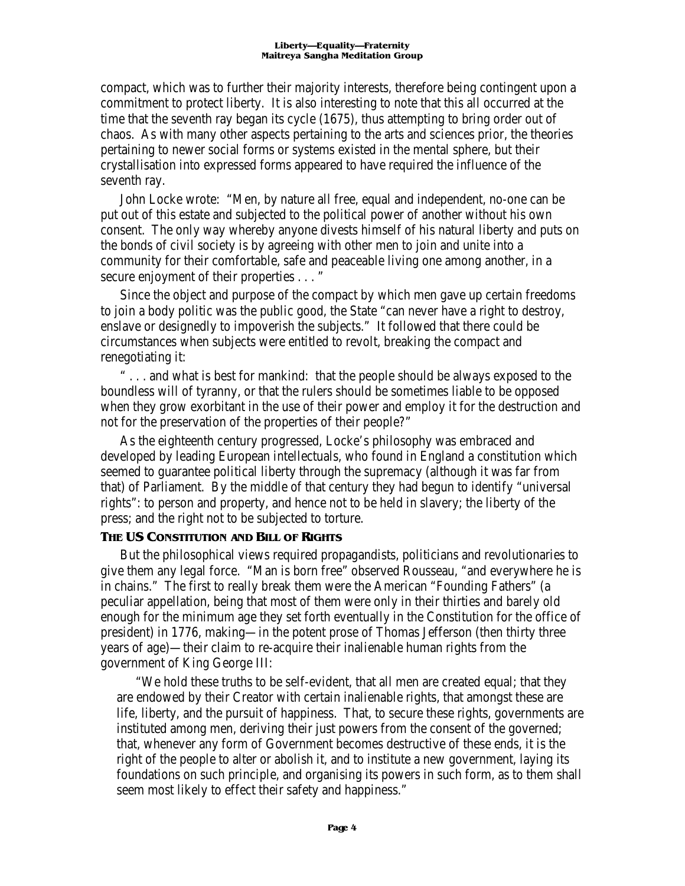compact, which was to further their majority interests, therefore being contingent upon a commitment to protect liberty. It is also interesting to note that this all occurred at the time that the seventh ray began its cycle (1675), thus attempting to bring order out of chaos. As with many other aspects pertaining to the arts and sciences prior, the theories pertaining to newer social forms or systems existed in the mental sphere, but their crystallisation into expressed forms appeared to have required the influence of the seventh ray.

John Locke wrote: "Men, by nature all free, equal and independent, no-one can be put out of this estate and subjected to the political power of another without his own consent. The only way whereby anyone divests himself of his natural liberty and puts on the bonds of civil society is by agreeing with other men to join and unite into a community for their comfortable, safe and peaceable living one among another, in a secure enjoyment of their properties . . . "

Since the object and purpose of the compact by which men gave up certain freedoms to join a body politic was the public good, the State "can never have a right to destroy, enslave or designedly to impoverish the subjects." It followed that there could be circumstances when subjects were entitled to revolt, breaking the compact and renegotiating it:

" . . . and what is best for mankind: that the people should be always exposed to the boundless will of tyranny, or that the rulers should be sometimes liable to be opposed when they grow exorbitant in the use of their power and employ it for the destruction and not for the preservation of the properties of their people?"

As the eighteenth century progressed, Locke's philosophy was embraced and developed by leading European intellectuals, who found in England a constitution which seemed to guarantee political liberty through the supremacy (although it was far from that) of Parliament. By the middle of that century they had begun to identify "universal rights": to person and property, and hence not to be held in slavery; the liberty of the press; and the right not to be subjected to torture.

# THE US CONSTITUTION AND BILL OF RIGHTS

But the philosophical views required propagandists, politicians and revolutionaries to give them any legal force. "Man is born free" observed Rousseau, "and everywhere he is in chains." The first to really break them were the American "Founding Fathers" (a peculiar appellation, being that most of them were only in their thirties and barely old enough for the minimum age they set forth eventually in the Constitution for the office of president) in 1776, making—in the potent prose of Thomas Jefferson (then thirty three years of age)—their claim to re-acquire their inalienable human rights from the government of King George III:

"We hold these truths to be self-evident, that all men are created equal; that they are endowed by their Creator with certain inalienable rights, that amongst these are life, liberty, and the pursuit of happiness. That, to secure these rights, governments are instituted among men, deriving their just powers from the consent of the governed; that, whenever any form of Government becomes destructive of these ends, it is the right of the people to alter or abolish it, and to institute a new government, laying its foundations on such principle, and organising its powers in such form, as to them shall seem most likely to effect their safety and happiness."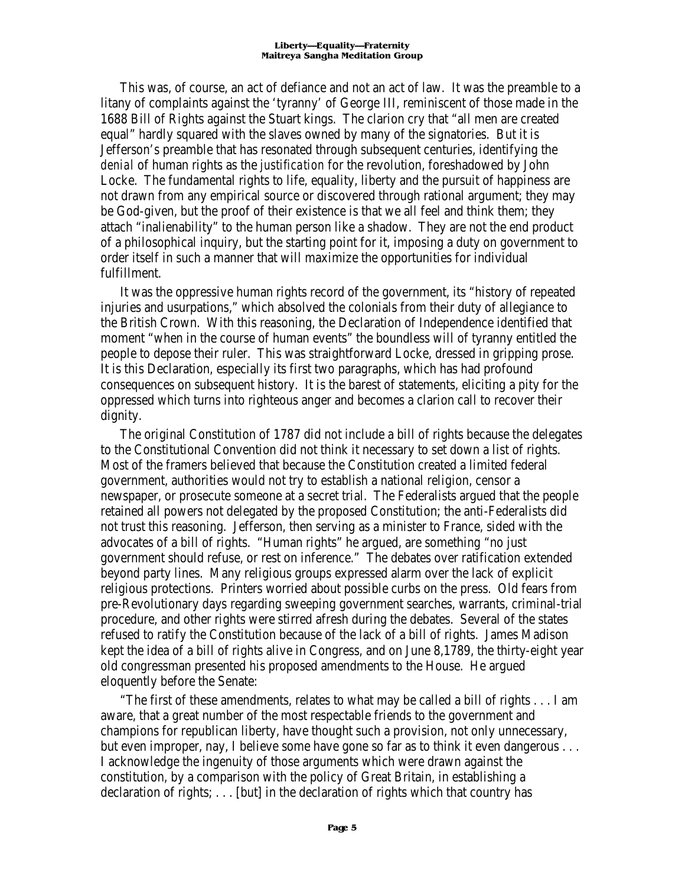This was, of course, an act of defiance and not an act of law. It was the preamble to a litany of complaints against the 'tyranny' of George III, reminiscent of those made in the 1688 Bill of Rights against the Stuart kings. The clarion cry that "all men are created equal" hardly squared with the slaves owned by many of the signatories. But it is Jefferson's preamble that has resonated through subsequent centuries, identifying the *denial* of human rights as the *justification* for the revolution, foreshadowed by John Locke. The fundamental rights to life, equality, liberty and the pursuit of happiness are not drawn from any empirical source or discovered through rational argument; they may be God-given, but the proof of their existence is that we all feel and think them; they attach "inalienability" to the human person like a shadow. They are not the end product of a philosophical inquiry, but the starting point for it, imposing a duty on government to order itself in such a manner that will maximize the opportunities for individual fulfillment.

It was the oppressive human rights record of the government, its "history of repeated injuries and usurpations," which absolved the colonials from their duty of allegiance to the British Crown. With this reasoning, the Declaration of Independence identified that moment "when in the course of human events" the boundless will of tyranny entitled the people to depose their ruler. This was straightforward Locke, dressed in gripping prose. It is this Declaration, especially its first two paragraphs, which has had profound consequences on subsequent history. It is the barest of statements, eliciting a pity for the oppressed which turns into righteous anger and becomes a clarion call to recover their dignity.

The original Constitution of 1787 did not include a bill of rights because the delegates to the Constitutional Convention did not think it necessary to set down a list of rights. Most of the framers believed that because the Constitution created a limited federal government, authorities would not try to establish a national religion, censor a newspaper, or prosecute someone at a secret trial. The Federalists argued that the people retained all powers not delegated by the proposed Constitution; the anti-Federalists did not trust this reasoning. Jefferson, then serving as a minister to France, sided with the advocates of a bill of rights. "Human rights" he argued, are something "no just government should refuse, or rest on inference." The debates over ratification extended beyond party lines. Many religious groups expressed alarm over the lack of explicit religious protections. Printers worried about possible curbs on the press. Old fears from pre-Revolutionary days regarding sweeping government searches, warrants, criminal-trial procedure, and other rights were stirred afresh during the debates. Several of the states refused to ratify the Constitution because of the lack of a bill of rights. James Madison kept the idea of a bill of rights alive in Congress, and on June 8,1789, the thirty-eight year old congressman presented his proposed amendments to the House. He argued eloquently before the Senate:

"The first of these amendments, relates to what may be called a bill of rights . . . I am aware, that a great number of the most respectable friends to the government and champions for republican liberty, have thought such a provision, not only unnecessary, but even improper, nay, I believe some have gone so far as to think it even dangerous . . . I acknowledge the ingenuity of those arguments which were drawn against the constitution, by a comparison with the policy of Great Britain, in establishing a declaration of rights; . . . [but] in the declaration of rights which that country has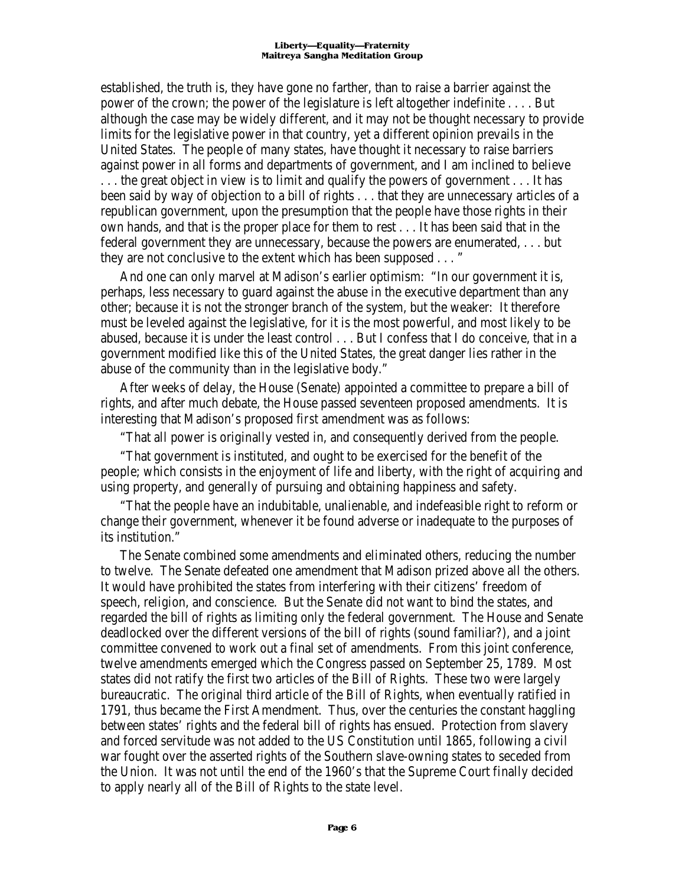established, the truth is, they have gone no farther, than to raise a barrier against the power of the crown; the power of the legislature is left altogether indefinite . . . . But although the case may be widely different, and it may not be thought necessary to provide limits for the legislative power in that country, yet a different opinion prevails in the United States. The people of many states, have thought it necessary to raise barriers against power in all forms and departments of government, and I am inclined to believe . . . the great object in view is to limit and qualify the powers of government . . . It has been said by way of objection to a bill of rights . . . that they are unnecessary articles of a republican government, upon the presumption that the people have those rights in their own hands, and that is the proper place for them to rest . . . It has been said that in the federal government they are unnecessary, because the powers are enumerated, . . . but they are not conclusive to the extent which has been supposed . . . "

And one can only marvel at Madison's earlier optimism: "In our government it is, perhaps, less necessary to guard against the abuse in the executive department than any other; because it is not the stronger branch of the system, but the weaker: It therefore must be leveled against the legislative, for it is the most powerful, and most likely to be abused, because it is under the least control . . . But I confess that I do conceive, that in a government modified like this of the United States, the great danger lies rather in the abuse of the community than in the legislative body."

After weeks of delay, the House (Senate) appointed a committee to prepare a bill of rights, and after much debate, the House passed seventeen proposed amendments. It is interesting that Madison's proposed *first* amendment was as follows:

"That all power is originally vested in, and consequently derived from the people.

"That government is instituted, and ought to be exercised for the benefit of the people; which consists in the enjoyment of life and liberty, with the right of acquiring and using property, and generally of pursuing and obtaining happiness and safety.

"That the people have an indubitable, unalienable, and indefeasible right to reform or change their government, whenever it be found adverse or inadequate to the purposes of its institution."

The Senate combined some amendments and eliminated others, reducing the number to twelve. The Senate defeated one amendment that Madison prized above all the others. It would have prohibited the states from interfering with their citizens' freedom of speech, religion, and conscience. But the Senate did not want to bind the states, and regarded the bill of rights as limiting only the federal government. The House and Senate deadlocked over the different versions of the bill of rights (sound familiar?), and a joint committee convened to work out a final set of amendments. From this joint conference, twelve amendments emerged which the Congress passed on September 25, 1789. Most states did not ratify the first two articles of the Bill of Rights. These two were largely bureaucratic. The original third article of the Bill of Rights, when eventually ratified in 1791, thus became the First Amendment. Thus, over the centuries the constant haggling between states' rights and the federal bill of rights has ensued. Protection from slavery and forced servitude was not added to the US Constitution until 1865, following a civil war fought over the asserted rights of the Southern slave-owning states to seceded from the Union. It was not until the end of the 1960's that the Supreme Court finally decided to apply nearly all of the Bill of Rights to the state level.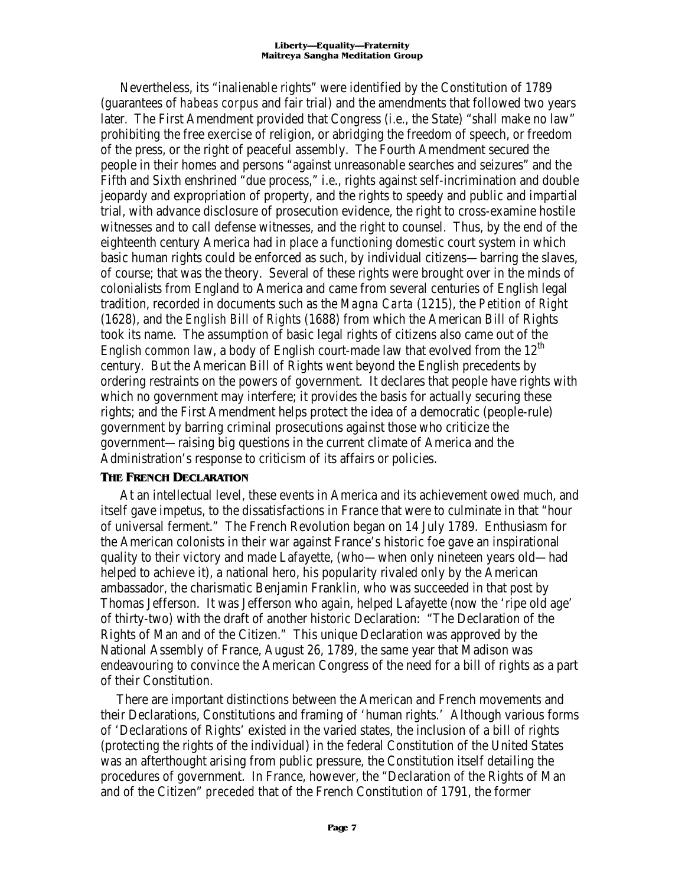Nevertheless, its "inalienable rights" were identified by the Constitution of 1789 (guarantees of *habeas corpus* and fair trial) and the amendments that followed two years later. The First Amendment provided that Congress (i.e., the State) "shall make no law" prohibiting the free exercise of religion, or abridging the freedom of speech, or freedom of the press, or the right of peaceful assembly. The Fourth Amendment secured the people in their homes and persons "against unreasonable searches and seizures" and the Fifth and Sixth enshrined "due process," i.e., rights against self-incrimination and double jeopardy and expropriation of property, and the rights to speedy and public and impartial trial, with advance disclosure of prosecution evidence, the right to cross-examine hostile witnesses and to call defense witnesses, and the right to counsel. Thus, by the end of the eighteenth century America had in place a functioning domestic court system in which basic human rights could be enforced as such, by individual citizens—barring the slaves, of course; that was the theory. Several of these rights were brought over in the minds of colonialists from England to America and came from several centuries of English legal tradition, recorded in documents such as the *Magna Carta* (1215), the *Petition of Right* (1628), and the *English Bill of Rights* (1688) from which the American Bill of Rights took its name. The assumption of basic legal rights of citizens also came out of the English *common law*, a body of English court-made law that evolved from the  $12<sup>th</sup>$ century. But the American Bill of Rights went beyond the English precedents by ordering restraints on the powers of government. It declares that people have rights with which no government may interfere; it provides the basis for actually securing these rights; and the First Amendment helps protect the idea of a democratic (people-rule) government by barring criminal prosecutions against those who criticize the government—raising big questions in the current climate of America and the Administration's response to criticism of its affairs or policies.

## THE FRENCH DECLARATION

At an intellectual level, these events in America and its achievement owed much, and itself gave impetus, to the dissatisfactions in France that were to culminate in that "hour of universal ferment." The French Revolution began on 14 July 1789. Enthusiasm for the American colonists in their war against France's historic foe gave an inspirational quality to their victory and made Lafayette, (who—when only nineteen years old—had helped to achieve it), a national hero, his popularity rivaled only by the American ambassador, the charismatic Benjamin Franklin, who was succeeded in that post by Thomas Jefferson. It was Jefferson who again, helped Lafayette (now the 'ripe old age' of thirty-two) with the draft of another historic Declaration: "The Declaration of the Rights of Man and of the Citizen." This unique Declaration was approved by the National Assembly of France, August 26, 1789, the same year that Madison was endeavouring to convince the American Congress of the need for a bill of rights as a part of their Constitution.

There are important distinctions between the American and French movements and their Declarations, Constitutions and framing of 'human rights.' Although various forms of 'Declarations of Rights' existed in the varied states, the inclusion of a bill of rights (protecting the rights of the individual) in the federal Constitution of the United States was an afterthought arising from public pressure, the Constitution itself detailing the procedures of government. In France, however, the "Declaration of the Rights of Man and of the Citizen" *preceded* that of the French Constitution of 1791, the former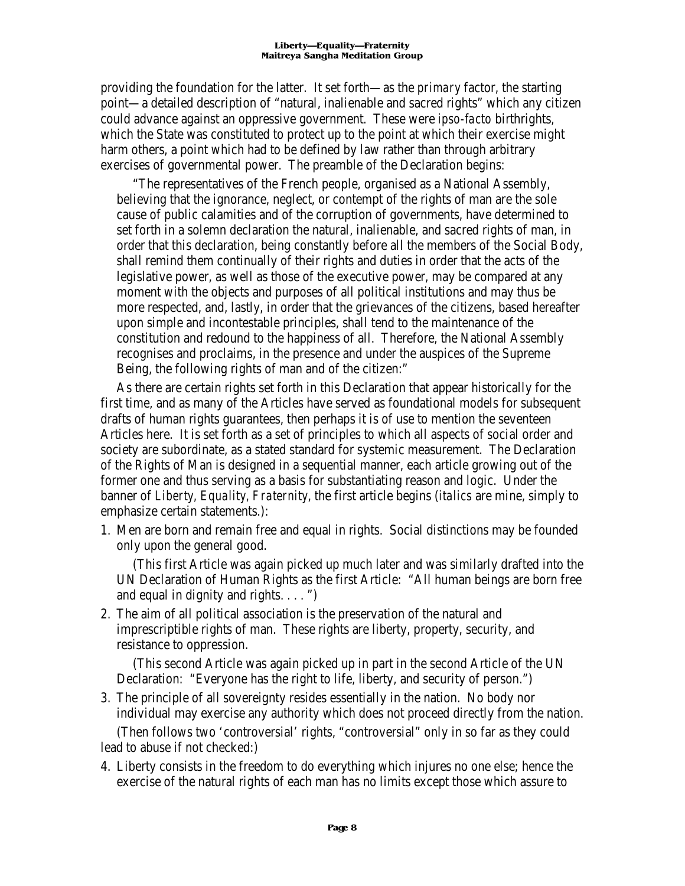providing the foundation for the latter. It set forth—as the *primary* factor, the starting point—a detailed description of "natural, inalienable and sacred rights" which any citizen could advance against an oppressive government. These were *ipso-facto* birthrights, which the State was constituted to protect up to the point at which their exercise might harm others, a point which had to be defined by law rather than through arbitrary exercises of governmental power. The preamble of the Declaration begins:

"The representatives of the French people, organised as a National Assembly, believing that the ignorance, neglect, or contempt of the rights of man are the sole cause of public calamities and of the corruption of governments, have determined to set forth in a solemn declaration the natural, inalienable, and sacred rights of man, in order that this declaration, being constantly before all the members of the Social Body, shall remind them continually of their rights and duties in order that the acts of the legislative power, as well as those of the executive power, may be compared at any moment with the objects and purposes of all political institutions and may thus be more respected, and, lastly, in order that the grievances of the citizens, based hereafter upon simple and incontestable principles, shall tend to the maintenance of the constitution and redound to the happiness of all. Therefore, the National Assembly recognises and proclaims, in the presence and under the auspices of the Supreme Being, the following rights of man and of the citizen:"

As there are certain rights set forth in this Declaration that appear historically for the first time, and as many of the Articles have served as foundational models for subsequent drafts of human rights guarantees, then perhaps it is of use to mention the seventeen Articles here. It is set forth as a set of principles to which all aspects of social order and society are subordinate, as a stated standard for systemic measurement. The Declaration of the Rights of Man is designed in a sequential manner, each article growing out of the former one and thus serving as a basis for substantiating reason and logic. Under the banner of *Liberty, Equality, Fraternity*, the first article begins (*italics* are mine, simply to emphasize certain statements.):

1. Men are born and remain free and equal in rights. Social distinctions may be founded only upon the general good.

(This first Article was again picked up much later and was similarly drafted into the UN Declaration of Human Rights as the first Article: "All human beings are born free and equal in dignity and rights. . . . ")

2. The aim of all political association is the preservation of the natural and imprescriptible rights of man. These rights are liberty, property, security, and resistance to oppression.

(This second Article was again picked up in part in the second Article of the UN Declaration: "Everyone has the right to life, liberty, and security of person.")

3. The principle of all sovereignty resides essentially in the nation. No body nor individual may exercise any authority which does not proceed directly from the nation. (Then follows two 'controversial' rights, "controversial" only in so far as they could lead to abuse if not checked:)

4. Liberty consists in the freedom to do everything which injures no one else; hence the exercise of the natural rights of each man has no limits except those which assure to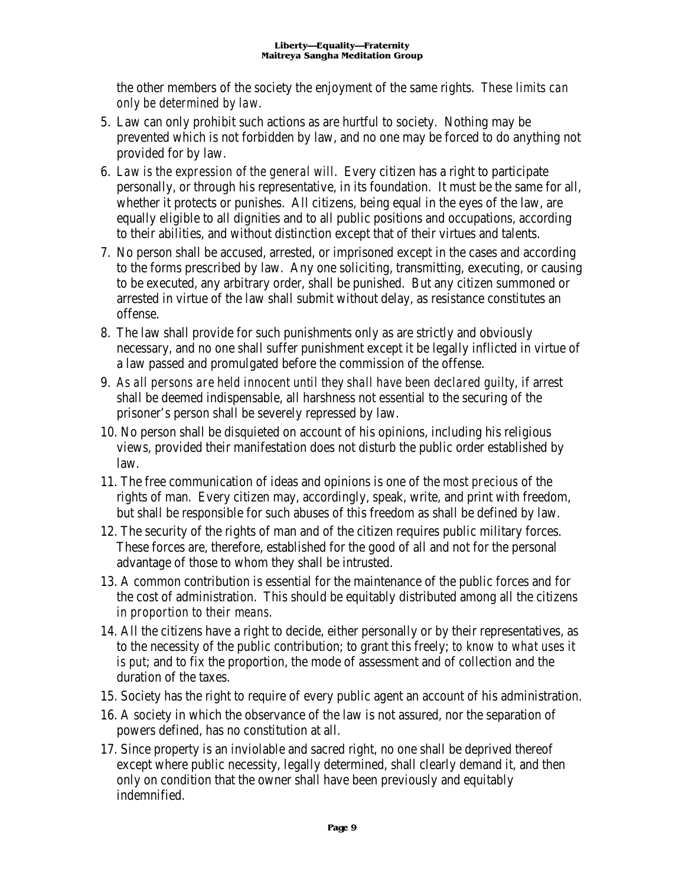the other members of the society the enjoyment of the same rights. *These limits can only be determined by law*.

- 5. Law can only prohibit such actions as are hurtful to society. Nothing may be prevented which is not forbidden by law, and no one may be forced to do anything not provided for by law.
- 6. *Law is the expression of the general will*. Every citizen has a right to participate personally, or through his representative, in its foundation. It must be the same for all, whether it protects or punishes. All citizens, being equal in the eyes of the law, are equally eligible to all dignities and to all public positions and occupations, according to their abilities, and without distinction except that of their virtues and talents.
- 7. No person shall be accused, arrested, or imprisoned except in the cases and according to the forms prescribed by law. Any one soliciting, transmitting, executing, or causing to be executed, any arbitrary order, shall be punished. But any citizen summoned or arrested in virtue of the law shall submit without delay, as resistance constitutes an offense.
- 8. The law shall provide for such punishments only as are strictly and obviously necessary, and no one shall suffer punishment except it be legally inflicted in virtue of a law passed and promulgated before the commission of the offense.
- 9. *As all persons are held innocent until they shall have been declared guilty,* if arrest shall be deemed indispensable, all harshness not essential to the securing of the prisoner's person shall be severely repressed by law.
- 10. No person shall be disquieted on account of his opinions, including his religious views, provided their manifestation does not disturb the public order established by law.
- 11. The free communication of ideas and opinions is one of the *most precious* of the rights of man. Every citizen may, accordingly, speak, write, and print with freedom, but shall be responsible for such abuses of this freedom as shall be defined by law.
- 12. The security of the rights of man and of the citizen requires public military forces. These forces are, therefore, established for the good of all and not for the personal advantage of those to whom they shall be intrusted.
- 13. A common contribution is essential for the maintenance of the public forces and for the cost of administration. This should be equitably distributed among all the citizens *in proportion to their means*.
- 14. All the citizens have a right to decide, either personally or by their representatives, as to the necessity of the public contribution; to grant this freely; *to know to what uses it is put*; and to fix the proportion, the mode of assessment and of collection and the duration of the taxes.
- 15. Society has the right to require of every public agent an account of his administration.
- 16. A society in which the observance of the law is not assured, nor the separation of powers defined, has no constitution at all.
- 17. Since property is an inviolable and sacred right, no one shall be deprived thereof except where public necessity, legally determined, shall clearly demand it, and then only on condition that the owner shall have been previously and equitably indemnified.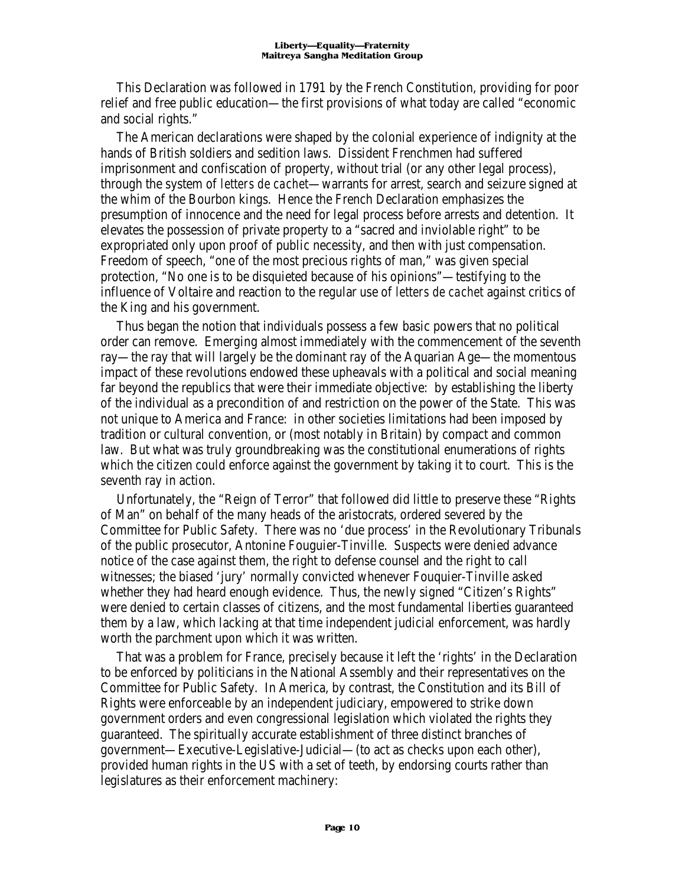This Declaration was followed in 1791 by the French Constitution, providing for poor relief and free public education—the first provisions of what today are called "economic and social rights."

The American declarations were shaped by the colonial experience of indignity at the hands of British soldiers and sedition laws. Dissident Frenchmen had suffered imprisonment and confiscation of property, without trial (or any other legal process), through the system of *letters de cachet*—warrants for arrest, search and seizure signed at the whim of the Bourbon kings. Hence the French Declaration emphasizes the presumption of innocence and the need for legal process before arrests and detention. It elevates the possession of private property to a "sacred and inviolable right" to be expropriated only upon proof of public necessity, and then with just compensation. Freedom of speech, "one of the most precious rights of man," was given special protection, "No one is to be disquieted because of his opinions"—testifying to the influence of Voltaire and reaction to the regular use of *letters de cachet* against critics of the King and his government.

Thus began the notion that individuals possess a few basic powers that no political order can remove. Emerging almost immediately with the commencement of the seventh ray—the ray that will largely be the dominant ray of the Aquarian Age—the momentous impact of these revolutions endowed these upheavals with a political and social meaning far beyond the republics that were their immediate objective: by establishing the liberty of the individual as a precondition of and restriction on the power of the State. This was not unique to America and France: in other societies limitations had been imposed by tradition or cultural convention, or (most notably in Britain) by compact and common law. But what was truly groundbreaking was the constitutional enumerations of rights which the citizen could enforce against the government by taking it to court. This is the seventh ray in action.

Unfortunately, the "Reign of Terror" that followed did little to preserve these "Rights of Man" on behalf of the many heads of the aristocrats, ordered severed by the Committee for Public Safety. There was no 'due process' in the Revolutionary Tribunals of the public prosecutor, Antonine Fouguier-Tinville. Suspects were denied advance notice of the case against them, the right to defense counsel and the right to call witnesses; the biased 'jury' normally convicted whenever Fouquier-Tinville asked whether they had heard enough evidence. Thus, the newly signed "Citizen's Rights" were denied to certain classes of citizens, and the most fundamental liberties guaranteed them by a law, which lacking at that time independent judicial enforcement, was hardly worth the parchment upon which it was written.

That was a problem for France, precisely because it left the 'rights' in the Declaration to be enforced by politicians in the National Assembly and their representatives on the Committee for Public Safety. In America, by contrast, the Constitution and its Bill of Rights were enforceable by an independent judiciary, empowered to strike down government orders and even congressional legislation which violated the rights they guaranteed. The spiritually accurate establishment of three distinct branches of government—Executive-Legislative-Judicial—(to act as checks upon each other), provided human rights in the US with a set of teeth, by endorsing courts rather than legislatures as their enforcement machinery: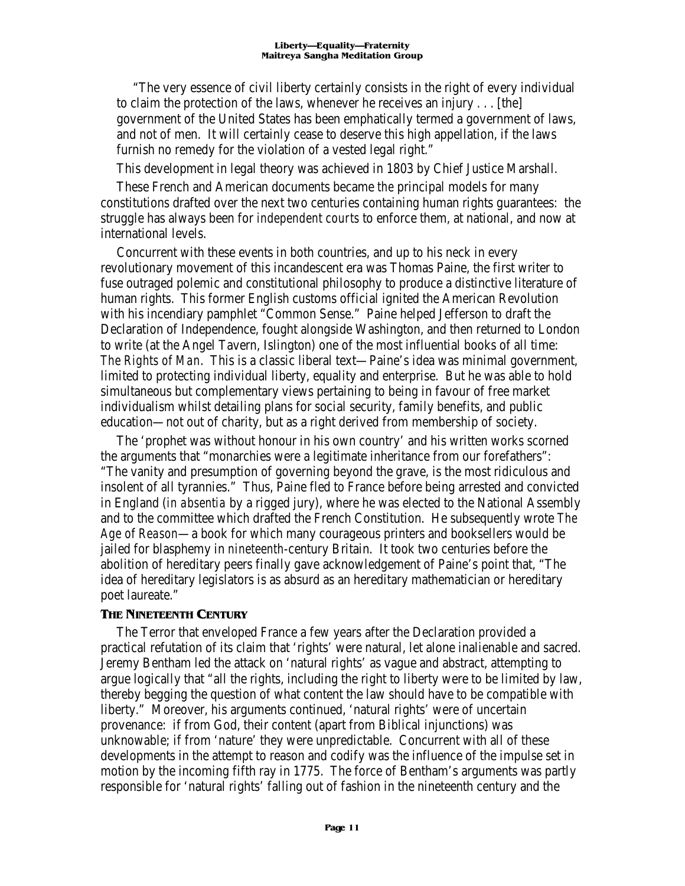"The very essence of civil liberty certainly consists in the right of every individual to claim the protection of the laws, whenever he receives an injury . . . [the] government of the United States has been emphatically termed a government of laws, and not of men. It will certainly cease to deserve this high appellation, if the laws furnish no remedy for the violation of a vested legal right."

This development in legal theory was achieved in 1803 by Chief Justice Marshall.

These French and American documents became *the* principal models for many constitutions drafted over the next two centuries containing human rights guarantees: the struggle has always been for *independent courts* to enforce them, at national, and now at international levels.

Concurrent with these events in both countries, and up to his neck in every revolutionary movement of this incandescent era was Thomas Paine, the first writer to fuse outraged polemic and constitutional philosophy to produce a distinctive literature of human rights. This former English customs official ignited the American Revolution with his incendiary pamphlet "Common Sense." Paine helped Jefferson to draft the Declaration of Independence, fought alongside Washington, and then returned to London to write (at the Angel Tavern, Islington) one of the most influential books of all time: *The Rights of Man*. This is a classic liberal text—Paine's idea was minimal government, limited to protecting individual liberty, equality and enterprise. But he was able to hold simultaneous but complementary views pertaining to being in favour of free market individualism whilst detailing plans for social security, family benefits, and public education—not out of charity, but as a right derived from membership of society.

The 'prophet was without honour in his own country' and his written works scorned the arguments that "monarchies were a legitimate inheritance from our forefathers": "The vanity and presumption of governing beyond the grave, is the most ridiculous and insolent of all tyrannies." Thus, Paine fled to France before being arrested and convicted in England (*in absentia* by a rigged jury), where he was elected to the National Assembly and to the committee which drafted the French Constitution. He subsequently wrote *The Age of Reason*—a book for which many courageous printers and booksellers would be jailed for blasphemy in *nineteenth*-century Britain. It took two centuries before the abolition of hereditary peers finally gave acknowledgement of Paine's point that, "The idea of hereditary legislators is as absurd as an hereditary mathematician or hereditary poet laureate."

## THE NINETEENTH CENTURY

The Terror that enveloped France a few years after the Declaration provided a practical refutation of its claim that 'rights' were natural, let alone inalienable and sacred. Jeremy Bentham led the attack on 'natural rights' as vague and abstract, attempting to argue logically that "all the rights, including the right to liberty were to be limited by law, thereby begging the question of what content the law should have to be compatible with liberty." Moreover, his arguments continued, 'natural rights' were of uncertain provenance: if from God, their content (apart from Biblical injunctions) was unknowable; if from 'nature' they were unpredictable. Concurrent with all of these developments in the attempt to reason and codify was the influence of the impulse set in motion by the incoming fifth ray in 1775. The force of Bentham's arguments was partly responsible for 'natural rights' falling out of fashion in the nineteenth century and the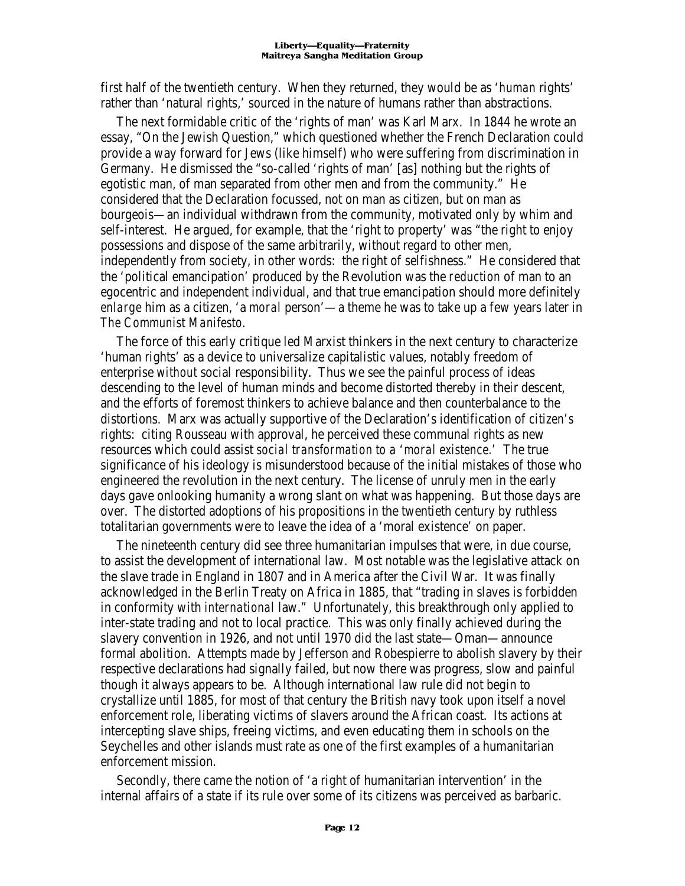first half of the twentieth century. When they returned, they would be as '*human* rights' rather than 'natural rights,' sourced in the nature of humans rather than abstractions.

The next formidable critic of the 'rights of man' was Karl Marx. In 1844 he wrote an essay, "On the Jewish Question," which questioned whether the French Declaration could provide a way forward for Jews (like himself) who were suffering from discrimination in Germany. He dismissed the "so-called 'rights of man' [as] nothing but the rights of egotistic man, of man separated from other men and from the community." He considered that the Declaration focussed, not on man as citizen, but on man as bourgeois—an individual withdrawn from the community, motivated only by whim and self-interest. He argued, for example, that the 'right to property' was "the right to enjoy possessions and dispose of the same arbitrarily, without regard to other men, independently from society, in other words: the right of selfishness." He considered that the 'political emancipation' produced by the Revolution was the *reduction* of man to an egocentric and independent individual, and that true emancipation should more definitely *enlarge* him as a citizen, 'a *moral* person'—a theme he was to take up a few years later in *The Communist Manifesto.*

The force of this early critique led Marxist thinkers in the next century to characterize 'human rights' as a device to universalize capitalistic values, notably freedom of enterprise *without* social responsibility. Thus we see the painful process of ideas descending to the level of human minds and become distorted thereby in their descent, and the efforts of foremost thinkers to achieve balance and then counterbalance to the distortions. Marx was actually supportive of the Declaration's identification of *citizen's* rights: citing Rousseau with approval, he perceived these communal rights as new resources which could assist *social transformation to a 'moral existence.'* The true significance of his ideology is misunderstood because of the initial mistakes of those who engineered the revolution in the next century. The license of unruly men in the early days gave onlooking humanity a wrong slant on what was happening. But those days are over. The distorted adoptions of his propositions in the twentieth century by ruthless totalitarian governments were to leave the idea of a 'moral existence' on paper.

The nineteenth century did see three humanitarian impulses that were, in due course, to assist the development of international law. Most notable was the legislative attack on the slave trade in England in 1807 and in America after the Civil War. It was finally acknowledged in the Berlin Treaty on Africa in 1885, that "trading in slaves is forbidden in conformity with *international* law." Unfortunately, this breakthrough only applied to inter-state trading and not to local practice. This was only finally achieved during the slavery convention in 1926, and not until 1970 did the last state—Oman—announce formal abolition. Attempts made by Jefferson and Robespierre to abolish slavery by their respective declarations had signally failed, but now there was progress, slow and painful though it always appears to be. Although international law rule did not begin to crystallize until 1885, for most of that century the British navy took upon itself a novel enforcement role, liberating victims of slavers around the African coast. Its actions at intercepting slave ships, freeing victims, and even educating them in schools on the Seychelles and other islands must rate as one of the first examples of a humanitarian enforcement mission.

Secondly, there came the notion of 'a right of humanitarian intervention' in the internal affairs of a state if its rule over some of its citizens was perceived as barbaric.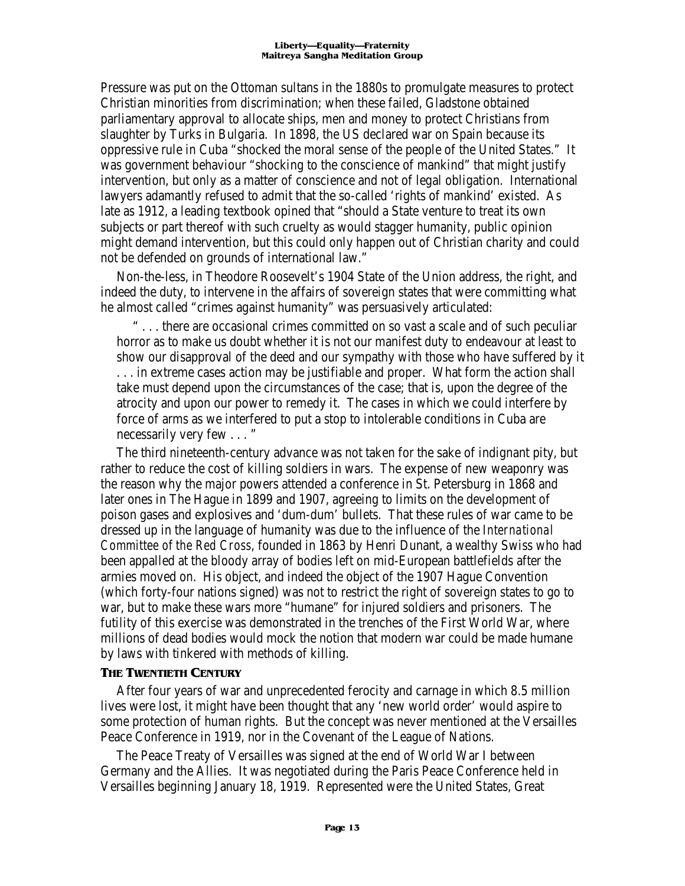Pressure was put on the Ottoman sultans in the 1880s to promulgate measures to protect Christian minorities from discrimination; when these failed, Gladstone obtained parliamentary approval to allocate ships, men and money to protect Christians from slaughter by Turks in Bulgaria. In 1898, the US declared war on Spain because its oppressive rule in Cuba "shocked the moral sense of the people of the United States." It was government behaviour "shocking to the conscience of mankind" that might justify intervention, but only as a matter of conscience and not of legal obligation. International lawyers adamantly refused to admit that the so-called 'rights of mankind' existed. As late as 1912, a leading textbook opined that "should a State venture to treat its own subjects or part thereof with such cruelty as would stagger humanity, public opinion might demand intervention, but this could only happen out of Christian charity and could not be defended on grounds of international law."

Non-the-less, in Theodore Roosevelt's 1904 State of the Union address, the right, and indeed the duty, to intervene in the affairs of sovereign states that were committing what he almost called "crimes against humanity" was persuasively articulated:

" . . . there are occasional crimes committed on so vast a scale and of such peculiar horror as to make us doubt whether it is not our manifest duty to endeavour at least to show our disapproval of the deed and our sympathy with those who have suffered by it . . . in extreme cases action may be justifiable and proper. What form the action shall take must depend upon the circumstances of the case; that is, upon the degree of the atrocity and upon our power to remedy it. The cases in which we could interfere by force of arms as we interfered to put a stop to intolerable conditions in Cuba are necessarily very few . . . "

The third nineteenth-century advance was not taken for the sake of indignant pity, but rather to reduce the cost of killing soldiers in wars. The expense of new weaponry was the reason why the major powers attended a conference in St. Petersburg in 1868 and later ones in The Hague in 1899 and 1907, agreeing to limits on the development of poison gases and explosives and 'dum-dum' bullets. That these rules of war came to be dressed up in the language of humanity was due to the influence of the *International Committee of the Red Cross*, founded in 1863 by Henri Dunant, a wealthy Swiss who had been appalled at the bloody array of bodies left on mid-European battlefields after the armies moved on. His object, and indeed the object of the 1907 Hague Convention (which forty-four nations signed) was not to restrict the right of sovereign states to go to war, but to make these wars more "humane" for injured soldiers and prisoners. The futility of this exercise was demonstrated in the trenches of the First World War, where millions of dead bodies would mock the notion that modern war could be made humane by laws with tinkered with methods of killing.

## THE TWENTIETH CENTURY

After four years of war and unprecedented ferocity and carnage in which 8.5 million lives were lost, it might have been thought that any 'new world order' would aspire to some protection of human rights. But the concept was never mentioned at the Versailles Peace Conference in 1919, nor in the Covenant of the League of Nations.

The Peace Treaty of Versailles was signed at the end of World War I between Germany and the Allies. It was negotiated during the Paris Peace Conference held in Versailles beginning January 18, 1919. Represented were the United States, Great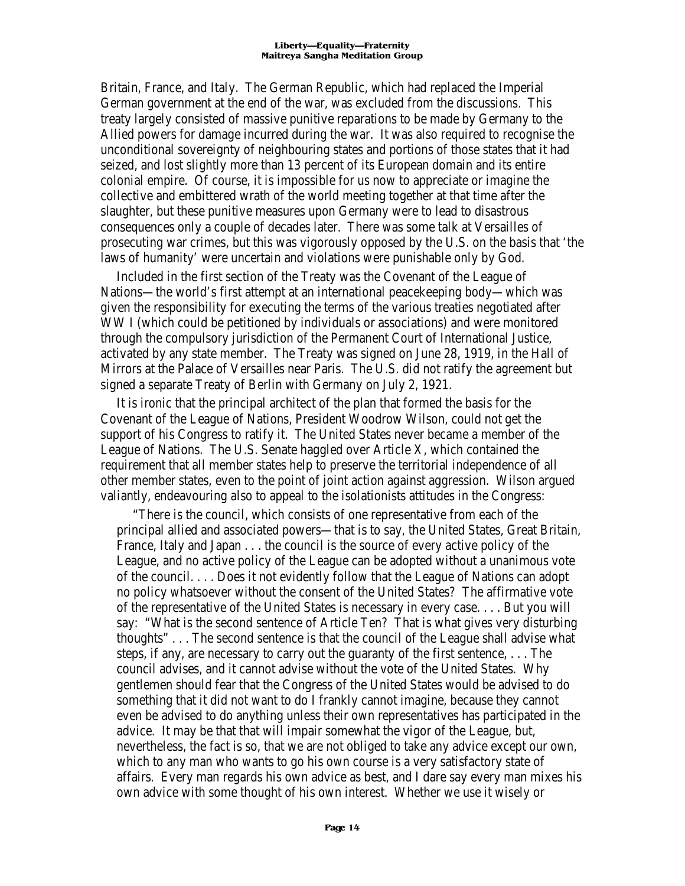Britain, France, and Italy. The German Republic, which had replaced the Imperial German government at the end of the war, was excluded from the discussions. This treaty largely consisted of massive punitive reparations to be made by Germany to the Allied powers for damage incurred during the war. It was also required to recognise the unconditional sovereignty of neighbouring states and portions of those states that it had seized, and lost slightly more than 13 percent of its European domain and its entire colonial empire. Of course, it is impossible for us now to appreciate or imagine the collective and embittered wrath of the world meeting together at that time after the slaughter, but these punitive measures upon Germany were to lead to disastrous consequences only a couple of decades later. There was some talk at Versailles of prosecuting war crimes, but this was vigorously opposed by the U.S. on the basis that 'the laws of humanity' were uncertain and violations were punishable only by God.

Included in the first section of the Treaty was the Covenant of the League of Nations—the world's first attempt at an international peacekeeping body—which was given the responsibility for executing the terms of the various treaties negotiated after WW I (which could be petitioned by individuals or associations) and were monitored through the compulsory jurisdiction of the Permanent Court of International Justice, activated by any state member. The Treaty was signed on June 28, 1919, in the Hall of Mirrors at the Palace of Versailles near Paris. The U.S. did not ratify the agreement but signed a separate Treaty of Berlin with Germany on July 2, 1921.

It is ironic that the principal architect of the plan that formed the basis for the Covenant of the League of Nations, President Woodrow Wilson, could not get the support of his Congress to ratify it. The United States never became a member of the League of Nations. The U.S. Senate haggled over Article X, which contained the requirement that all member states help to preserve the territorial independence of all other member states, even to the point of joint action against aggression. Wilson argued valiantly, endeavouring also to appeal to the isolationists attitudes in the Congress:

"There is the council, which consists of one representative from each of the principal allied and associated powers—that is to say, the United States, Great Britain, France, Italy and Japan . . . the council is the source of every active policy of the League, and no active policy of the League can be adopted without a unanimous vote of the council. . . . Does it not evidently follow that the League of Nations can adopt no policy whatsoever without the consent of the United States? The affirmative vote of the representative of the United States is necessary in every case. . . . But you will say: "What is the second sentence of Article Ten? That is what gives very disturbing thoughts" . . . The second sentence is that the council of the League shall advise what steps, if any, are necessary to carry out the guaranty of the first sentence, . . . The council advises, and it cannot advise without the vote of the United States. Why gentlemen should fear that the Congress of the United States would be advised to do something that it did not want to do I frankly cannot imagine, because they cannot even be advised to do anything unless their own representatives has participated in the advice. It may be that that will impair somewhat the vigor of the League, but, nevertheless, the fact is so, that we are not obliged to take any advice except our own, which to any man who wants to go his own course is a very satisfactory state of affairs. Every man regards his own advice as best, and I dare say every man mixes his own advice with some thought of his own interest. Whether we use it wisely or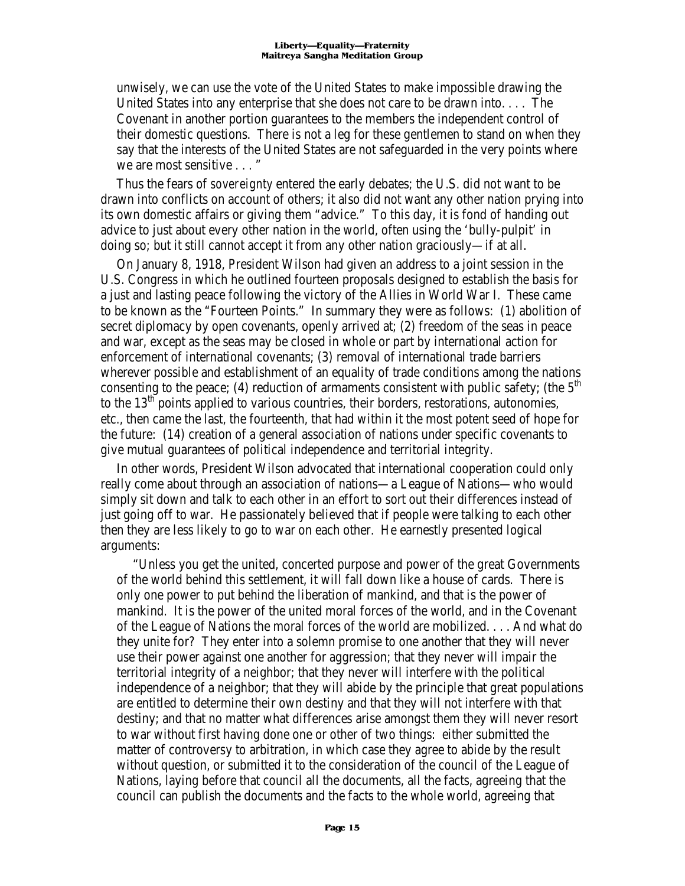unwisely, we can use the vote of the United States to make impossible drawing the United States into any enterprise that she does not care to be drawn into. . . . The Covenant in another portion guarantees to the members the independent control of their domestic questions. There is not a leg for these gentlemen to stand on when they say that the interests of the United States are not safeguarded in the very points where we are most sensitive . . . "

Thus the fears of *sovereignty* entered the early debates; the U.S. did not want to be drawn into conflicts on account of others; it also did not want any other nation prying into its own domestic affairs or giving them "advice." To this day, it is fond of handing out advice to just about every other nation in the world, often using the 'bully-pulpit' in doing so; but it still cannot accept it from any other nation graciously—if at all.

On January 8, 1918, President Wilson had given an address to a joint session in the U.S. Congress in which he outlined fourteen proposals designed to establish the basis for a just and lasting peace following the victory of the Allies in World War I. These came to be known as the "Fourteen Points." In summary they were as follows: (1) abolition of secret diplomacy by open covenants, openly arrived at; (2) freedom of the seas in peace and war, except as the seas may be closed in whole or part by international action for enforcement of international covenants; (3) removal of international trade barriers wherever possible and establishment of an equality of trade conditions among the nations consenting to the peace; (4) reduction of armaments consistent with public safety; (the  $5<sup>th</sup>$ to the  $13<sup>th</sup>$  points applied to various countries, their borders, restorations, autonomies, etc., then came the last, the fourteenth, that had within it the most potent seed of hope for the future: (14) creation of a general association of nations under specific covenants to give mutual guarantees of political independence and territorial integrity.

In other words, President Wilson advocated that international cooperation could only really come about through an association of nations—a League of Nations—who would simply sit down and talk to each other in an effort to sort out their differences instead of just going off to war. He passionately believed that if people were talking to each other then they are less likely to go to war on each other. He earnestly presented logical arguments:

"Unless you get the united, concerted purpose and power of the great Governments of the world behind this settlement, it will fall down like a house of cards. There is only one power to put behind the liberation of mankind, and that is the power of mankind. It is the power of the united moral forces of the world, and in the Covenant of the League of Nations the moral forces of the world are mobilized. . . . And what do they unite for? They enter into a solemn promise to one another that they will never use their power against one another for aggression; that they never will impair the territorial integrity of a neighbor; that they never will interfere with the political independence of a neighbor; that they will abide by the principle that great populations are entitled to determine their own destiny and that they will not interfere with that destiny; and that no matter what differences arise amongst them they will never resort to war without first having done one or other of two things: either submitted the matter of controversy to arbitration, in which case they agree to abide by the result without question, or submitted it to the consideration of the council of the League of Nations, laying before that council all the documents, all the facts, agreeing that the council can publish the documents and the facts to the whole world, agreeing that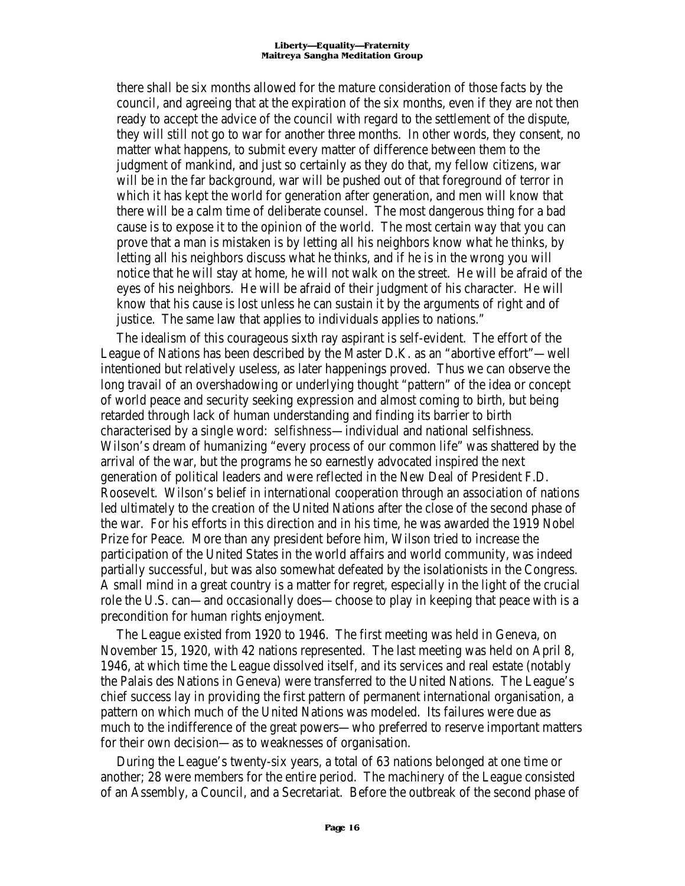there shall be six months allowed for the mature consideration of those facts by the council, and agreeing that at the expiration of the six months, even if they are not then ready to accept the advice of the council with regard to the settlement of the dispute, they will still not go to war for another three months. In other words, they consent, no matter what happens, to submit every matter of difference between them to the judgment of mankind, and just so certainly as they do that, my fellow citizens, war will be in the far background, war will be pushed out of that foreground of terror in which it has kept the world for generation after generation, and men will know that there will be a calm time of deliberate counsel. The most dangerous thing for a bad cause is to expose it to the opinion of the world. The most certain way that you can prove that a man is mistaken is by letting all his neighbors know what he thinks, by letting all his neighbors discuss what he thinks, and if he is in the wrong you will notice that he will stay at home, he will not walk on the street. He will be afraid of the eyes of his neighbors. He will be afraid of their judgment of his character. He will know that his cause is lost unless he can sustain it by the arguments of right and of justice. The same law that applies to individuals applies to nations."

The idealism of this courageous sixth ray aspirant is self-evident. The effort of the League of Nations has been described by the Master D.K. as an "abortive effort"—well intentioned but relatively useless, as later happenings proved. Thus we can observe the long travail of an overshadowing or underlying thought "pattern" of the idea or concept of world peace and security seeking expression and almost coming to birth, but being retarded through lack of human understanding and finding its barrier to birth characterised by a single word: *selfishness*—individual and national selfishness. Wilson's dream of humanizing "every process of our common life" was shattered by the arrival of the war, but the programs he so earnestly advocated inspired the next generation of political leaders and were reflected in the New Deal of President F.D. Roosevelt. Wilson's belief in international cooperation through an association of nations led ultimately to the creation of the United Nations after the close of the second phase of the war. For his efforts in this direction and in his time, he was awarded the 1919 Nobel Prize for Peace. More than any president before him, Wilson tried to increase the participation of the United States in the world affairs and world community, was indeed partially successful, but was also somewhat defeated by the isolationists in the Congress. A small mind in a great country is a matter for regret, especially in the light of the crucial role the U.S. can—and occasionally does—choose to play in keeping that peace with is a precondition for human rights enjoyment.

The League existed from 1920 to 1946. The first meeting was held in Geneva, on November 15, 1920, with 42 nations represented. The last meeting was held on April 8, 1946, at which time the League dissolved itself, and its services and real estate (notably the Palais des Nations in Geneva) were transferred to the United Nations. The League's chief success lay in providing the first pattern of permanent international organisation, a pattern on which much of the United Nations was modeled. Its failures were due as much to the indifference of the great powers—who preferred to reserve important matters for their own decision—as to weaknesses of organisation.

During the League's twenty-six years, a total of 63 nations belonged at one time or another; 28 were members for the entire period. The machinery of the League consisted of an Assembly, a Council, and a Secretariat. Before the outbreak of the second phase of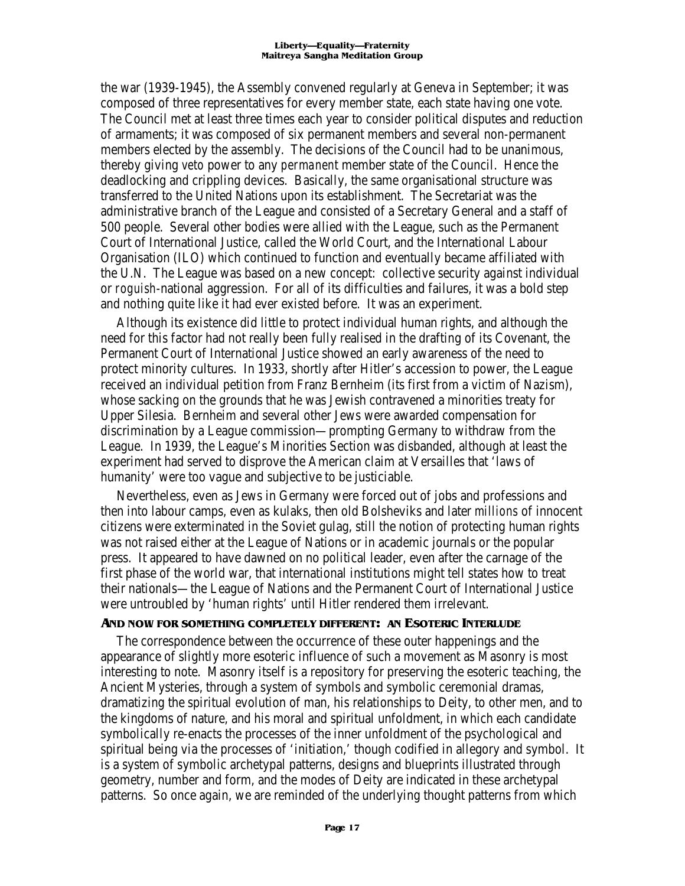the war (1939-1945), the Assembly convened regularly at Geneva in September; it was composed of three representatives for every member state, each state having one vote. The Council met at least three times each year to consider political disputes and reduction of armaments; it was composed of six permanent members and several non-permanent members elected by the assembly. The decisions of the Council had to be unanimous, thereby giving *veto* power to any *permanent* member state of the Council. Hence the deadlocking and crippling devices. Basically, the same organisational structure was transferred to the United Nations upon its establishment. The Secretariat was the administrative branch of the League and consisted of a Secretary General and a staff of 500 people. Several other bodies were allied with the League, such as the Permanent Court of International Justice, called the World Court, and the International Labour Organisation (ILO) which continued to function and eventually became affiliated with the U.N. The League was based on a new concept: collective security against individual or *roguish*-national aggression. For all of its difficulties and failures, it was a bold step and nothing quite like it had ever existed before. It was an experiment.

Although its existence did little to protect individual human rights, and although the need for this factor had not really been fully realised in the drafting of its Covenant, the Permanent Court of International Justice showed an early awareness of the need to protect minority cultures. In 1933, shortly after Hitler's accession to power, the League received an individual petition from Franz Bernheim (its first from a victim of Nazism), whose sacking on the grounds that he was Jewish contravened a minorities treaty for Upper Silesia. Bernheim and several other Jews were awarded compensation for discrimination by a League commission—prompting Germany to withdraw from the League. In 1939, the League's Minorities Section was disbanded, although at least the experiment had served to disprove the American claim at Versailles that 'laws of humanity' were too vague and subjective to be justiciable.

Nevertheless, even as Jews in Germany were forced out of jobs and professions and then into labour camps, even as kulaks, then old Bolsheviks and later *millions* of innocent citizens were exterminated in the Soviet gulag, still the notion of protecting human rights was not raised either at the League of Nations or in academic journals or the popular press. It appeared to have dawned on no political leader, even after the carnage of the first phase of the world war, that international institutions might tell states how to treat their nationals—the League of Nations and the Permanent Court of International Justice were untroubled by 'human rights' until Hitler rendered them irrelevant.

### AND NOW FOR SOMETHING COMPLETELY DIFFERENT: AN ESOTERIC INTERLUDE

The correspondence between the occurrence of these outer happenings and the appearance of slightly more esoteric influence of such a movement as Masonry is most interesting to note. Masonry itself is a repository for preserving the esoteric teaching, the Ancient Mysteries, through a system of symbols and symbolic ceremonial dramas, dramatizing the spiritual evolution of man, his relationships to Deity, to other men, and to the kingdoms of nature, and his moral and spiritual unfoldment, in which each candidate symbolically re-enacts the processes of the inner unfoldment of the psychological and spiritual being via the processes of 'initiation,' though codified in allegory and symbol. It is a system of symbolic archetypal patterns, designs and blueprints illustrated through geometry, number and form, and the modes of Deity are indicated in these archetypal patterns. So once again, we are reminded of the underlying thought patterns from which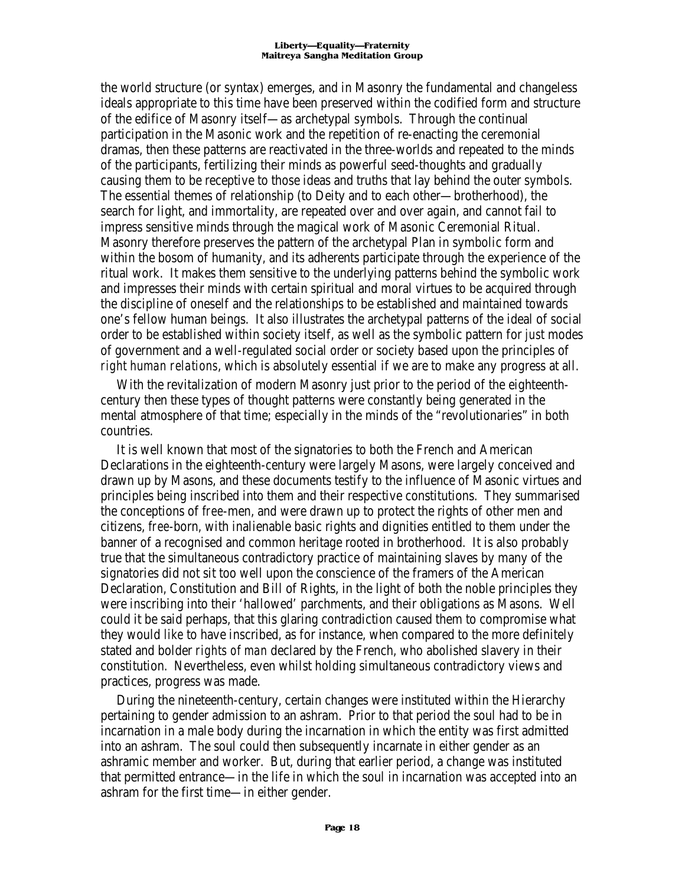the world structure (or syntax) emerges, and in Masonry the fundamental and changeless ideals appropriate to this time have been preserved within the codified form and structure of the edifice of Masonry itself—as archetypal symbols. Through the continual participation in the Masonic work and the repetition of re-enacting the ceremonial dramas, then these patterns are reactivated in the three-worlds and repeated to the minds of the participants, fertilizing their minds as powerful seed-thoughts and gradually causing them to be receptive to those ideas and truths that lay behind the outer symbols. The essential themes of relationship (to Deity and to each other—brotherhood), the search for light, and immortality, are repeated over and over again, and cannot fail to impress sensitive minds through the magical work of Masonic Ceremonial Ritual. Masonry therefore preserves the pattern of the archetypal Plan in symbolic form and within the bosom of humanity, and its adherents participate through the experience of the ritual work. It makes them sensitive to the underlying patterns behind the symbolic work and impresses their minds with certain spiritual and moral virtues to be acquired through the discipline of oneself and the relationships to be established and maintained towards one's fellow human beings. It also illustrates the archetypal patterns of the ideal of social order to be established within society itself, as well as the symbolic pattern for *just* modes of government and a well-regulated social order or society based upon the principles of *right human relations*, which is absolutely essential if we are to make any progress at all.

With the revitalization of modern Masonry just prior to the period of the eighteenthcentury then these types of thought patterns were constantly being generated in the mental atmosphere of that time; especially in the minds of the "revolutionaries" in both countries.

It is well known that most of the signatories to both the French and American Declarations in the eighteenth-century were largely Masons, were largely conceived and drawn up by Masons, and these documents testify to the influence of Masonic virtues and principles being inscribed into them and their respective constitutions. They summarised the conceptions of *free*-men, and were drawn up to protect the rights of other men and citizens, *free*-born, with inalienable basic rights and dignities entitled to them under the banner of a recognised and common heritage rooted in brotherhood. It is also probably true that the simultaneous contradictory practice of maintaining slaves by many of the signatories did not sit too well upon the conscience of the framers of the American Declaration, Constitution and Bill of Rights, in the light of both the noble principles they were inscribing into their 'hallowed' parchments, and their obligations as Masons. Well could it be said perhaps, that this glaring contradiction caused them to compromise what they would *like* to have inscribed, as for instance, when compared to the more definitely stated and bolder *rights of man* declared by the French, who abolished slavery in their constitution. Nevertheless, even whilst holding simultaneous contradictory views and practices, progress was made.

During the nineteenth-century, certain changes were instituted within the Hierarchy pertaining to gender admission to an ashram. Prior to that period the soul had to be in incarnation in a male body during the incarnation in which the entity was first admitted into an ashram. The soul could then subsequently incarnate in either gender as an ashramic member and worker. But, during that earlier period, a change was instituted that permitted entrance—in the life in which the soul in incarnation was accepted into an ashram for the first time—in either gender.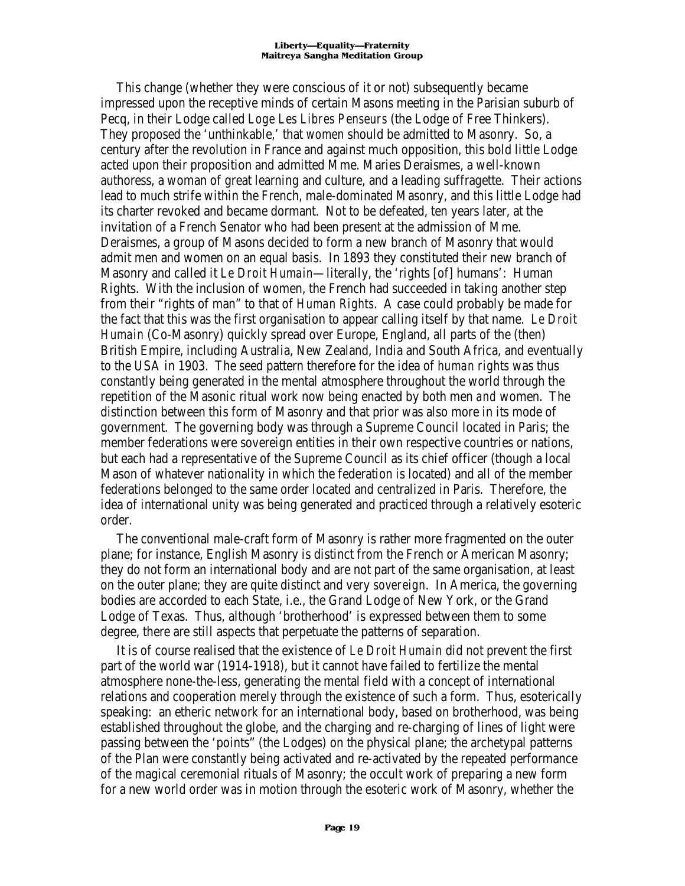This change (whether they were conscious of it or not) subsequently became impressed upon the receptive minds of certain Masons meeting in the Parisian suburb of Pecq, in their Lodge called *Loge Les Libres Penseurs* (the Lodge of Free Thinkers). They proposed the 'unthinkable,' that *women* should be admitted to Masonry. So, a century after the revolution in France and against much opposition, this bold little Lodge acted upon their proposition and admitted Mme. Maries Deraismes, a well-known authoress, a woman of great learning and culture, and a leading suffragette. Their actions lead to much strife within the French, male-dominated Masonry, and this little Lodge had its charter revoked and became dormant. Not to be defeated, ten years later, at the invitation of a French Senator who had been present at the admission of Mme. Deraismes, a group of Masons decided to form a new branch of Masonry that would admit men and women on an equal basis. In 1893 they constituted their new branch of Masonry and called it *Le Droit Humain*—literally, the 'rights [of] humans': Human Rights. With the inclusion of women, the French had succeeded in taking another step from their "rights of man" to that of *Human Rights*. A case could probably be made for the fact that this was the first organisation to appear calling itself by that name. *Le Droit Humain* (Co-Masonry) quickly spread over Europe, England, all parts of the (then) British Empire, including Australia, New Zealand, India and South Africa, and eventually to the USA in 1903. The seed pattern therefore for the idea of *human rights* was thus constantly being generated in the mental atmosphere throughout the world through the repetition of the Masonic ritual work now being enacted by both men *and* women. The distinction between this form of Masonry and that prior was also more in its mode of government. The governing body was through a Supreme Council located in Paris; the member federations were sovereign entities in their own respective countries or nations, but each had a representative of the Supreme Council as its chief officer (though a local Mason of whatever nationality in which the federation is located) and all of the member federations belonged to the same order located and centralized in Paris. Therefore, the idea of international unity was being generated and practiced through a relatively esoteric order.

The conventional male-craft form of Masonry is rather more fragmented on the outer plane; for instance, English Masonry is distinct from the French or American Masonry; they do not form an international body and are not part of the same organisation, at least on the outer plane; they are quite distinct and very *sovereign*. In America, the governing bodies are accorded to each State, i.e., the Grand Lodge of New York, or the Grand Lodge of Texas. Thus, although 'brotherhood' is expressed between them to some degree, there are still aspects that perpetuate the patterns of separation.

It is of course realised that the existence of *Le Droit Humain* did not prevent the first part of the world war (1914-1918), but it cannot have failed to fertilize the mental atmosphere none-the-less, generating the mental field with a concept of international relations and cooperation merely through the existence of such a form. Thus, esoterically speaking: an etheric network for an international body, based on brotherhood, was being established throughout the globe, and the charging and re-charging of lines of light were passing between the 'points" (the Lodges) on the physical plane; the archetypal patterns of the Plan were constantly being activated and re-activated by the repeated performance of the magical ceremonial rituals of Masonry; the occult work of preparing a new form for a new world order was in motion through the esoteric work of Masonry, whether the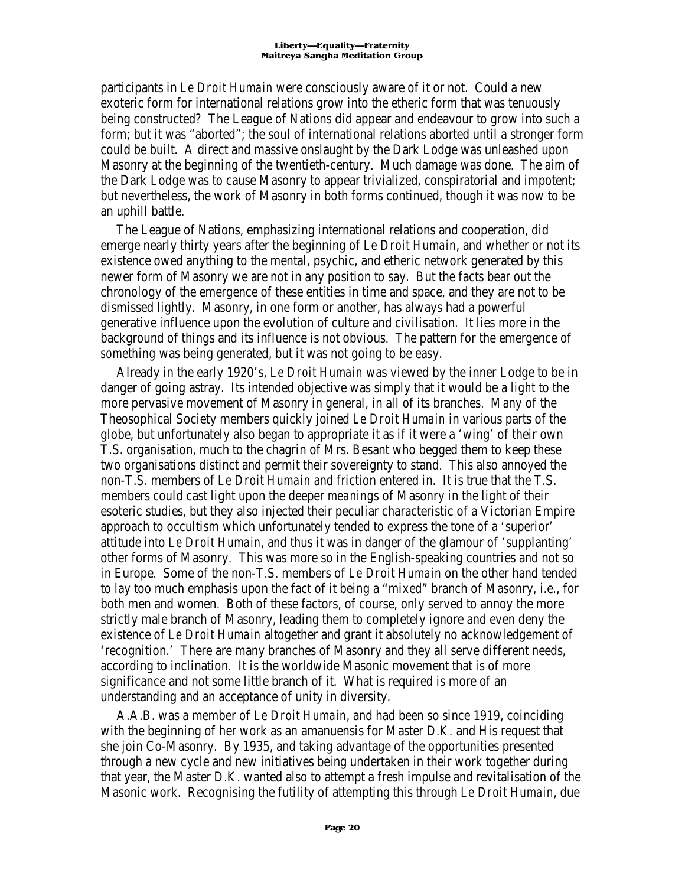participants in *Le Droit Humain* were consciously aware of it or not. Could a new exoteric form for international relations grow into the etheric form that was tenuously being constructed? The League of Nations did appear and endeavour to grow into such a form; but it was "aborted"; the soul of international relations aborted until a stronger form could be built. A direct and massive onslaught by the Dark Lodge was unleashed upon Masonry at the beginning of the twentieth-century. Much damage was done. The aim of the Dark Lodge was to cause Masonry to appear trivialized, conspiratorial and impotent; but nevertheless, the work of Masonry in both forms continued, though it was now to be an uphill battle.

The League of Nations, emphasizing international relations and cooperation, did emerge nearly thirty years after the beginning of *Le Droit Humain*, and whether or not its existence owed anything to the mental, psychic, and etheric network generated by this newer form of Masonry we are not in any position to say. But the facts bear out the chronology of the emergence of these entities in time and space, and they are not to be dismissed lightly. Masonry, in one form or another, has always had a powerful generative influence upon the evolution of culture and civilisation. It lies more in the background of things and its influence is not obvious. The pattern for the emergence of *something* was being generated, but it was not going to be easy.

Already in the early 1920's, *Le Droit Humain* was viewed by the inner Lodge to be in danger of going astray. Its intended objective was simply that it would be a *light* to the more pervasive movement of Masonry in general, in all of its branches. Many of the Theosophical Society members quickly joined *Le Droit Humain* in various parts of the globe, but unfortunately also began to appropriate it as if it were a 'wing' of their own T.S. organisation, much to the chagrin of Mrs. Besant who begged them to keep these two organisations distinct and permit their sovereignty to stand. This also annoyed the non-T.S. members of *Le Droit Humain* and friction entered in. It is true that the T.S. members could cast light upon the deeper *meanings* of Masonry in the light of their esoteric studies, but they also injected their peculiar characteristic of a Victorian Empire approach to occultism which unfortunately tended to express the tone of a 'superior' attitude into *Le Droit Humain*, and thus it was in danger of the glamour of 'supplanting' other forms of Masonry. This was more so in the English-speaking countries and not so in Europe. Some of the non-T.S. members of *Le Droit Humain* on the other hand tended to lay too much emphasis upon the fact of it being a "mixed" branch of Masonry, i.e., for both men and women. Both of these factors, of course, only served to annoy the more strictly male branch of Masonry, leading them to completely ignore and even deny the existence of *Le Droit Humain* altogether and grant it absolutely no acknowledgement of 'recognition.' There are many branches of Masonry and they all serve different needs, according to inclination. It is the worldwide Masonic movement that is of more significance and not some little branch of it. What is required is more of an understanding and an acceptance of unity in diversity.

A.A.B. was a member of *Le Droit Humain*, and had been so since 1919, coinciding with the beginning of her work as an amanuensis for Master D.K. and His request that she join Co-Masonry. By 1935, and taking advantage of the opportunities presented through a new cycle and new initiatives being undertaken in their work together during that year, the Master D.K. wanted also to attempt a fresh impulse and revitalisation of the Masonic work. Recognising the futility of attempting this through *Le Droit Humain*, due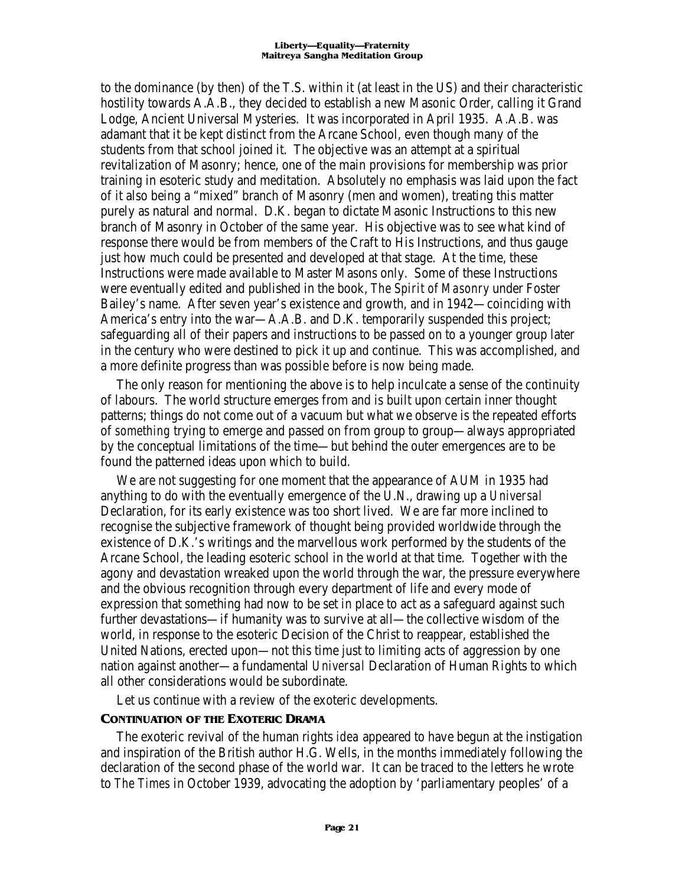to the dominance (by then) of the T.S. within it (at least in the US) and their characteristic hostility towards A.A.B., they decided to establish a new Masonic Order, calling it Grand Lodge, Ancient Universal Mysteries. It was incorporated in April 1935. A.A.B. was adamant that it be kept distinct from the Arcane School, even though many of the students from that school joined it. The objective was an attempt at a spiritual revitalization of Masonry; hence, one of the main provisions for membership was prior training in esoteric study and meditation. Absolutely no emphasis was laid upon the fact of it also being a "mixed" branch of Masonry (men and women), treating this matter purely as natural and normal. D.K. began to dictate Masonic Instructions to this new branch of Masonry in October of the same year. His objective was to see what kind of response there would be from members of the Craft to His Instructions, and thus gauge just how much could be presented and developed at that stage. At the time, these Instructions were made available to Master Masons only. Some of these Instructions were eventually edited and published in the book, *The Spirit of Masonry* under Foster Bailey's name. After seven year's existence and growth, and in 1942—coinciding with America's entry into the war—A.A.B. and D.K. temporarily suspended this project; safeguarding all of their papers and instructions to be passed on to a younger group later in the century who were destined to pick it up and continue. This was accomplished, and a more definite progress than was possible before is now being made.

The only reason for mentioning the above is to help inculcate a sense of the continuity of labours. The world structure emerges from and is built upon certain inner thought patterns; things do not come out of a vacuum but what we observe is the repeated efforts of *something* trying to emerge and passed on from group to group—always appropriated by the conceptual limitations of the time—but behind the outer emergences are to be found the patterned ideas upon which to build.

We are not suggesting for one moment that the appearance of AUM in 1935 had anything to do with the eventually emergence of the U.N., drawing up a *Universal* Declaration, for its early existence was too short lived. We are far more inclined to recognise the subjective framework of thought being provided worldwide through the existence of D.K.'s writings and the marvellous work performed by the students of the Arcane School, the leading esoteric school in the world at that time. Together with the agony and devastation wreaked upon the world through the war, the pressure everywhere and the obvious recognition through every department of life and every mode of expression that something had now to be set in place to act as a safeguard against such further devastations—if humanity was to survive at all—the collective wisdom of the world, in response to the esoteric Decision of the Christ to reappear, established the United Nations, erected upon—not this time just to limiting acts of aggression by one nation against another—a fundamental *Universal* Declaration of Human Rights to which all other considerations would be subordinate.

Let us continue with a review of the exoteric developments.

## CONTINUATION OF THE EXOTERIC DRAMA

The exoteric revival of the human rights *idea* appeared to have begun at the instigation and inspiration of the British author H.G. Wells, in the months immediately following the declaration of the second phase of the world war. It can be traced to the letters he wrote to *The Times* in October 1939, advocating the adoption by 'parliamentary peoples' of a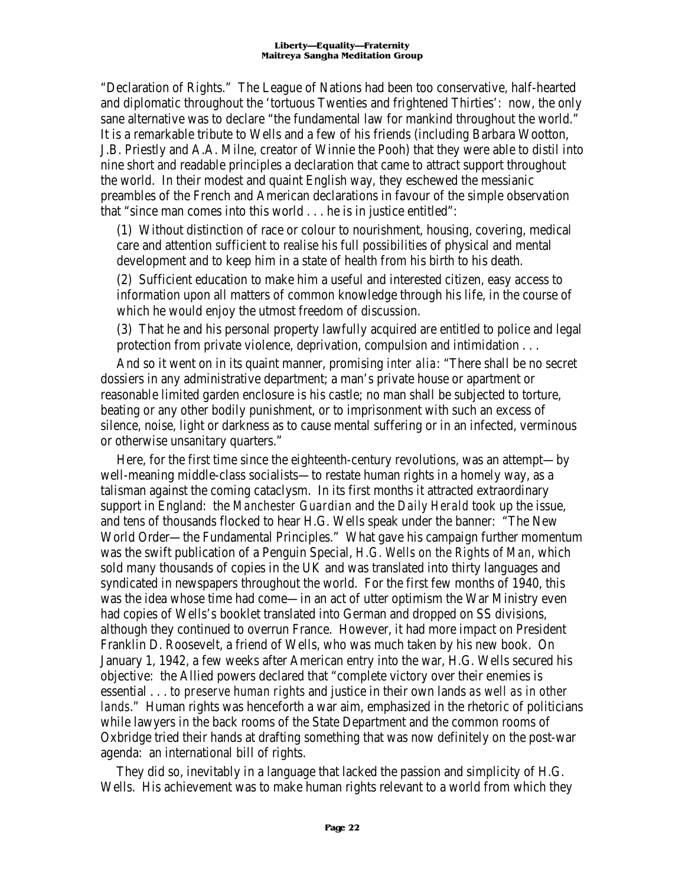"Declaration of Rights." The League of Nations had been too conservative, half-hearted and diplomatic throughout the 'tortuous Twenties and frightened Thirties': now, the only sane alternative was to declare "the fundamental law for mankind throughout the world." It is a remarkable tribute to Wells and a few of his friends (including Barbara Wootton, J.B. Priestly and A.A. Milne, creator of Winnie the Pooh) that they were able to distil into nine short and readable principles a declaration that came to attract support throughout the world. In their modest and quaint English way, they eschewed the messianic preambles of the French and American declarations in favour of the simple observation that "since man comes into this world . . . he is in justice entitled":

(1) Without distinction of race or colour to nourishment, housing, covering, medical care and attention sufficient to realise his full possibilities of physical and mental development and to keep him in a state of health from his birth to his death.

(2) Sufficient education to make him a useful and interested citizen, easy access to information upon all matters of common knowledge through his life, in the course of which he would enjoy the utmost freedom of discussion.

(3) That he and his personal property lawfully acquired are entitled to police and legal protection from private violence, deprivation, compulsion and intimidation . . .

And so it went on in its quaint manner, promising *inter alia*: "There shall be no secret dossiers in any administrative department; a man's private house or apartment or reasonable limited garden enclosure is his castle; no man shall be subjected to torture, beating or any other bodily punishment, or to imprisonment with such an excess of silence, noise, light or darkness as to cause mental suffering or in an infected, verminous or otherwise unsanitary quarters."

Here, for the first time since the eighteenth-century revolutions, was an attempt—by well-meaning middle-class socialists—to restate human rights in a homely way, as a talisman against the coming cataclysm. In its first months it attracted extraordinary support in England: the *Manchester Guardian* and the *Daily Herald* took up the issue, and tens of thousands flocked to hear H.G. Wells speak under the banner: "The New World Order—the Fundamental Principles." What gave his campaign further momentum was the swift publication of a Penguin Special, *H.G. Wells on the Rights of Man*, which sold many thousands of copies in the UK and was translated into thirty languages and syndicated in newspapers throughout the world. For the first few months of 1940, this was the idea whose time had come—in an act of utter optimism the War Ministry even had copies of Wells's booklet translated into German and dropped on SS divisions, although they continued to overrun France. However, it had more impact on President Franklin D. Roosevelt, a friend of Wells, who was much taken by his new book. On January 1, 1942, a few weeks after American entry into the war, H.G. Wells secured his objective: the Allied powers declared that "complete victory over their enemies is essential . . . *to preserve human rights* and justice in their own lands *as well as in other lands*." Human rights was henceforth a war aim, emphasized in the rhetoric of politicians while lawyers in the back rooms of the State Department and the common rooms of Oxbridge tried their hands at drafting something that was now definitely on the post-war agenda: an international bill of rights.

They did so, inevitably in a language that lacked the passion and simplicity of H.G. Wells. His achievement was to make human rights relevant to a world from which they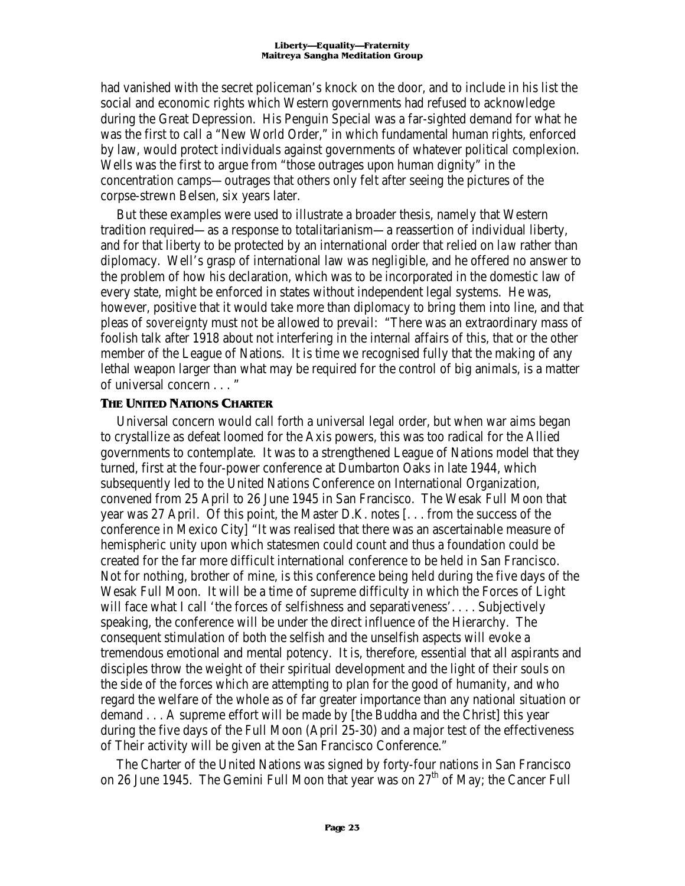had vanished with the secret policeman's knock on the door, and to include in his list the social and economic rights which Western governments had refused to acknowledge during the Great Depression. His Penguin Special was a far-sighted demand for what he was the first to call a "New World Order," in which fundamental human rights, enforced by law, would protect individuals against governments of whatever political complexion. Wells was the first to argue from "those outrages upon human dignity" in the concentration camps—outrages that others only felt after seeing the pictures of the corpse-strewn Belsen, six years later.

But these examples were used to illustrate a broader thesis, namely that Western tradition required—as a response to totalitarianism—a reassertion of individual liberty, and for that liberty to be protected by an international order that relied on *law* rather than diplomacy. Well's grasp of international law was negligible, and he offered no answer to the problem of how his declaration, which was to be incorporated in the domestic law of every state, might be enforced in states without independent legal systems. He was, however, positive that it would take more than diplomacy to bring them into line, and that pleas of *sovereignty* must *not* be allowed to prevail: "There was an extraordinary mass of foolish talk after 1918 about not interfering in the internal affairs of this, that or the other member of the League of Nations. It is time we recognised fully that the making of any lethal weapon larger than what may be required for the control of big animals, is a matter of universal concern . . . "

# THE UNITED NATIONS CHARTER

Universal concern would call forth a universal legal order, but when war aims began to crystallize as defeat loomed for the Axis powers, this was too radical for the Allied governments to contemplate. It was to a strengthened League of Nations model that they turned, first at the four-power conference at Dumbarton Oaks in late 1944, which subsequently led to the United Nations Conference on International Organization, convened from 25 April to 26 June 1945 in San Francisco. The Wesak Full Moon that year was 27 April. Of this point, the Master D.K. notes [. . . from the success of the conference in Mexico City] "It was realised that there was an ascertainable measure of hemispheric unity upon which statesmen could count and thus a foundation could be created for the far more difficult international conference to be held in San Francisco. Not for nothing, brother of mine, is this conference being held during the five days of the Wesak Full Moon. It will be a time of supreme difficulty in which the Forces of Light will face what I call 'the forces of selfishness and separativeness'.... Subjectively speaking, the conference will be under the direct influence of the Hierarchy. The consequent stimulation of both the selfish and the unselfish aspects will evoke a tremendous emotional and mental potency. It is, therefore, essential that all aspirants and disciples throw the weight of their spiritual development and the light of their souls on the side of the forces which are attempting to plan for the good of humanity, and who regard the welfare of the whole as of far greater importance than any national situation or demand . . . A supreme effort will be made by [the Buddha and the Christ] this year during the five days of the Full Moon (April 25-30) and a major test of the effectiveness of Their activity will be given at the San Francisco Conference."

The Charter of the United Nations was signed by forty-four nations in San Francisco on 26 June 1945. The Gemini Full Moon that year was on  $27<sup>th</sup>$  of May; the Cancer Full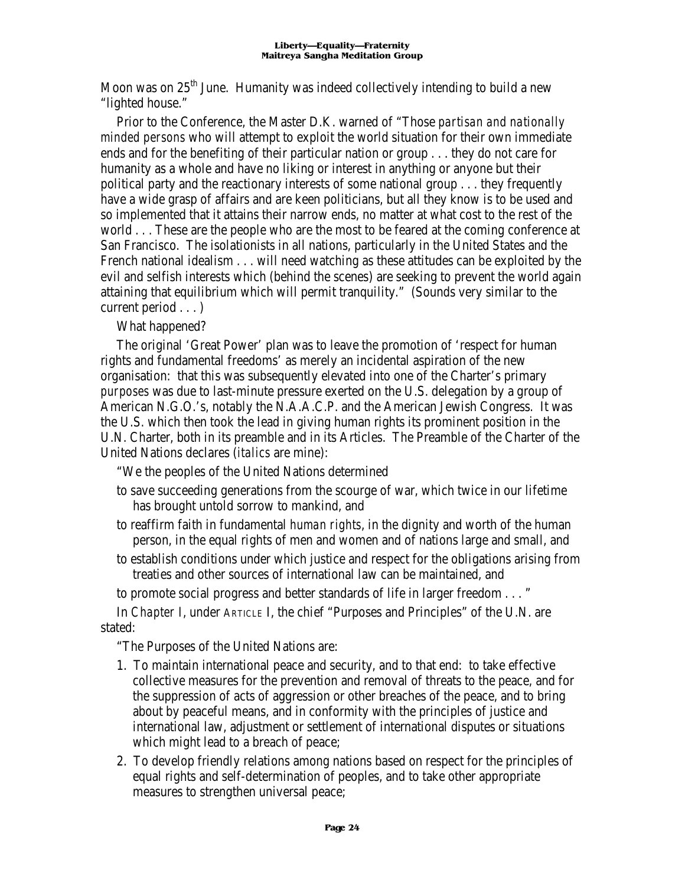Moon was on  $25<sup>th</sup>$  June. Humanity was indeed collectively intending to build a new "lighted house."

Prior to the Conference, the Master D.K. warned of "Those *partisan and nationally minded persons* who will attempt to exploit the world situation for their own immediate ends and for the benefiting of their particular nation or group . . . they do not care for humanity as a whole and have no liking or interest in anything or anyone but their political party and the reactionary interests of some national group . . . they frequently have a wide grasp of affairs and are keen politicians, but all they know is to be used and so implemented that it attains their narrow ends, no matter at what cost to the rest of the world . . . These are the people who are the most to be feared at the coming conference at San Francisco. The isolationists in all nations, particularly in the United States and the French national idealism . . . will need watching as these attitudes can be exploited by the evil and selfish interests which (behind the scenes) are seeking to prevent the world again attaining that equilibrium which will permit tranquility." (Sounds very similar to the current period . . . )

What happened?

The original 'Great Power' plan was to leave the promotion of 'respect for human rights and fundamental freedoms' as merely an incidental aspiration of the new organisation: that this was subsequently elevated into one of the Charter's primary *purposes* was due to last-minute pressure exerted on the U.S. delegation by a group of American N.G.O.'s, notably the N.A.A.C.P. and the American Jewish Congress. It was the U.S. which then took the lead in giving human rights its prominent position in the U.N. Charter, both in its preamble and in its Articles. The Preamble of the Charter of the United Nations declares (*italics* are mine):

"We the peoples of the United Nations determined

- to save succeeding generations from the scourge of war, which twice in our lifetime has brought untold sorrow to mankind, and
- to reaffirm faith in fundamental *human rights*, in the dignity and worth of the human person, in the equal rights of men and women and of nations large and small, and
- to establish conditions under which justice and respect for the obligations arising from treaties and other sources of international law can be maintained, and
- to promote social progress and better standards of life in larger freedom . . . "

In *Chapter I*, under ARTICLE I, the chief "Purposes and Principles" of the U.N. are stated:

"The Purposes of the United Nations are:

- 1. To maintain international peace and security, and to that end: to take effective collective measures for the prevention and removal of threats to the peace, and for the suppression of acts of aggression or other breaches of the peace, and to bring about by peaceful means, and in conformity with the principles of justice and international law, adjustment or settlement of international disputes or situations which might lead to a breach of peace;
- 2. To develop friendly relations among nations based on respect for the principles of equal rights and self-determination of peoples, and to take other appropriate measures to strengthen universal peace;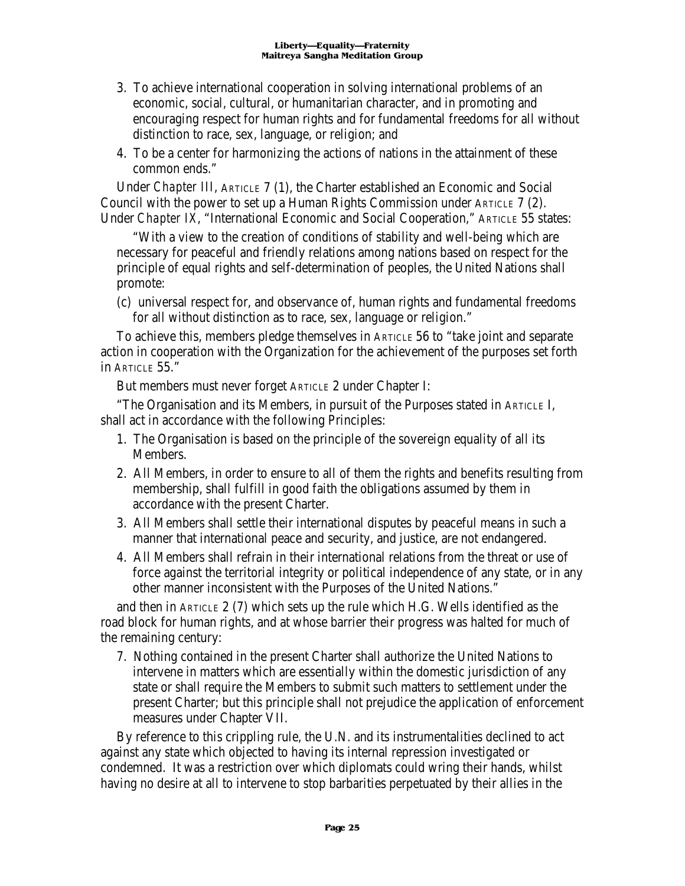- 3. To achieve international cooperation in solving international problems of an economic, social, cultural, or humanitarian character, and in promoting and encouraging respect for human rights and for fundamental freedoms for all without distinction to race, sex, language, or religion; and
- 4. To be a center for harmonizing the actions of nations in the attainment of these common ends."

Under *Chapter III*, ARTICLE 7 (1), the Charter established an Economic and Social Council with the power to set up a Human Rights Commission under ARTICLE 7 (2). Under *Chapter IX*, "International Economic and Social Cooperation," ARTICLE 55 states:

"With a view to the creation of conditions of stability and well-being which are necessary for peaceful and friendly relations among nations based on respect for the principle of equal rights and self-determination of peoples, the United Nations shall promote:

(c) universal respect for, and observance of, human rights and fundamental freedoms for all without distinction as to race, sex, language or religion."

To achieve this, members pledge themselves in ARTICLE 56 to "take joint and separate action in cooperation with the Organization for the achievement of the purposes set forth in ARTICLE 55."

But members must never forget ARTICLE 2 under Chapter I:

"The Organisation and its Members, in pursuit of the Purposes stated in ARTICLE I, shall act in accordance with the following Principles:

- 1. The Organisation is based on the principle of the sovereign equality of all its Members.
- 2. All Members, in order to ensure to all of them the rights and benefits resulting from membership, shall fulfill in good faith the obligations assumed by them in accordance with the present Charter.
- 3. All Members shall settle their international disputes by peaceful means in such a manner that international peace and security, and justice, are not endangered.
- 4. All Members shall refrain in their international relations from the threat or use of force against the territorial integrity or political independence of any state, or in any other manner inconsistent with the Purposes of the United Nations."

and then in ARTICLE 2 (7) which sets up the rule which H.G. Wells identified as the road block for human rights, and at whose barrier their progress was halted for much of the remaining century:

7. Nothing contained in the present Charter shall authorize the United Nations to intervene in matters which are essentially within the domestic jurisdiction of any state or shall require the Members to submit such matters to settlement under the present Charter; but this principle shall not prejudice the application of enforcement measures under Chapter VII.

By reference to this crippling rule, the U.N. and its instrumentalities declined to act against any state which objected to having its internal repression investigated or condemned. It was a restriction over which diplomats could wring their hands, whilst having no desire at all to intervene to stop barbarities perpetuated by their allies in the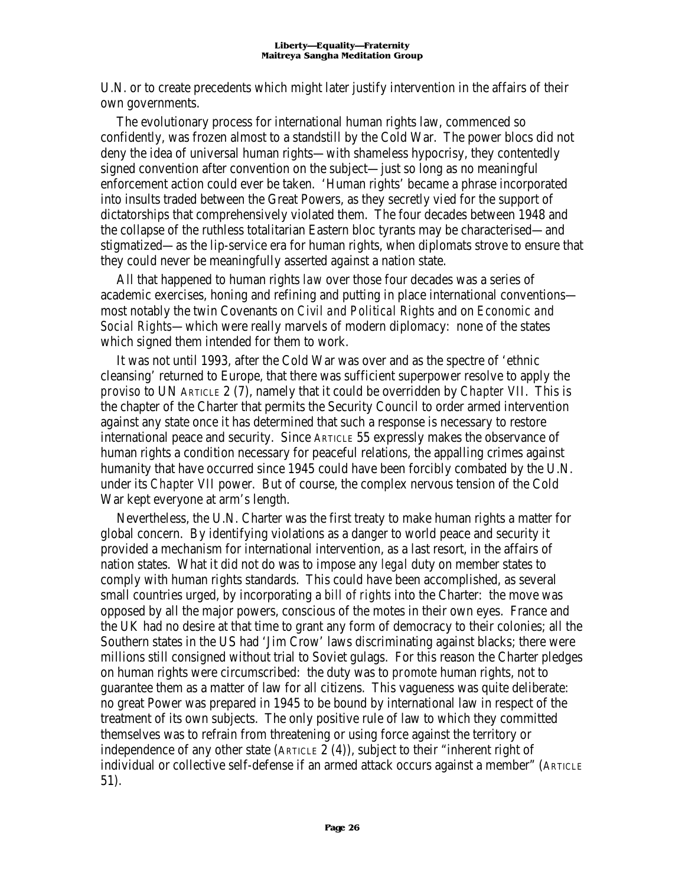U.N. or to create precedents which might later justify intervention in the affairs of their own governments.

The evolutionary process for international human rights law, commenced so confidently, was frozen almost to a standstill by the Cold War. The power blocs did not deny the idea of universal human rights—with shameless hypocrisy, they contentedly signed convention after convention on the subject—just so long as no meaningful enforcement action could ever be taken. 'Human rights' became a phrase incorporated into insults traded between the Great Powers, as they secretly vied for the support of dictatorships that comprehensively violated them. The four decades between 1948 and the collapse of the ruthless totalitarian Eastern bloc tyrants may be characterised—and stigmatized—as the lip-service era for human rights, when diplomats strove to ensure that they could never be meaningfully asserted against a nation state.

All that happened to human rights *law* over those four decades was a series of academic exercises, honing and refining and putting in place international conventions most notably the twin Covenants on *Civil and Political Rights* and on *Economic and Social Rights*—which were really marvels of modern diplomacy: none of the states which signed them intended for them to work.

It was not until 1993, after the Cold War was over and as the spectre of 'ethnic cleansing' returned to Europe, that there was sufficient superpower resolve to apply the *proviso* to UN ARTICLE 2 (7), namely that it could be overridden by *Chapter VII*. This is the chapter of the Charter that permits the Security Council to order armed intervention against any state once it has determined that such a response is necessary to restore international peace and security. Since ARTICLE 55 expressly makes the observance of human rights a condition necessary for peaceful relations, the appalling crimes against humanity that have occurred since 1945 could have been forcibly combated by the U.N. under its *Chapter VII* power. But of course, the complex nervous tension of the Cold War kept everyone at arm's length.

Nevertheless, the U.N. Charter was the first treaty to make human rights a matter for global concern. By identifying violations as a danger to world peace and security it provided a mechanism for international intervention, as a last resort, in the affairs of nation states. What it did not do was to impose any *legal* duty on member states to comply with human rights standards. This could have been accomplished, as several small countries urged, by incorporating a *bill of rights* into the Charter: the move was opposed by all the major powers, conscious of the motes in their own eyes. France and the UK had no desire at that time to grant any form of democracy to their colonies; all the Southern states in the US had 'Jim Crow' laws discriminating against blacks; there were millions still consigned without trial to Soviet gulags. For this reason the Charter pledges on human rights were circumscribed: the duty was to *promote* human rights, not to guarantee them as a matter of law for all citizens. This vagueness was quite deliberate: no great Power was prepared in 1945 to be bound by international law in respect of the treatment of its own subjects. The only positive rule of law to which they committed themselves was to refrain from threatening or using force against the territory or independence of any other state (ARTICLE 2 (4)), subject to their "inherent right of individual or collective self-defense if an armed attack occurs against a member" (ARTICLE 51).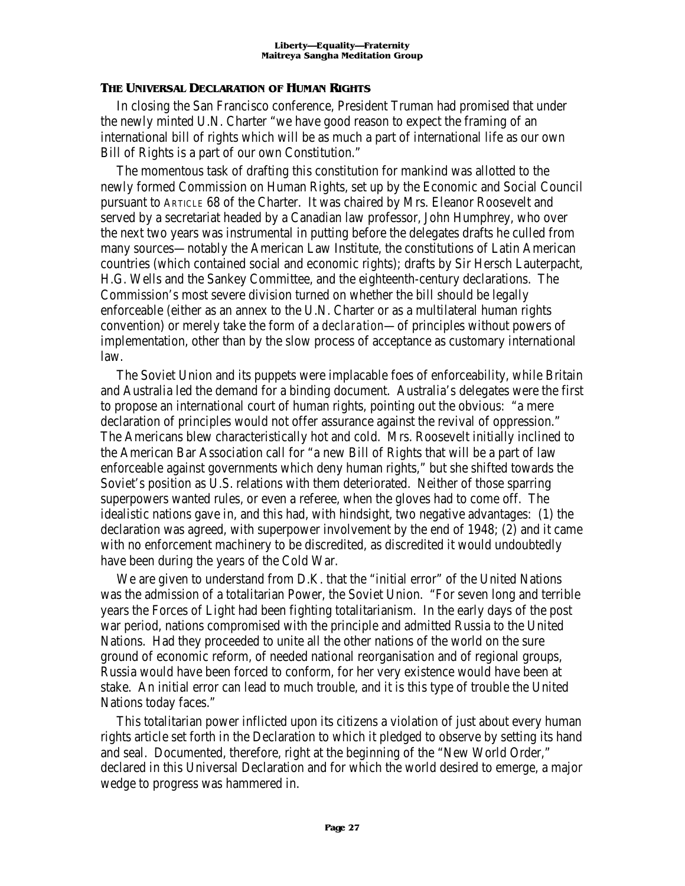# THE UNIVERSAL DECLARATION OF HUMAN RIGHTS

In closing the San Francisco conference, President Truman had promised that under the newly minted U.N. Charter "we have good reason to expect the framing of an international bill of rights which will be as much a part of international life as our own Bill of Rights is a part of our own Constitution."

The momentous task of drafting this constitution for mankind was allotted to the newly formed Commission on Human Rights, set up by the Economic and Social Council pursuant to ARTICLE 68 of the Charter. It was chaired by Mrs. Eleanor Roosevelt and served by a secretariat headed by a Canadian law professor, John Humphrey, who over the next two years was instrumental in putting before the delegates drafts he culled from many sources—notably the American Law Institute, the constitutions of Latin American countries (which contained social and economic rights); drafts by Sir Hersch Lauterpacht, H.G. Wells and the Sankey Committee, and the eighteenth-century declarations. The Commission's most severe division turned on whether the bill should be legally enforceable (either as an annex to the U.N. Charter or as a multilateral human rights convention) or merely take the form of a *declaration*—of principles without powers of implementation, other than by the slow process of acceptance as customary international law.

The Soviet Union and its puppets were implacable foes of enforceability, while Britain and Australia led the demand for a binding document. Australia's delegates were the first to propose an international court of human rights, pointing out the obvious: "a mere declaration of principles would not offer assurance against the revival of oppression." The Americans blew characteristically hot and cold. Mrs. Roosevelt initially inclined to the American Bar Association call for "a new Bill of Rights that will be a part of law enforceable against governments which deny human rights," but she shifted towards the Soviet's position as U.S. relations with them deteriorated. Neither of those sparring superpowers wanted rules, or even a referee, when the gloves had to come off. The idealistic nations gave in, and this had, with hindsight, two negative advantages: (1) the declaration was agreed, with superpower involvement by the end of 1948; (2) and it came with no enforcement machinery to be discredited, as discredited it would undoubtedly have been during the years of the Cold War.

We are given to understand from D.K. that the "initial error" of the United Nations was the admission of a totalitarian Power, the Soviet Union. "For seven long and terrible years the Forces of Light had been fighting totalitarianism. In the early days of the post war period, nations compromised with the principle and admitted Russia to the United Nations. Had they proceeded to unite all the other nations of the world on the sure ground of economic reform, of needed national reorganisation and of regional groups, Russia would have been forced to conform, for her very existence would have been at stake. An initial error can lead to much trouble, and it is this type of trouble the United Nations today faces."

This totalitarian power inflicted upon its citizens a violation of just about every human rights article set forth in the Declaration to which it pledged to observe by setting its hand and seal. Documented, therefore, right at the beginning of the "New World Order," declared in this Universal Declaration and for which the world desired to emerge, a major wedge to progress was hammered in.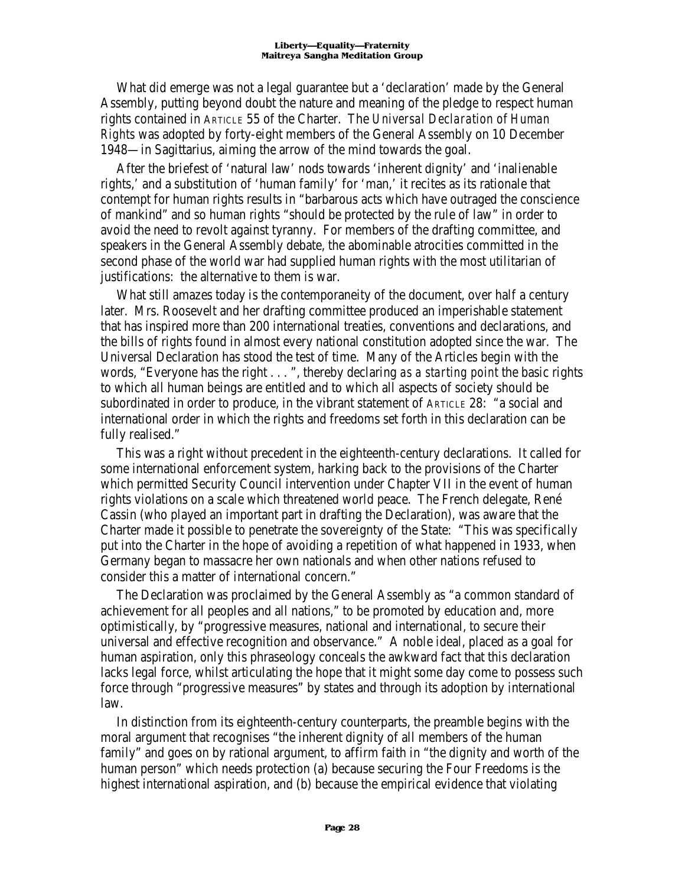What did emerge was not a legal guarantee but a 'declaration' made by the General Assembly, putting beyond doubt the nature and meaning of the pledge to respect human rights contained in ARTICLE 55 of the Charter. The *Universal Declaration of Human Rights* was adopted by forty-eight members of the General Assembly on 10 December 1948—in Sagittarius, aiming the arrow of the mind towards the goal.

After the briefest of 'natural law' nods towards 'inherent dignity' and 'inalienable rights,' and a substitution of 'human family' for 'man,' it recites as its rationale that contempt for human rights results in "barbarous acts which have outraged the conscience of mankind" and so human rights "should be protected by the rule of law" in order to avoid the need to revolt against tyranny. For members of the drafting committee, and speakers in the General Assembly debate, the abominable atrocities committed in the second phase of the world war had supplied human rights with the most utilitarian of justifications: the alternative to them is war.

What still amazes today is the contemporaneity of the document, over half a century later. Mrs. Roosevelt and her drafting committee produced an imperishable statement that has inspired more than 200 international treaties, conventions and declarations, and the bills of rights found in almost every national constitution adopted since the war. The Universal Declaration has stood the test of time. Many of the Articles begin with the words, "Everyone has the right . . . ", thereby declaring *as a starting point* the basic rights to which all human beings are entitled and to which all aspects of society should be subordinated in order to produce, in the vibrant statement of ARTICLE 28: "a social and international order in which the rights and freedoms set forth in this declaration can be fully realised."

This was a right without precedent in the eighteenth-century declarations. It called for some international enforcement system, harking back to the provisions of the Charter which permitted Security Council intervention under Chapter VII in the event of human rights violations on a scale which threatened world peace. The French delegate, René Cassin (who played an important part in drafting the Declaration), was aware that the Charter made it possible to penetrate the sovereignty of the State: "This was specifically put into the Charter in the hope of avoiding a repetition of what happened in 1933, when Germany began to massacre her own nationals and when other nations refused to consider this a matter of international concern."

The Declaration was proclaimed by the General Assembly as "a common standard of achievement for all peoples and all nations," to be promoted by education and, more optimistically, by "progressive measures, national and international, to secure their universal and effective recognition and observance." A noble ideal, placed as a goal for human aspiration, only this phraseology conceals the awkward fact that this declaration lacks legal force, whilst articulating the hope that it might some day come to possess such force through "progressive measures" by states and through its adoption by international law.

In distinction from its eighteenth-century counterparts, the preamble begins with the moral argument that recognises "the inherent dignity of all members of the human family" and goes on by rational argument, to affirm faith in "the dignity and worth of the human person" which needs protection (a) because securing the Four Freedoms is the highest international aspiration, and (b) because the empirical evidence that violating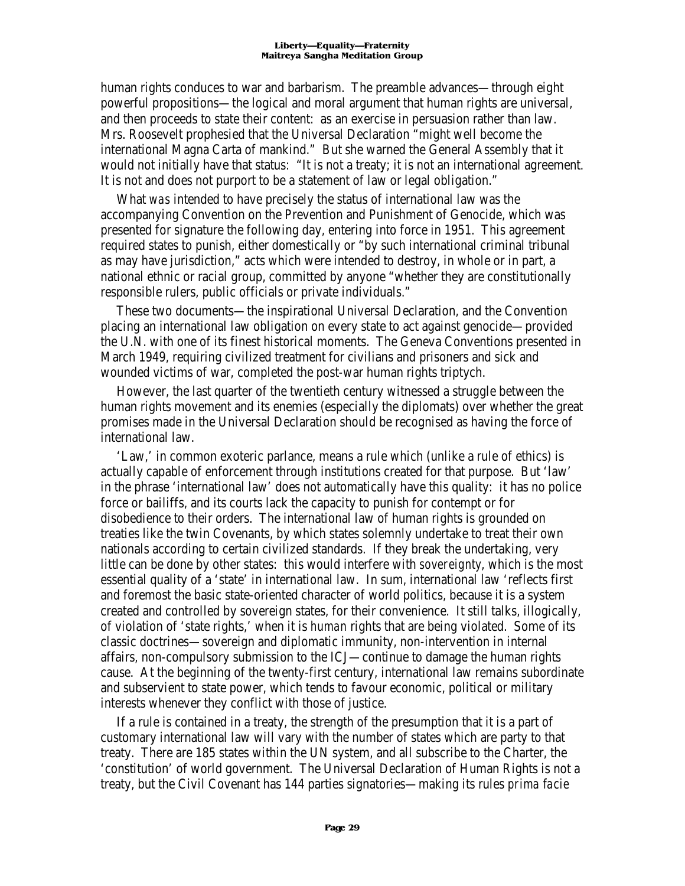human rights conduces to war and barbarism. The preamble advances—through eight powerful propositions—the logical and moral argument that human rights are universal, and then proceeds to state their content: as an exercise in persuasion rather than law. Mrs. Roosevelt prophesied that the Universal Declaration "might well become the international Magna Carta of mankind." But she warned the General Assembly that it would not initially have that status: "It is not a treaty; it is not an international agreement. It is not and does not purport to be a statement of law or legal obligation."

What *was* intended to have precisely the status of international law was the accompanying Convention on the Prevention and Punishment of Genocide, which was presented for signature the following day, entering into force in 1951. This agreement required states to punish, either domestically or "by such international criminal tribunal as may have jurisdiction," acts which were intended to destroy, in whole or in part, a national ethnic or racial group, committed by anyone "whether they are constitutionally responsible rulers, public officials or private individuals."

These two documents—the inspirational Universal Declaration, and the Convention placing an international law obligation on every state to act against genocide—provided the U.N. with one of its finest historical moments. The Geneva Conventions presented in March 1949, requiring civilized treatment for civilians and prisoners and sick and wounded victims of war, completed the post-war human rights triptych.

However, the last quarter of the twentieth century witnessed a struggle between the human rights movement and its enemies (especially the diplomats) over whether the great promises made in the Universal Declaration should be recognised as having the force of international law.

'Law,' in common exoteric parlance, means a rule which (unlike a rule of ethics) is actually capable of enforcement through institutions created for that purpose. But 'law' in the phrase 'international law' does not automatically have this quality: it has no police force or bailiffs, and its courts lack the capacity to punish for contempt or for disobedience to their orders. The international law of human rights is grounded on treaties like the twin Covenants, by which states solemnly undertake to treat their own nationals according to certain civilized standards. If they break the undertaking, very little can be done by other states: this would interfere with *sovereignty*, which is the most essential quality of a 'state' in international law. In sum, international law 'reflects first and foremost the basic state-oriented character of world politics, because it is a system created and controlled by sovereign states, for their convenience. It still talks, illogically, of violation of 'state rights,' when it is *human* rights that are being violated. Some of its classic doctrines—sovereign and diplomatic immunity, non-intervention in internal affairs, non-compulsory submission to the ICJ—continue to damage the human rights cause. At the beginning of the twenty-first century, international law remains subordinate and subservient to state power, which tends to favour economic, political or military interests whenever they conflict with those of justice.

If a rule is contained in a treaty, the strength of the presumption that it is a part of customary international law will vary with the number of states which are party to that treaty. There are 185 states within the UN system, and all subscribe to the Charter, the 'constitution' of world government. The Universal Declaration of Human Rights is not a treaty, but the Civil Covenant has 144 parties signatories—making its rules *prima facie*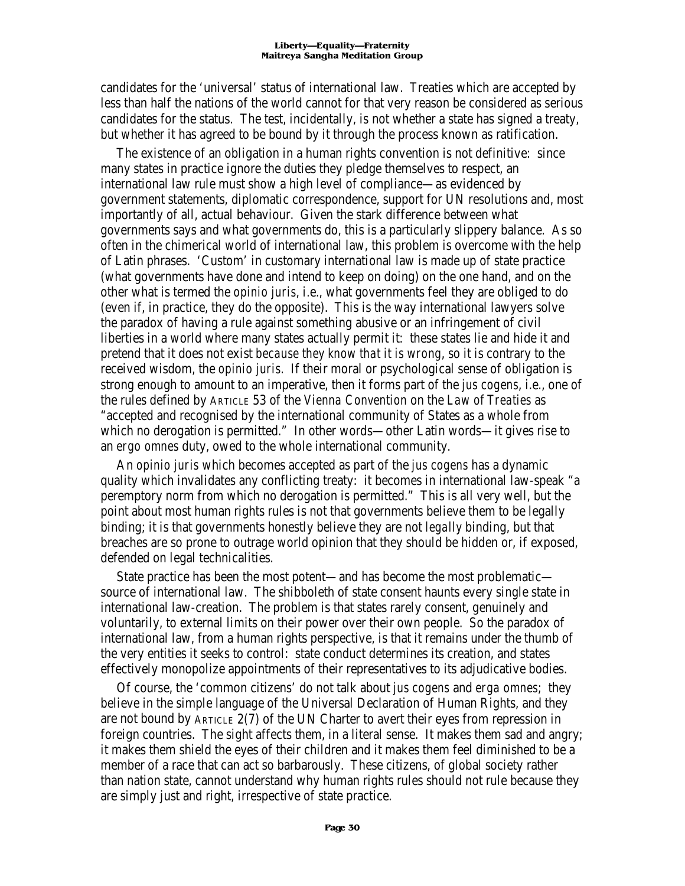candidates for the 'universal' status of international law. Treaties which are accepted by less than half the nations of the world cannot for that very reason be considered as serious candidates for the status. The test, incidentally, is not whether a state has signed a treaty, but whether it has agreed to be bound by it through the process known as ratification.

The existence of an obligation in a human rights convention is not definitive: since many states in practice ignore the duties they pledge themselves to respect, an international law rule must show a high level of compliance—as evidenced by government statements, diplomatic correspondence, support for UN resolutions and, most importantly of all, actual behaviour. Given the stark difference between what governments says and what governments do, this is a particularly slippery balance. As so often in the chimerical world of international law, this problem is overcome with the help of Latin phrases. 'Custom' in customary international law is made up of state practice (what governments have done and intend to keep on doing) on the one hand, and on the other what is termed the *opinio juris*, i.e., what governments feel they are obliged to do (even if, in practice, they do the opposite). This is the way international lawyers solve the paradox of having a rule against something abusive or an infringement of civil liberties in a world where many states actually permit it: these states lie and hide it and pretend that it does not exist *because they know that it is wrong*, so it is contrary to the received wisdom, the *opinio juris*. If their moral or psychological sense of obligation is strong enough to amount to an imperative, then it forms part of the *jus cogens*, i.e., one of the rules defined by ARTICLE 53 of the *Vienna Convention* on the *Law of Treaties* as "accepted and recognised by the international community of States as a whole from which no derogation is permitted." In other words—other Latin words—it gives rise to an *ergo omnes* duty, owed to the whole international community.

An *opinio juris* which becomes accepted as part of the *jus cogens* has a dynamic quality which invalidates any conflicting treaty: it becomes in international law-speak "a peremptory norm from which no derogation is permitted." This is all very well, but the point about most human rights rules is not that governments believe them to be legally binding; it is that governments honestly believe they are not *legally* binding, but that breaches are so prone to outrage world opinion that they should be hidden or, if exposed, defended on legal technicalities.

State practice has been the most potent—and has become the most problematic source of international law. The shibboleth of state consent haunts every single state in international law-creation. The problem is that states rarely consent, genuinely and voluntarily, to external limits on their power over their own people. So the paradox of international law, from a human rights perspective, is that it remains under the thumb of the very entities it seeks to control: state conduct determines its creation, and states effectively monopolize appointments of their representatives to its adjudicative bodies.

Of course, the 'common citizens' do not talk about *jus cogens* and *erga omnes*; they believe in the simple language of the Universal Declaration of Human Rights, and they are not bound by ARTICLE 2(7) of the UN Charter to avert their eyes from repression in foreign countries. The sight affects them, in a literal sense. It makes them sad and angry; it makes them shield the eyes of their children and it makes them feel diminished to be a member of a race that can act so barbarously. These citizens, of global society rather than nation state, cannot understand why human rights rules should not rule because they are simply just and right, irrespective of state practice.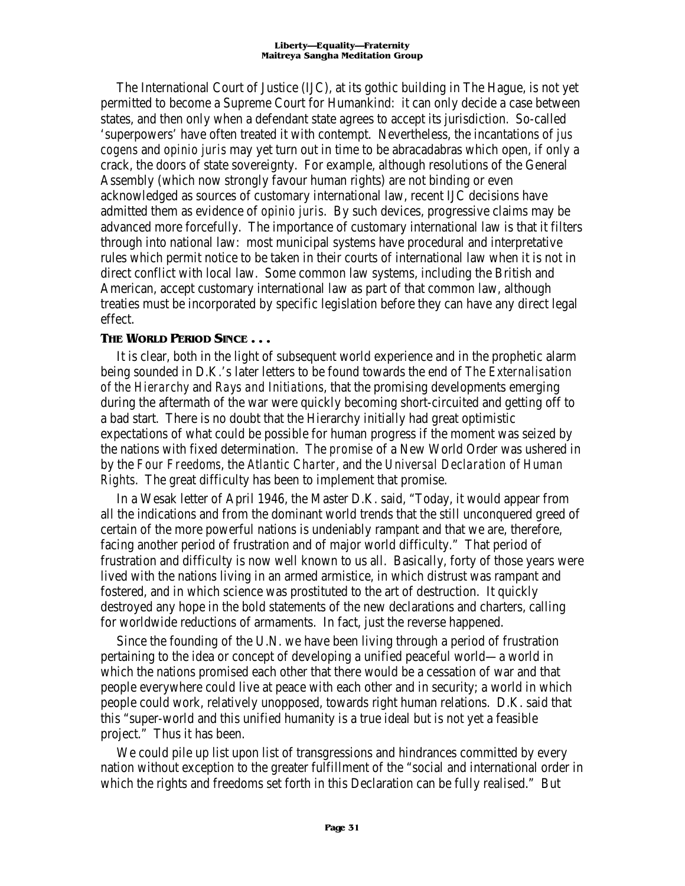The International Court of Justice (IJC), at its gothic building in The Hague, is not yet permitted to become a Supreme Court for Humankind: it can only decide a case between states, and then only when a defendant state agrees to accept its jurisdiction. So-called 'superpowers' have often treated it with contempt. Nevertheless, the incantations of *jus cogens* and *opinio juris* may yet turn out in time to be abracadabras which open, if only a crack, the doors of state sovereignty. For example, although resolutions of the General Assembly (which now strongly favour human rights) are not binding or even acknowledged as sources of customary international law, recent IJC decisions have admitted them as evidence of *opinio juris*. By such devices, progressive claims may be advanced more forcefully. The importance of customary international law is that it filters through into national law: most municipal systems have procedural and interpretative rules which permit notice to be taken in their courts of international law when it is not in direct conflict with local law. Some common law systems, including the British and American, accept customary international law as part of that common law, although treaties must be incorporated by specific legislation before they can have any direct legal effect.

# THE WORLD PERIOD SINCE . . .

It is clear, both in the light of subsequent world experience and in the prophetic alarm being sounded in D.K.'s later letters to be found towards the end of *The Externalisation of the Hierarchy* and *Rays and Initiations*, that the promising developments emerging during the aftermath of the war were quickly becoming short-circuited and getting off to a bad start. There is no doubt that the Hierarchy initially had great optimistic expectations of what could be possible for human progress if the moment was seized by the nations with fixed determination. The *promise* of a New World Order was ushered in by the *Four Freedoms*, the *Atlantic Charter*, and the *Universal Declaration of Human Rights*. The great difficulty has been to implement that promise.

In a Wesak letter of April 1946, the Master D.K. said, "Today, it would appear from all the indications and from the dominant world trends that the still unconquered greed of certain of the more powerful nations is undeniably rampant and that we are, therefore, facing another period of frustration and of major world difficulty." That period of frustration and difficulty is now well known to us all. Basically, forty of those years were lived with the nations living in an armed armistice, in which distrust was rampant and fostered, and in which science was prostituted to the art of destruction. It quickly destroyed any hope in the bold statements of the new declarations and charters, calling for worldwide reductions of armaments. In fact, just the reverse happened.

Since the founding of the U.N. we have been living through a period of frustration pertaining to the idea or concept of developing a unified peaceful world—a world in which the nations promised each other that there would be a cessation of war and that people everywhere could live at peace with each other and in security; a world in which people could work, relatively unopposed, towards right human relations. D.K. said that this "super-world and this unified humanity is a true ideal but is not yet a feasible project." Thus it has been.

We could pile up list upon list of transgressions and hindrances committed by every nation without exception to the greater fulfillment of the "social and international order in which the rights and freedoms set forth in this Declaration can be fully realised." But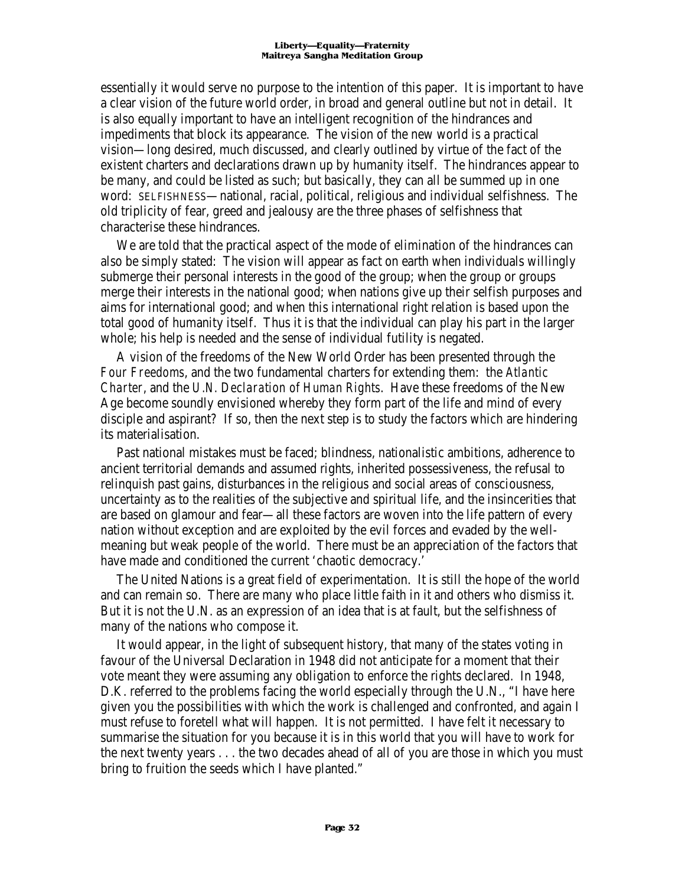essentially it would serve no purpose to the intention of this paper. It is important to have a clear vision of the future world order, in broad and general outline but not in detail. It is also equally important to have an intelligent recognition of the hindrances and impediments that block its appearance. The vision of the new world is a practical vision—long desired, much discussed, and clearly outlined by virtue of the fact of the existent charters and declarations drawn up by humanity itself. The hindrances appear to be many, and could be listed as such; but basically, they can all be summed up in one word: SELFISHNESS—national, racial, political, religious and individual selfishness. The old triplicity of fear, greed and jealousy are the three phases of selfishness that characterise these hindrances.

We are told that the practical aspect of the mode of elimination of the hindrances can also be simply stated: The vision will appear as fact on earth when individuals willingly submerge their personal interests in the good of the group; when the group or groups merge their interests in the national good; when nations give up their selfish purposes and aims for international good; and when this international right relation is based upon the total good of humanity itself. Thus it is that the individual can play his part in the larger whole; his help is needed and the sense of individual futility is negated.

A vision of the freedoms of the New World Order has been presented through the *Four Freedoms*, and the two fundamental charters for extending them: the *Atlantic Charter*, and the *U.N. Declaration of Human Rights*. Have these freedoms of the New Age become soundly envisioned whereby they form part of the life and mind of every disciple and aspirant? If so, then the next step is to study the factors which are hindering its materialisation.

Past national mistakes must be faced; blindness, nationalistic ambitions, adherence to ancient territorial demands and assumed rights, inherited possessiveness, the refusal to relinquish past gains, disturbances in the religious and social areas of consciousness, uncertainty as to the realities of the subjective and spiritual life, and the insincerities that are based on glamour and fear—all these factors are woven into the life pattern of every nation without exception and are exploited by the evil forces and evaded by the wellmeaning but weak people of the world. There must be an appreciation of the factors that have made and conditioned the current 'chaotic democracy.'

The United Nations is a great field of experimentation. It is still the hope of the world and can remain so. There are many who place little faith in it and others who dismiss it. But it is not the U.N. as an expression of an idea that is at fault, but the selfishness of many of the nations who compose it.

It would appear, in the light of subsequent history, that many of the states voting in favour of the Universal Declaration in 1948 did not anticipate for a moment that their vote meant they were assuming any obligation to enforce the rights declared. In 1948, D.K. referred to the problems facing the world especially through the U.N., "I have here given you the possibilities with which the work is challenged and confronted, and again I must refuse to foretell what will happen. It is not permitted. I have felt it necessary to summarise the situation for you because it is in this world that you will have to work for the next twenty years . . . the two decades ahead of all of you are those in which you must bring to fruition the seeds which I have planted."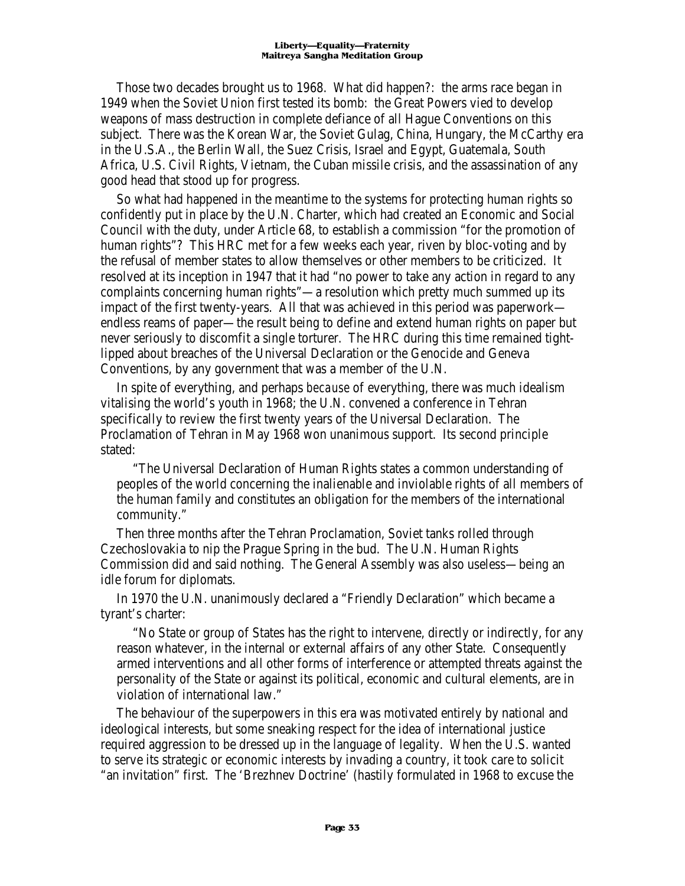Those two decades brought us to 1968. What did happen?: the arms race began in 1949 when the Soviet Union first tested its bomb: the Great Powers vied to develop weapons of mass destruction in complete defiance of all Hague Conventions on this subject. There was the Korean War, the Soviet Gulag, China, Hungary, the McCarthy era in the U.S.A., the Berlin Wall, the Suez Crisis, Israel and Egypt, Guatemala, South Africa, U.S. Civil Rights, Vietnam, the Cuban missile crisis, and the assassination of any good head that stood up for progress.

So what had happened in the meantime to the systems for protecting human rights so confidently put in place by the U.N. Charter, which had created an Economic and Social Council with the duty, under Article 68, to establish a commission "for the promotion of human rights"? This HRC met for a few weeks each year, riven by bloc-voting and by the refusal of member states to allow themselves or other members to be criticized. It resolved at its inception in 1947 that it had "no power to take any action in regard to any complaints concerning human rights"—a resolution which pretty much summed up its impact of the first twenty-years. All that was achieved in this period was paperwork endless reams of paper—the result being to define and extend human rights on paper but never seriously to discomfit a single torturer. The HRC during this time remained tightlipped about breaches of the Universal Declaration or the Genocide and Geneva Conventions, by any government that was a member of the U.N.

In spite of everything, and perhaps *because* of everything, there was much idealism vitalising the world's youth in 1968; the U.N. convened a conference in Tehran specifically to review the first twenty years of the Universal Declaration. The Proclamation of Tehran in May 1968 won unanimous support. Its second principle stated:

"The Universal Declaration of Human Rights states a common understanding of peoples of the world concerning the inalienable and inviolable rights of all members of the human family and constitutes an obligation for the members of the international community."

Then three months after the Tehran Proclamation, Soviet tanks rolled through Czechoslovakia to nip the Prague Spring in the bud. The U.N. Human Rights Commission did and said nothing. The General Assembly was also useless—being an idle forum for diplomats.

In 1970 the U.N. unanimously declared a "Friendly Declaration" which became a tyrant's charter:

"No State or group of States has the right to intervene, directly or indirectly, for any reason whatever, in the internal or external affairs of any other State. Consequently armed interventions and all other forms of interference or attempted threats against the personality of the State or against its political, economic and cultural elements, are in violation of international law."

The behaviour of the superpowers in this era was motivated entirely by national and ideological interests, but some sneaking respect for the idea of international justice required aggression to be dressed up in the language of legality. When the U.S. wanted to serve its strategic or economic interests by invading a country, it took care to solicit "an invitation" first. The 'Brezhnev Doctrine' (hastily formulated in 1968 to excuse the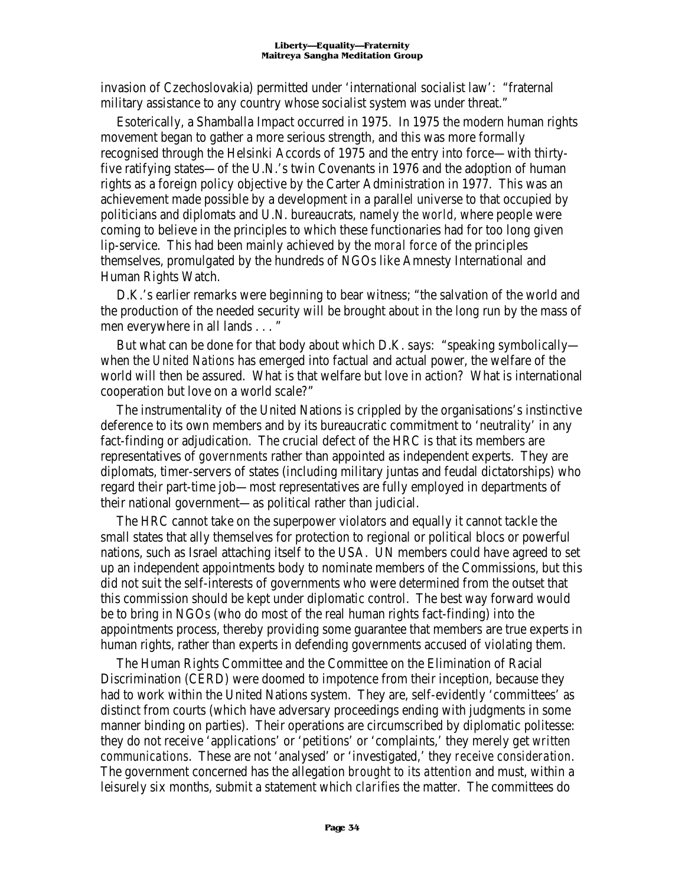invasion of Czechoslovakia) permitted under 'international socialist law': "fraternal military assistance to any country whose socialist system was under threat."

Esoterically, a Shamballa Impact occurred in 1975. In 1975 the modern human rights movement began to gather a more serious strength, and this was more formally recognised through the Helsinki Accords of 1975 and the entry into force—with thirtyfive ratifying states—of the U.N.'s twin Covenants in 1976 and the adoption of human rights as a foreign policy objective by the Carter Administration in 1977. This was an achievement made possible by a development in a parallel universe to that occupied by politicians and diplomats and U.N. bureaucrats, namely *the world*, where people were coming to believe in the principles to which these functionaries had for too long given lip-service. This had been mainly achieved by the *moral force* of the principles themselves, promulgated by the hundreds of NGOs like Amnesty International and Human Rights Watch.

D.K.'s earlier remarks were beginning to bear witness; "the salvation of the world and the production of the needed security will be brought about in the long run by the mass of men everywhere in all lands . . . "

But what can be done for that body about which D.K. says: "speaking symbolically when the *United Nations* has emerged into factual and actual power, the welfare of the world will then be assured. What is that welfare but love in action? What is international cooperation but love on a world scale?"

The instrumentality of the United Nations is crippled by the organisations's instinctive deference to its own members and by its bureaucratic commitment to 'neutrality' in any fact-finding or adjudication. The crucial defect of the HRC is that its members are representatives of *governments* rather than appointed as independent experts. They are diplomats, timer-servers of states (including military juntas and feudal dictatorships) who regard their part-time job—most representatives are fully employed in departments of their national government—as political rather than judicial.

The HRC cannot take on the superpower violators and equally it cannot tackle the small states that ally themselves for protection to regional or political blocs or powerful nations, such as Israel attaching itself to the USA. UN members could have agreed to set up an independent appointments body to nominate members of the Commissions, but this did not suit the self-interests of governments who were determined from the outset that this commission should be kept under diplomatic control. The best way forward would be to bring in NGOs (who do most of the real human rights fact-finding) into the appointments process, thereby providing some guarantee that members are true experts in human rights, rather than experts in defending governments accused of violating them.

The Human Rights Committee and the Committee on the Elimination of Racial Discrimination (CERD) were doomed to impotence from their inception, because they had to work within the United Nations system. They are, self-evidently 'committees' as distinct from courts (which have adversary proceedings ending with judgments in some manner binding on parties). Their operations are circumscribed by diplomatic politesse: they do not receive 'applications' or 'petitions' or 'complaints,' they merely get *written communications*. These are not 'analysed' or 'investigated,' they *receive consideration*. The government concerned has the allegation *brought to its attention* and must, within a leisurely six months, submit a statement which *clarifies* the matter. The committees do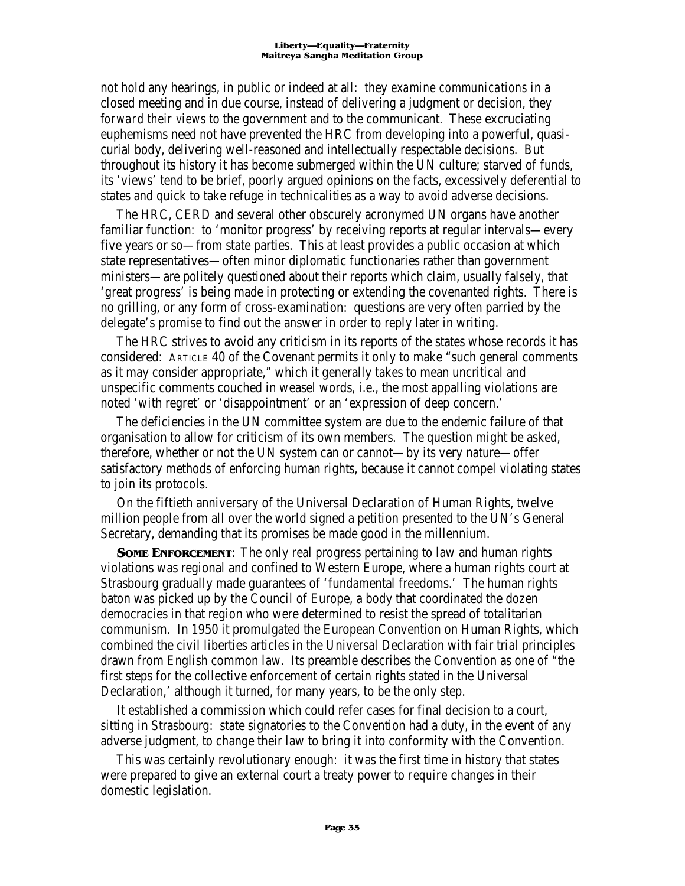not hold any hearings, in public or indeed at all: they *examine communications* in a closed meeting and in due course, instead of delivering a judgment or decision, they *forward their views* to the government and to the communicant. These excruciating euphemisms need not have prevented the HRC from developing into a powerful, quasicurial body, delivering well-reasoned and intellectually respectable decisions. But throughout its history it has become submerged within the UN culture; starved of funds, its 'views' tend to be brief, poorly argued opinions on the facts, excessively deferential to states and quick to take refuge in technicalities as a way to avoid adverse decisions.

The HRC, CERD and several other obscurely acronymed UN organs have another familiar function: to 'monitor progress' by receiving reports at regular intervals—every five years or so—from state parties. This at least provides a public occasion at which state representatives—often minor diplomatic functionaries rather than government ministers—are politely questioned about their reports which claim, usually falsely, that 'great progress' is being made in protecting or extending the covenanted rights. There is no grilling, or any form of cross-examination: questions are very often parried by the delegate's promise to find out the answer in order to reply later in writing.

The HRC strives to avoid any criticism in its reports of the states whose records it has considered: ARTICLE 40 of the Covenant permits it only to make "such general comments as it may consider appropriate," which it generally takes to mean uncritical and unspecific comments couched in weasel words, i.e., the most appalling violations are noted 'with regret' or 'disappointment' or an 'expression of deep concern.'

The deficiencies in the UN committee system are due to the endemic failure of that organisation to allow for criticism of its own members. The question might be asked, therefore, whether or not the UN system can or cannot—by its very nature—offer satisfactory methods of enforcing human rights, because it cannot compel violating states to join its protocols.

On the fiftieth anniversary of the Universal Declaration of Human Rights, twelve million people from all over the world signed a petition presented to the UN's General Secretary, demanding that its promises be made good in the millennium.

**SOME ENFORCEMENT:** The only real progress pertaining to law and human rights violations was regional and confined to Western Europe, where a human rights court at Strasbourg gradually made guarantees of 'fundamental freedoms.' The human rights baton was picked up by the Council of Europe, a body that coordinated the dozen democracies in that region who were determined to resist the spread of totalitarian communism. In 1950 it promulgated the European Convention on Human Rights, which combined the civil liberties articles in the Universal Declaration with fair trial principles drawn from English common law. Its preamble describes the Convention as one of "the first steps for the collective enforcement of certain rights stated in the Universal Declaration,' although it turned, for many years, to be the only step.

It established a commission which could refer cases for final decision to a court, sitting in Strasbourg: state signatories to the Convention had a duty, in the event of any adverse judgment, to change their law to bring it into conformity with the Convention.

This was certainly revolutionary enough: it was the first time in history that states were prepared to give an external court a treaty power to *require* changes in their domestic legislation.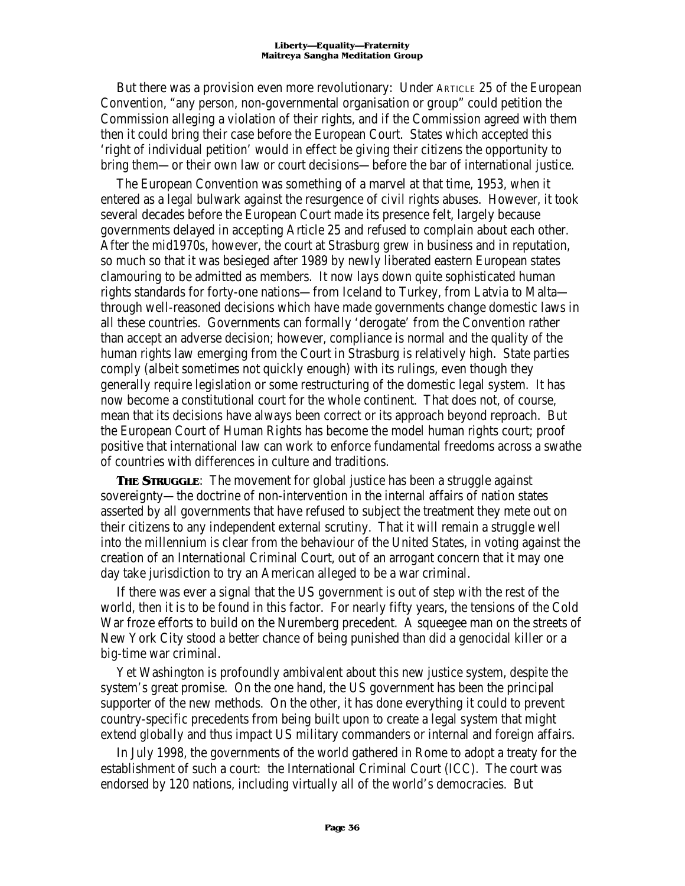But there was a provision even more revolutionary: Under ARTICLE 25 of the European Convention, "any person, non-governmental organisation or group" could petition the Commission alleging a violation of their rights, and if the Commission agreed with them then it could bring their case before the European Court. States which accepted this 'right of individual petition' would in effect be giving their citizens the opportunity to bring *them*—or their own law or court decisions—before the bar of international justice.

The European Convention was something of a marvel at that time, 1953, when it entered as a legal bulwark against the resurgence of civil rights abuses. However, it took several decades before the European Court made its presence felt, largely because governments delayed in accepting Article 25 and refused to complain about each other. After the mid1970s, however, the court at Strasburg grew in business and in reputation, so much so that it was besieged after 1989 by newly liberated eastern European states clamouring to be admitted as members. It now lays down quite sophisticated human rights standards for forty-one nations—from Iceland to Turkey, from Latvia to Malta through well-reasoned decisions which have made governments change domestic laws in all these countries. Governments can formally 'derogate' from the Convention rather than accept an adverse decision; however, compliance is normal and the quality of the human rights law emerging from the Court in Strasburg is relatively high. State parties comply (albeit sometimes not quickly enough) with its rulings, even though they generally require legislation or some restructuring of the domestic legal system. It has now become a constitutional court for the whole continent. That does not, of course, mean that its decisions have always been correct or its approach beyond reproach. But the European Court of Human Rights has become the model human rights court; proof positive that international law can work to enforce fundamental freedoms across a swathe of countries with differences in culture and traditions.

**THE STRUGGLE:** The movement for global justice has been a struggle against sovereignty—the doctrine of non-intervention in the internal affairs of nation states asserted by all governments that have refused to subject the treatment they mete out on their citizens to any independent external scrutiny. That it will remain a struggle well into the millennium is clear from the behaviour of the United States, in voting against the creation of an International Criminal Court, out of an arrogant concern that it may one day take jurisdiction to try an American alleged to be a war criminal.

If there was ever a signal that the US government is out of step with the rest of the world, then it is to be found in this factor. For nearly fifty years, the tensions of the Cold War froze efforts to build on the Nuremberg precedent. A squeegee man on the streets of New York City stood a better chance of being punished than did a genocidal killer or a big-time war criminal.

Yet Washington is profoundly ambivalent about this new justice system, despite the system's great promise. On the one hand, the US government has been the principal supporter of the new methods. On the other, it has done everything it could to prevent country-specific precedents from being built upon to create a legal system that might extend globally and thus impact US military commanders or internal and foreign affairs.

In July 1998, the governments of the world gathered in Rome to adopt a treaty for the establishment of such a court: the International Criminal Court (ICC). The court was endorsed by 120 nations, including virtually all of the world's democracies. But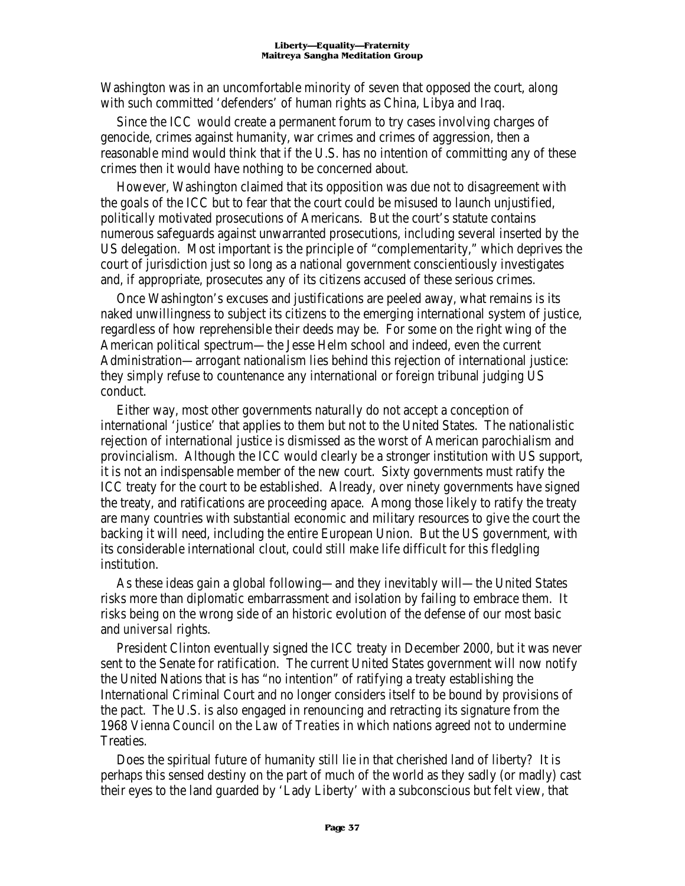Washington was in an uncomfortable minority of seven that opposed the court, along with such committed 'defenders' of human rights as China, Libya and Iraq.

Since the ICC would create a permanent forum to try cases involving charges of genocide, crimes against humanity, war crimes and crimes of aggression, then a reasonable mind would think that if the U.S. has no intention of committing any of these crimes then it would have nothing to be concerned about.

However, Washington claimed that its opposition was due not to disagreement with the goals of the ICC but to fear that the court could be misused to launch unjustified, politically motivated prosecutions of Americans. But the court's statute contains numerous safeguards against unwarranted prosecutions, including several inserted by the US delegation. Most important is the principle of "complementarity," which deprives the court of jurisdiction just so long as a national government conscientiously investigates and, if appropriate, prosecutes any of its citizens accused of these serious crimes.

Once Washington's excuses and justifications are peeled away, what remains is its naked unwillingness to subject its citizens to the emerging international system of justice, regardless of how reprehensible their deeds may be. For some on the right wing of the American political spectrum—the Jesse Helm school and indeed, even the current Administration—arrogant nationalism lies behind this rejection of international justice: they simply refuse to countenance any international or foreign tribunal judging US conduct.

Either way, most other governments naturally do not accept a conception of international 'justice' that applies to them but not to the United States. The nationalistic rejection of international justice is dismissed as the worst of American parochialism and provincialism. Although the ICC would clearly be a stronger institution with US support, it is not an indispensable member of the new court. Sixty governments must ratify the ICC treaty for the court to be established. Already, over ninety governments have signed the treaty, and ratifications are proceeding apace. Among those likely to ratify the treaty are many countries with substantial economic and military resources to give the court the backing it will need, including the entire European Union. But the US government, with its considerable international clout, could still make life difficult for this fledgling institution.

As these ideas gain a global following—and they inevitably will—the United States risks more than diplomatic embarrassment and isolation by failing to embrace them. It risks being on the wrong side of an historic evolution of the defense of our most basic and *universal* rights.

President Clinton eventually signed the ICC treaty in December 2000, but it was never sent to the Senate for ratification. The current United States government will now notify the United Nations that is has "no intention" of ratifying a treaty establishing the International Criminal Court and no longer considers itself to be bound by provisions of the pact. The U.S. is also engaged in renouncing and retracting its signature from the 1968 Vienna Council on the *Law of Treaties* in which nations agreed *not* to undermine Treaties.

Does the spiritual future of humanity still lie in that cherished land of liberty? It is perhaps this sensed destiny on the part of much of the world as they sadly (or madly) cast their eyes to the land guarded by 'Lady Liberty' with a subconscious but felt view, that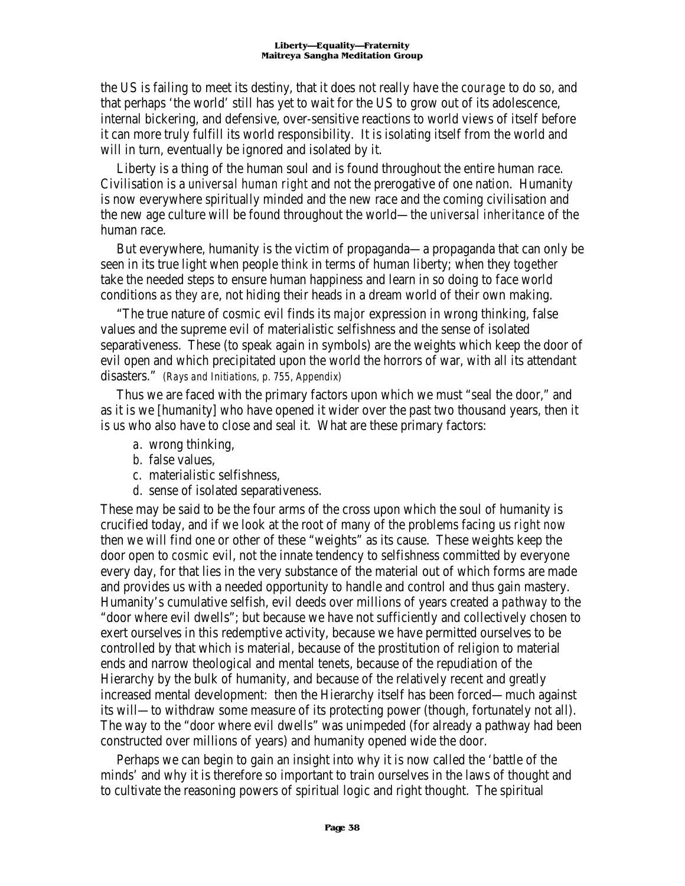the US is failing to meet its destiny, that it does not really have the *courage* to do so, and that perhaps 'the world' still has yet to wait for the US to grow out of its adolescence, internal bickering, and defensive, over-sensitive reactions to world views of itself before it can more truly fulfill its world responsibility. It is isolating itself from the world and will in turn, eventually be ignored and isolated by it.

Liberty is a thing of the human soul and is found throughout the entire human race. Civilisation is a *universal human right* and not the prerogative of one nation. Humanity is now everywhere spiritually minded and the new race and the coming civilisation and the new age culture will be found throughout the world—the *universal inheritance* of the human race.

But everywhere, humanity is the victim of propaganda—a propaganda that can only be seen in its true light when people *think* in terms of human liberty; when they *together*  take the needed steps to ensure human happiness and learn in so doing to face world conditions *as they are*, not hiding their heads in a dream world of their own making.

"The true nature of cosmic evil finds its *major* expression in wrong thinking, false values and the supreme evil of materialistic selfishness and the sense of isolated separativeness. These (to speak again in symbols) are the weights which keep the door of evil open and which precipitated upon the world the horrors of war, with all its attendant disasters." *(Rays and Initiations, p. 755, Appendix)*

Thus we are faced with the primary factors upon which we must "seal the door," and as it is we [humanity] who have opened it wider over the past two thousand years, then it is us who also have to close and seal it. What are these primary factors:

- *a.* wrong thinking,
- *b.* false values,
- *c.* materialistic selfishness,
- *d.* sense of isolated separativeness.

These may be said to be the four arms of the cross upon which the soul of humanity is crucified today, and if we look at the root of many of the problems facing us *right now*  then we will find one or other of these "weights" as its cause. These weights keep the door open to *cosmic* evil, not the innate tendency to selfishness committed by everyone every day, for that lies in the very substance of the material out of which forms are made and provides us with a needed opportunity to handle and control and thus gain mastery. Humanity's cumulative selfish, evil deeds over millions of years created a *pathway* to the "door where evil dwells"; but because we have not sufficiently and collectively chosen to exert ourselves in this redemptive activity, because we have permitted ourselves to be controlled by that which is material, because of the prostitution of religion to material ends and narrow theological and mental tenets, because of the repudiation of the Hierarchy by the bulk of humanity, and because of the relatively recent and greatly increased mental development: then the Hierarchy itself has been forced—much against its will—to withdraw some measure of its protecting power (though, fortunately not all). The way to the "door where evil dwells" was unimpeded (for already a pathway had been constructed over millions of years) and humanity opened wide the door.

Perhaps we can begin to gain an insight into why it is now called the 'battle of the minds' and why it is therefore so important to train ourselves in the laws of thought and to cultivate the reasoning powers of spiritual logic and right thought. The spiritual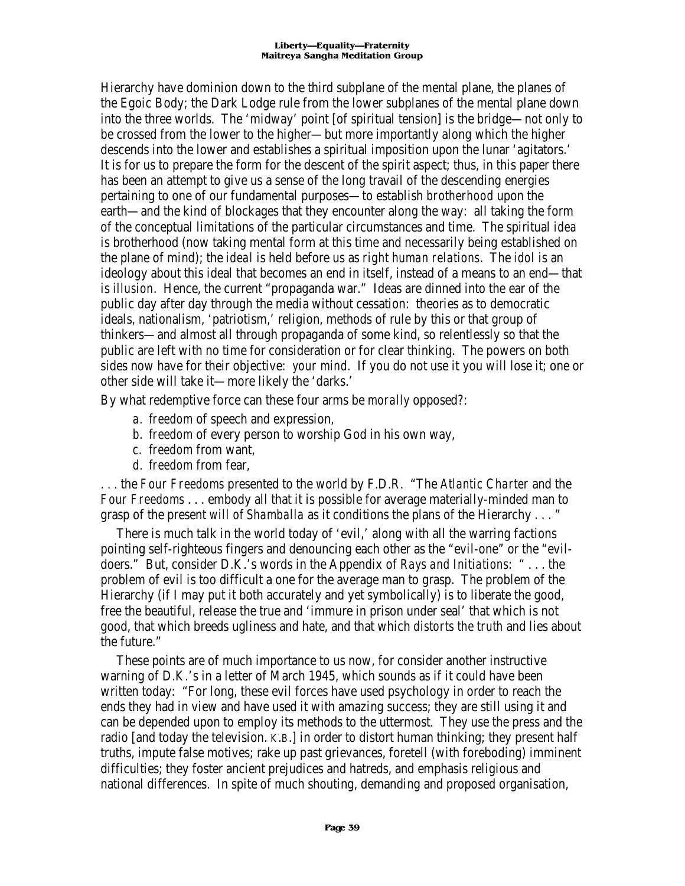Hierarchy have dominion down to the third subplane of the mental plane, the planes of the Egoic Body; the Dark Lodge rule from the lower subplanes of the mental plane down into the three worlds. The 'midway' point [of spiritual tension] is the bridge—not only to be crossed from the lower to the higher—but more importantly along which the higher descends into the lower and establishes a spiritual imposition upon the lunar 'agitators.' It is for us to prepare the form for the descent of the spirit aspect; thus, in this paper there has been an attempt to give us a sense of the long travail of the descending energies pertaining to one of our fundamental purposes—to establish *brotherhood* upon the earth—and the kind of blockages that they encounter along the way: all taking the form of the conceptual limitations of the particular circumstances and time. The spiritual *idea* is brotherhood (now taking mental form at this time and necessarily being established on the plane of mind); the *ideal* is held before us as *right human relations*. The *idol* is an ideology about this ideal that becomes an end in itself, instead of a means to an end—that is *illusion*. Hence, the current "propaganda war." Ideas are dinned into the ear of the public day after day through the media without cessation: theories as to democratic ideals, nationalism, 'patriotism,' religion, methods of rule by this or that group of thinkers—and almost all through propaganda of some kind, so relentlessly so that the public are left with no time for consideration or for clear thinking. The powers on both sides now have for their objective: *your mind*. If you do not use it you will lose it; one or other side will take it—more likely the 'darks.'

By what redemptive force can these four arms be *morally* opposed?:

- *a. freedom* of speech and expression,
- *b. freedom* of every person to worship God in his own way,
- *c. freedom* from want,
- *d. freedom* from fear,

. . . the *Four Freedoms* presented to the world by F.D.R. "The *Atlantic Charter* and the *Four Freedoms* . . . embody all that it is possible for average materially-minded man to grasp of the present *will of Shamballa* as it conditions the plans of the Hierarchy . . . "

There is much talk in the world today of 'evil,' along with all the warring factions pointing self-righteous fingers and denouncing each other as the "evil-one" or the "evildoers." But, consider D.K.'s words in the Appendix of *Rays and Initiations*: " . . . the problem of evil is too difficult a one for the average man to grasp. The problem of the Hierarchy (if I may put it both accurately and yet symbolically) is to liberate the good, free the beautiful, release the true and 'immure in prison under seal' that which is not good, that which breeds ugliness and hate, and that which *distorts the truth* and lies about the future."

These points are of much importance to us now, for consider another instructive warning of D.K.'s in a letter of March 1945, which sounds as if it could have been written today: "For long, these evil forces have used psychology in order to reach the ends they had in view and have used it with amazing success; they are still using it and can be depended upon to employ its methods to the uttermost. They use the press and the radio [and today the television. K.B.] in order to distort human thinking; they present half truths, impute false motives; rake up past grievances, foretell (with foreboding) imminent difficulties; they foster ancient prejudices and hatreds, and emphasis religious and national differences. In spite of much shouting, demanding and proposed organisation,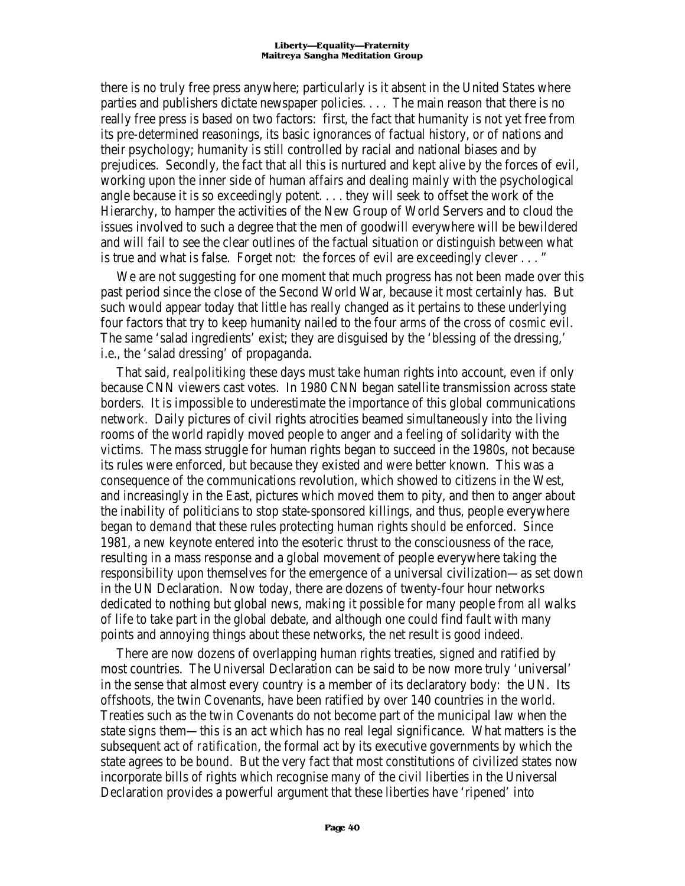there is no truly free press anywhere; particularly is it absent in the United States where parties and publishers dictate newspaper policies. . . . The main reason that there is no really free press is based on two factors: first, the fact that humanity is not yet free from its pre-determined reasonings, its basic ignorances of factual history, or of nations and their psychology; humanity is still controlled by racial and national biases and by prejudices. Secondly, the fact that all this is nurtured and kept alive by the forces of evil, working upon the inner side of human affairs and dealing mainly with the psychological angle because it is so exceedingly potent. . . . they will seek to offset the work of the Hierarchy, to hamper the activities of the New Group of World Servers and to cloud the issues involved to such a degree that the men of goodwill everywhere will be bewildered and will fail to see the clear outlines of the factual situation or distinguish between what is true and what is false. Forget not: the forces of evil are exceedingly clever . . . "

We are not suggesting for one moment that much progress has not been made over this past period since the close of the Second World War, because it most certainly has. But such would appear today that little has really changed as it pertains to these underlying four factors that try to keep humanity nailed to the four arms of the cross of *cosmic* evil. The same 'salad ingredients' exist; they are disguised by the 'blessing of the dressing,' i.e., the 'salad dressing' of propaganda.

That said, *realpolitiking* these days must take human rights into account, even if only because CNN viewers cast votes. In 1980 CNN began satellite transmission across state borders. It is impossible to underestimate the importance of this global communications network. Daily pictures of civil rights atrocities beamed simultaneously into the living rooms of the world rapidly moved people to anger and a feeling of solidarity with the victims. The mass struggle for human rights began to succeed in the 1980s, not because its rules were enforced, but because they existed and were better known. This was a consequence of the communications revolution, which showed to citizens in the West, and increasingly in the East, pictures which moved them to pity, and then to anger about the inability of politicians to stop state-sponsored killings, and thus, people everywhere began to *demand* that these rules protecting human rights *should* be enforced. Since 1981, a new keynote entered into the esoteric thrust to the consciousness of the race, resulting in a mass response and a global movement of people everywhere taking the responsibility upon themselves for the emergence of a universal civilization—as set down in the UN Declaration. Now today, there are dozens of twenty-four hour networks dedicated to nothing but global news, making it possible for many people from all walks of life to take part in the global debate, and although one could find fault with many points and annoying things about these networks, the net result is good indeed.

There are now dozens of overlapping human rights treaties, signed and ratified by most countries. The Universal Declaration can be said to be now more truly 'universal' in the sense that almost every country is a member of its declaratory body: the UN. Its offshoots, the twin Covenants, have been ratified by over 140 countries in the world. Treaties such as the twin Covenants do not become part of the municipal law when the state *signs* them—this is an act which has no real legal significance. What matters is the subsequent act of *ratification*, the formal act by its executive governments by which the state agrees to be *bound*. But the very fact that most constitutions of civilized states now incorporate bills of rights which recognise many of the civil liberties in the Universal Declaration provides a powerful argument that these liberties have 'ripened' into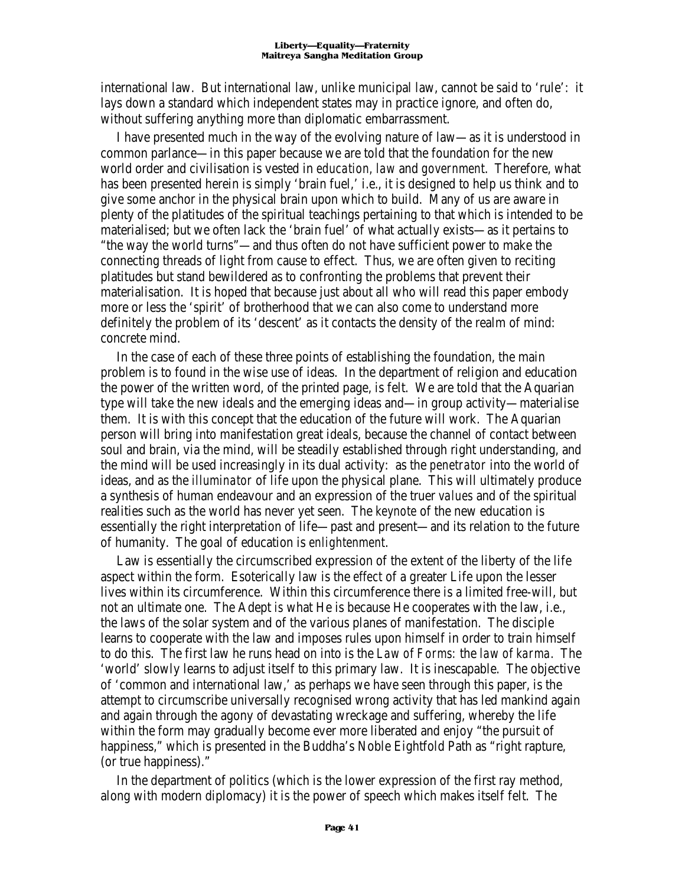international law. But international law, unlike municipal law, cannot be said to 'rule': it lays down a standard which independent states may in practice ignore, and often do, without suffering anything more than diplomatic embarrassment.

I have presented much in the way of the evolving nature of law—as it is understood in common parlance—in this paper because we are told that the foundation for the new world order and civilisation is vested in *education, law* and *government*. Therefore, what has been presented herein is simply 'brain fuel,' i.e., it is designed to help us think and to give some anchor in the physical brain upon which to build. Many of us are aware in plenty of the platitudes of the spiritual teachings pertaining to that which is intended to be materialised; but we often lack the 'brain fuel' of what actually exists—as it pertains to "the way the world turns"—and thus often do not have sufficient power to make the connecting threads of light from cause to effect. Thus, we are often given to reciting platitudes but stand bewildered as to confronting the problems that prevent their materialisation. It is hoped that because just about all who will read this paper embody more or less the 'spirit' of brotherhood that we can also come to understand more definitely the problem of its 'descent' as it contacts the density of the realm of mind: concrete mind.

In the case of each of these three points of establishing the foundation, the main problem is to found in the wise use of ideas. In the department of religion and education the power of the written word, of the printed page, is felt. We are told that the Aquarian type will take the new ideals and the emerging ideas and—in group activity—materialise them. It is with this concept that the education of the future will work. The Aquarian person will bring into manifestation great ideals, because the channel of contact between soul and brain, via the mind, will be steadily established through right understanding, and the mind will be used increasingly in its dual activity: as the *penetrator* into the world of ideas, and as the *illuminator* of life upon the physical plane. This will ultimately produce a synthesis of human endeavour and an expression of the truer *values* and of the spiritual realities such as the world has never yet seen. The *keynote* of the new education is essentially the right interpretation of life—past and present—and its relation to the future of humanity. The goal of education is *enlightenment*.

Law is essentially the circumscribed expression of the extent of the liberty of the life aspect within the form. Esoterically law is the *effect* of a greater Life upon the lesser lives within its circumference. Within this circumference there is a limited free-will, but not an ultimate one. The Adept *is* what He is because He cooperates with the law, i.e., the laws of the solar system and of the various planes of manifestation. The disciple learns to cooperate with the law and imposes rules upon himself in order to train himself to do this. The first law he runs head on into is the *Law of Forms:* the *law of karma.* The 'world' slowly learns to adjust itself to this primary law. It is inescapable. The objective of 'common and international law,' as perhaps we have seen through this paper, is the attempt to circumscribe universally recognised wrong activity that has led mankind again and again through the agony of devastating wreckage and suffering, whereby the life within the form may gradually become ever more liberated and enjoy "the pursuit of happiness," which is presented in the Buddha's Noble Eightfold Path as "right rapture, (or true happiness)."

In the department of politics (which is the lower expression of the first ray method, along with modern diplomacy) it is the power of speech which makes itself felt. The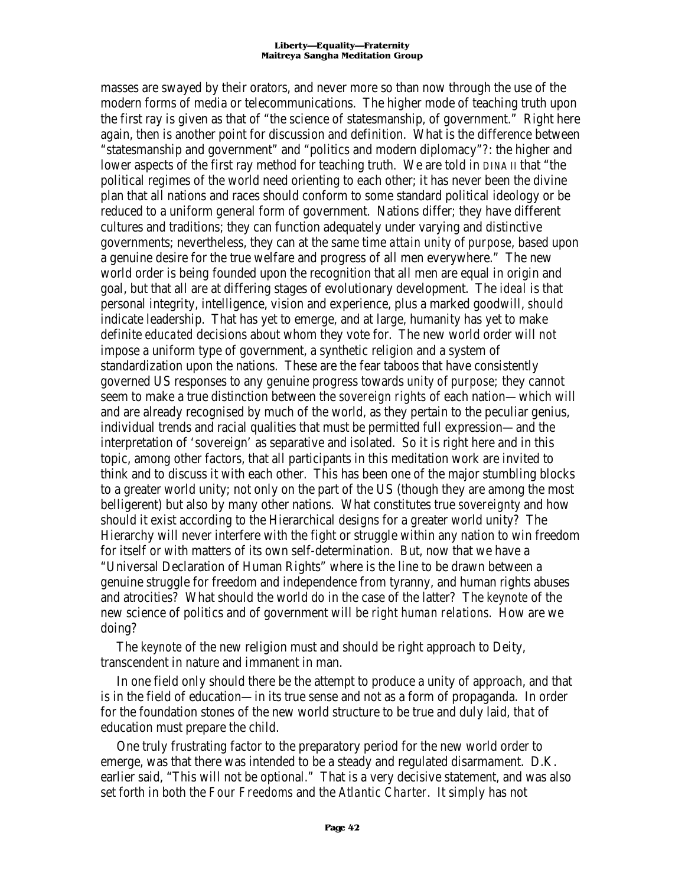masses are swayed by their orators, and never more so than now through the use of the modern forms of media or telecommunications. The higher mode of teaching truth upon the first ray is given as that of "the science of statesmanship, of government." Right here again, then is another point for discussion and definition. What is the difference between "statesmanship and government" and "politics and modern diplomacy"?: the higher and lower aspects of the first ray method for teaching truth. We are told in *DINA II* that "the political regimes of the world need orienting to each other; it has never been the divine plan that all nations and races should conform to some standard political ideology or be reduced to a uniform general form of government. Nations differ; they have different cultures and traditions; they can function adequately under varying and distinctive governments; nevertheless, they can at the same time *attain unity of purpose*, based upon a genuine desire for the true welfare and progress of all men everywhere." The new world order is being founded upon the recognition that all men are equal in origin and goal, but that all are at differing stages of evolutionary development. The *ideal* is that personal integrity, intelligence, vision and experience, plus a marked goodwill, *should* indicate leadership. That has yet to emerge, and at large, humanity has yet to make definite *educated* decisions about whom they vote for. The new world order will *not* impose a uniform type of government, a synthetic religion and a system of standardization upon the nations. These are the fear taboos that have consistently governed US responses to any genuine progress towards *unity of purpose;* they cannot seem to make a true distinction between the *sovereign rights* of each nation—which will and are already recognised by much of the world, as they pertain to the peculiar genius, individual trends and racial qualities that must be permitted full expression—and the interpretation of 'sovereign' as separative and isolated. So it is right here and in this topic, among other factors, that all participants in this meditation work are invited to think and to discuss it with each other. This has been one of the major stumbling blocks to a greater world unity; not only on the part of the US (though they are among the most belligerent) but also by many other nations. What constitutes true *sovereignty* and how should it exist according to the Hierarchical designs for a greater world unity? The Hierarchy will never interfere with the fight or struggle within any nation to win freedom for itself or with matters of its own self-determination. But, now that we have a "Universal Declaration of Human Rights" where is the line to be drawn between a genuine struggle for freedom and independence from tyranny, and human rights abuses and atrocities? What should the world do in the case of the latter? The *keynote* of the new science of politics and of government will be *right human relations.* How are we doing?

The *keynote* of the new religion must and should be right approach to Deity, transcendent in nature and immanent in man.

In one field only should there be the attempt to produce a unity of approach, and that is in the field of education—in its true sense and not as a form of propaganda. In order for the foundation stones of the new world structure to be true and duly laid, *that* of education must prepare the child.

One truly frustrating factor to the preparatory period for the new world order to emerge, was that there was intended to be a steady and regulated disarmament. D.K. earlier said, "This will not be optional." That is a very decisive statement, and was also set forth in both the *Four Freedoms* and the *Atlantic Charter*. It simply has not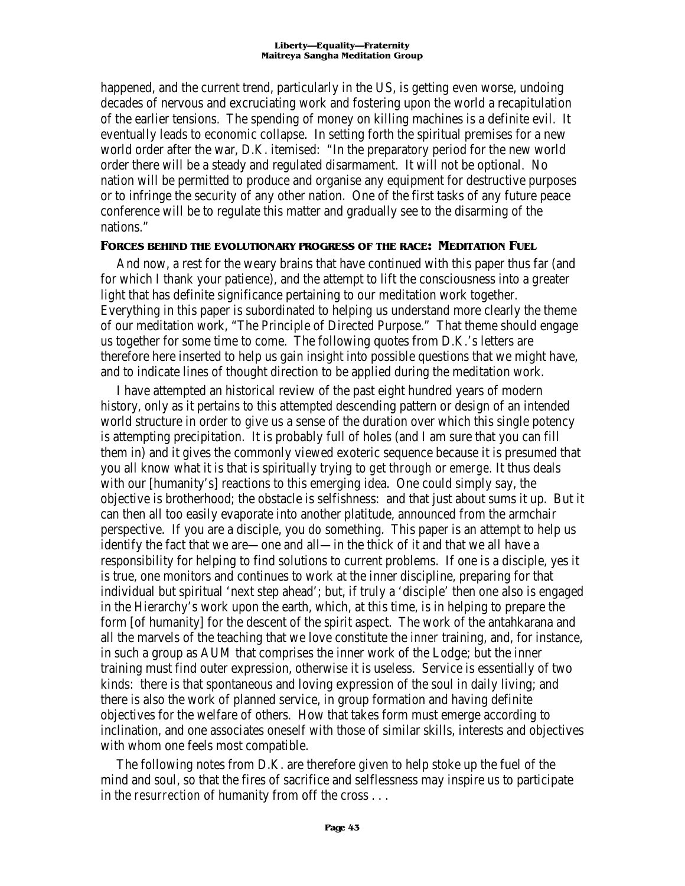happened, and the current trend, particularly in the US, is getting even worse, undoing decades of nervous and excruciating work and fostering upon the world a recapitulation of the earlier tensions. The spending of money on killing machines is a definite evil. It eventually leads to economic collapse. In setting forth the spiritual premises for a new world order after the war, D.K. itemised: "In the preparatory period for the new world order there will be a steady and regulated disarmament. It will not be optional. No nation will be permitted to produce and organise any equipment for destructive purposes or to infringe the security of any other nation. One of the first tasks of any future peace conference will be to regulate this matter and gradually see to the disarming of the nations."

## FORCES BEHIND THE EVOLUTIONARY PROGRESS OF THE RACE: MEDITATION FUEL

And now, a rest for the weary brains that have continued with this paper thus far (and for which I thank your patience), and the attempt to lift the consciousness into a greater light that has definite significance pertaining to our meditation work together. Everything in this paper is subordinated to helping us understand more clearly the theme of our meditation work, "The Principle of Directed Purpose." That theme should engage us together for some time to come. The following quotes from D.K.'s letters are therefore here inserted to help us gain insight into possible questions that we might have, and to indicate lines of thought direction to be applied during the meditation work.

I have attempted an historical review of the past eight hundred years of modern history, only as it pertains to this attempted descending pattern or design of an intended world structure in order to give us a sense of the duration over which this single potency is attempting precipitation. It is probably full of holes (and I am sure that you can fill them in) and it gives the commonly viewed exoteric sequence because it is presumed that you all know what it is that is spiritually trying to *get through* or *emerge.* It thus deals with our [humanity's] reactions to this emerging idea. One could simply say, the objective is brotherhood; the obstacle is selfishness: and that just about sums it up. But it can then all too easily evaporate into another platitude, announced from the armchair perspective. If you are a disciple, you *do* something. This paper is an attempt to help us identify the fact that we are—one and all—in the thick of it and that we all have a responsibility for helping to find solutions to current problems. If one is a disciple, yes it is true, one monitors and continues to work at the inner discipline, preparing for that individual but spiritual 'next step ahead'; but, if truly a 'disciple' then one also is engaged in the Hierarchy's work upon the earth, which, at this time, is in helping to prepare the form [of humanity] for the descent of the spirit aspect. The work of the antahkarana and all the marvels of the teaching that we love constitute the *inner* training, and, for instance, in such a group as AUM that comprises the inner work of the Lodge; but the inner training must find outer expression, otherwise it is useless. Service is essentially of two kinds: there is that spontaneous and loving expression of the soul in daily living; and there is also the work of planned service, in group formation and having definite objectives for the welfare of others. How that takes form must emerge according to inclination, and one associates oneself with those of similar skills, interests and objectives with whom one feels most compatible.

The following notes from D.K. are therefore given to help stoke up the fuel of the mind and soul, so that the fires of sacrifice and selflessness may inspire us to participate in the *resurrection* of humanity from off the cross . . .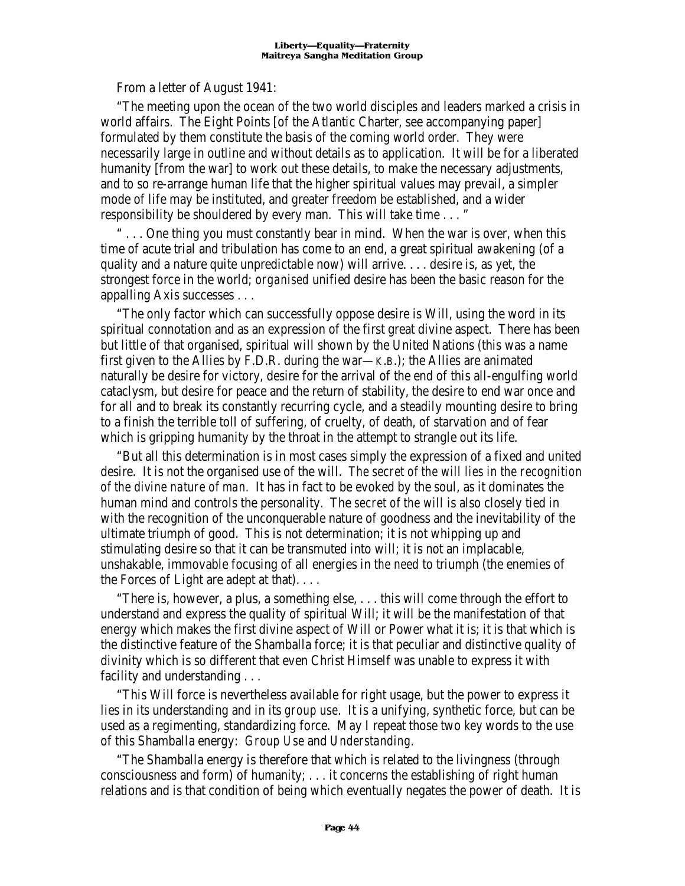From a letter of August 1941:

"The meeting upon the ocean of the two world disciples and leaders marked a crisis in world affairs. The Eight Points [of the Atlantic Charter, see accompanying paper] formulated by them constitute the basis of the coming world order. They were necessarily large in outline and without details as to application. It will be for a liberated humanity [from the war] to work out these details, to make the necessary adjustments, and to so re-arrange human life that the higher spiritual values may prevail, a simpler mode of life may be instituted, and greater freedom be established, and a wider responsibility be shouldered by every man. This will take time . . . "

" . . . One thing you must constantly bear in mind. When the war is over, when this time of acute trial and tribulation has come to an end, a great spiritual awakening (of a quality and a nature quite unpredictable now) will arrive. . . . desire is, as yet, the strongest force in the world; *organised* unified desire has been the basic reason for the appalling Axis successes . . .

"The only factor which can successfully oppose desire is Will, using the word in its spiritual connotation and as an expression of the first great divine aspect. There has been but little of that organised, spiritual will shown by the United Nations (this was a name first given to the Allies by F.D.R. during the war—K.B.); the Allies are animated naturally be desire for victory, desire for the arrival of the end of this all-engulfing world cataclysm, but desire for peace and the return of stability, the desire to end war once and for all and to break its constantly recurring cycle, and a steadily mounting desire to bring to a finish the terrible toll of suffering, of cruelty, of death, of starvation and of fear which is gripping humanity by the throat in the attempt to strangle out its life.

"But all this determination is in most cases simply the expression of a fixed and united desire. It is not the organised use of the will. *The secret of the will lies in the recognition of the divine nature of man.* It has in fact to be evoked by the soul, as it dominates the human mind and controls the personality. The *secret of the will* is also closely tied in with the recognition of the unconquerable nature of goodness and the inevitability of the ultimate triumph of good. This is not determination; it is not whipping up and stimulating desire so that it can be transmuted into will; it is not an implacable, unshakable, immovable focusing of all energies in *the need* to triumph (the enemies of the Forces of Light are adept at that). . . .

"There is, however, a plus, a something else, . . . this will come through the effort to understand and express the quality of spiritual Will; it will be the manifestation of that energy which makes the first divine aspect of Will or Power what it is; it is that which is the distinctive feature of the Shamballa force; it is that peculiar and distinctive quality of divinity which is so different that even Christ Himself was unable to express it with facility and understanding . . .

"This Will force is nevertheless available for right usage, but the power to express it lies in its understanding and in its *group use*. It is a unifying, synthetic force, but can be used as a regimenting, standardizing force. May I repeat those two *key* words to the use of this Shamballa energy: *Group Use* and *Understanding.*

"The Shamballa energy is therefore that which is related to the livingness (through consciousness and form) of humanity; . . . it concerns the establishing of right human relations and is that condition of being which eventually negates the power of death. It is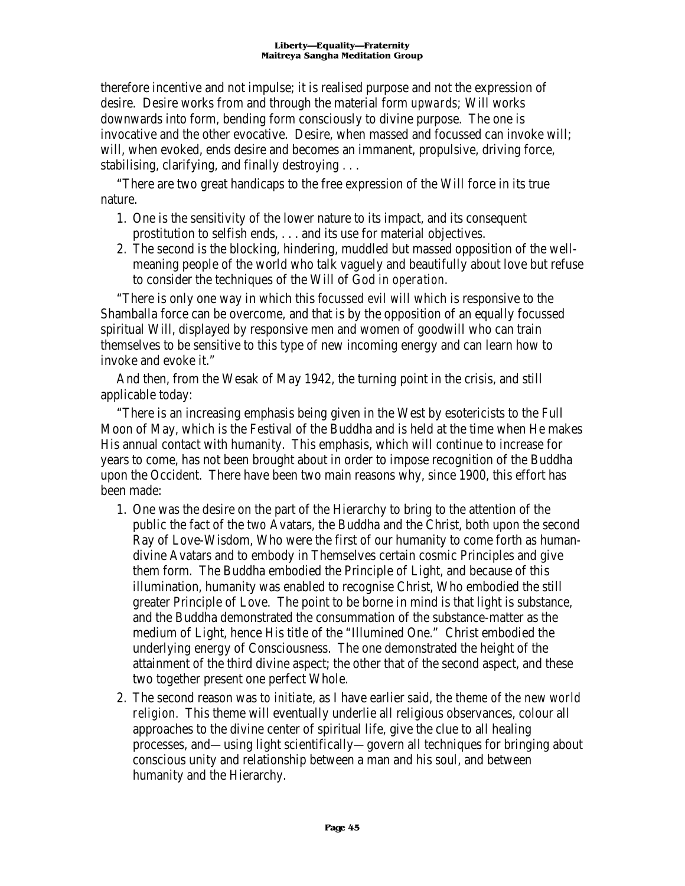therefore incentive and not impulse; it is realised purpose and not the expression of desire. Desire works from and through the material form *upwards;* Will works downwards into form, bending form consciously to divine purpose. The one is invocative and the other evocative. Desire, when massed and focussed can invoke will; will, when evoked, ends desire and becomes an immanent, propulsive, driving force, stabilising, clarifying, and finally destroying . . .

"There are two great handicaps to the free expression of the Will force in its true nature.

- 1. One is the sensitivity of the lower nature to its impact, and its consequent prostitution to selfish ends, . . . and its use for material objectives.
- 2. The second is the blocking, hindering, muddled but massed opposition of the wellmeaning people of the world who talk vaguely and beautifully about love but refuse to consider the techniques of the Will of God *in operation*.

"There is only one way in which this *focussed evil will* which is responsive to the Shamballa force can be overcome, and that is by the opposition of an equally focussed spiritual Will, displayed by responsive men and women of goodwill who can train themselves to be sensitive to this type of new incoming energy and can learn how to invoke and evoke it."

And then, from the Wesak of May 1942, the turning point in the crisis, and still applicable today:

"There is an increasing emphasis being given in the West by esotericists to the Full Moon of May, which is the Festival of the Buddha and is held at the time when He makes His annual contact with humanity. This emphasis, which will continue to increase for years to come, has not been brought about in order to impose recognition of the Buddha upon the Occident. There have been two main reasons why, since 1900, this effort has been made:

- 1. One was the desire on the part of the Hierarchy to bring to the attention of the public the fact of the *two* Avatars, the Buddha and the Christ, both upon the second Ray of Love-Wisdom, Who were the first of our humanity to come forth as humandivine Avatars and to embody in Themselves certain cosmic Principles and give them form. The Buddha embodied the Principle of Light, and because of this illumination, humanity was enabled to recognise Christ, Who embodied the still greater Principle of Love. The point to be borne in mind is that light is substance, and the Buddha demonstrated the consummation of the substance-matter as the medium of Light, hence His title of the "Illumined One." Christ embodied the underlying energy of Consciousness. The one demonstrated the height of the attainment of the third divine aspect; the other that of the second aspect, and these two together present one perfect Whole.
- 2. The second reason was *to initiate*, as I have earlier said, *the theme of the new world religion.* This theme will eventually underlie all religious observances, colour all approaches to the divine center of spiritual life, give the clue to all healing processes, and—using light scientifically—govern all techniques for bringing about conscious unity and relationship between a man and his soul, and between humanity and the Hierarchy.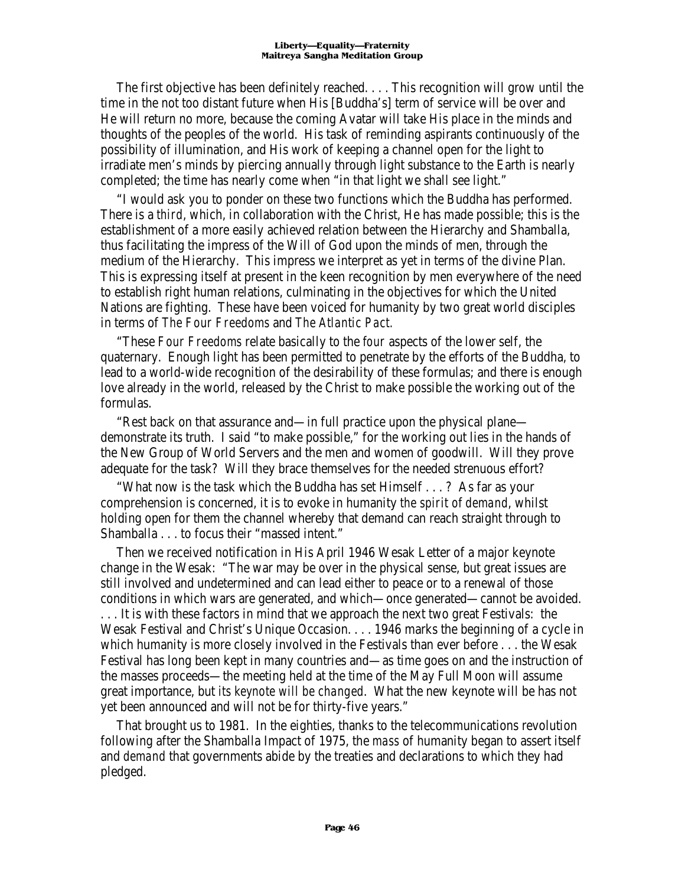The first objective has been definitely reached. . . . This recognition will grow until the time in the not too distant future when His [Buddha's] term of service will be over and He will return no more, because the coming Avatar will take His place in the minds and thoughts of the peoples of the world. His task of reminding aspirants continuously of the possibility of illumination, and His work of keeping a channel open for the light to irradiate men's minds by piercing annually through light substance to the Earth is nearly completed; the time has nearly come when "in that light we shall see light."

"I would ask you to ponder on these two functions which the Buddha has performed. There is a *third*, which, in collaboration with the Christ, He has made possible; this is the establishment of a more easily achieved relation between the Hierarchy and Shamballa, thus facilitating the impress of the Will of God upon the minds of men, through the medium of the Hierarchy. This impress we interpret as yet in terms of the divine Plan. This is expressing itself at present in the keen recognition by men everywhere of the need to establish right human relations, culminating in the objectives for which the United Nations are fighting. These have been voiced for humanity by two great world disciples in terms of *The Four Freedoms* and *The Atlantic Pact.*

"These *Four Freedoms* relate basically to the *four* aspects of the lower self, the quaternary. Enough light has been permitted to penetrate by the efforts of the Buddha, to lead to a world-wide recognition of the desirability of these formulas; and there is enough love already in the world, released by the Christ to make possible the working out of the formulas.

"Rest back on that assurance and—in full practice upon the physical plane demonstrate its truth. I said "to make possible," for the working out lies in the hands of the New Group of World Servers and the men and women of goodwill. Will they prove adequate for the task? Will they brace themselves for the needed strenuous effort?

"What now is the task which the Buddha has set Himself . . . ? As far as your comprehension is concerned, it is to evoke in humanity *the spirit of demand*, whilst holding open for them the channel whereby that demand can reach straight through to Shamballa . . . to focus their "massed intent."

Then we received notification in His April 1946 Wesak Letter of a major keynote change in the Wesak: "The war may be over in the physical sense, but great issues are still involved and undetermined and can lead either to peace or to a renewal of those conditions in which wars are generated, and which—once generated—cannot be avoided. . . . It is with these factors in mind that we approach the next two great Festivals: the Wesak Festival and Christ's Unique Occasion. . . . 1946 marks the beginning of a cycle in which humanity is more closely involved in the Festivals than ever before . . . the Wesak Festival has long been kept in many countries and—as time goes on and the instruction of the masses proceeds—the meeting held at the time of the May Full Moon will assume great importance, but *its keynote will be changed*. What the new keynote will be has not yet been announced and will not be for thirty-five years."

That brought us to 1981. In the eighties, thanks to the telecommunications revolution following after the Shamballa Impact of 1975, the *mass* of humanity began to assert itself and *demand* that governments abide by the treaties and declarations to which they had pledged.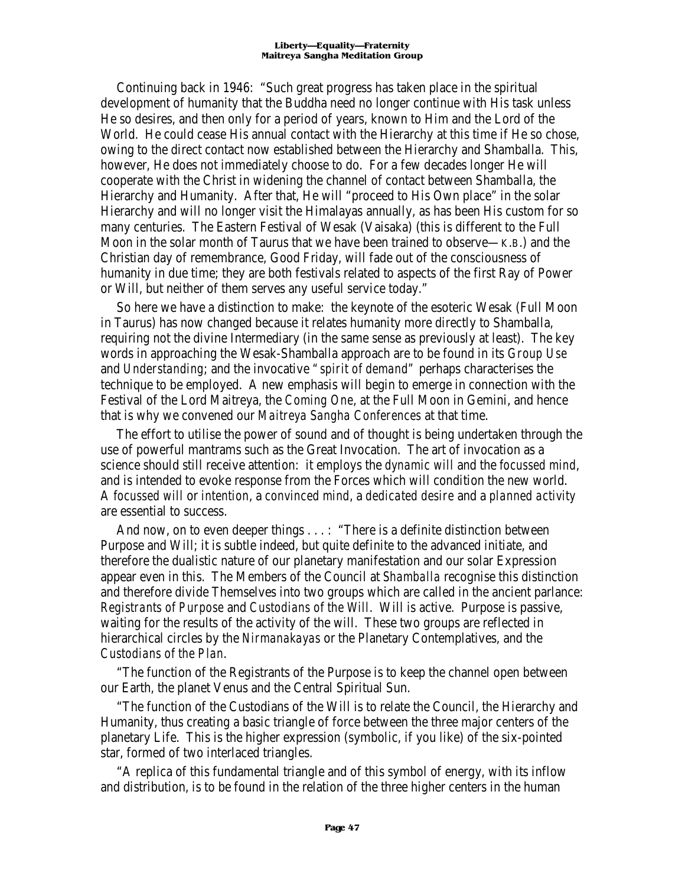Continuing back in 1946: "Such great progress has taken place in the spiritual development of humanity that the Buddha need no longer continue with His task unless He so desires, and then only for a period of years, known to Him and the Lord of the World. He could cease His annual contact with the Hierarchy at this time if He so chose, owing to the direct contact now established between the Hierarchy and Shamballa. This, however, He does not immediately choose to do. For a few decades longer He will cooperate with the Christ in widening the channel of contact between Shamballa, the Hierarchy and Humanity. After that, He will "proceed to His Own place" in the solar Hierarchy and will no longer visit the Himalayas annually, as has been His custom for so many centuries. The Eastern Festival of Wesak (Vaisaka) (this is different to the Full Moon in the solar month of Taurus that we have been trained to observe—K.B.) and the Christian day of remembrance, Good Friday, will fade out of the consciousness of humanity in due time; they are both festivals related to aspects of the first Ray of Power or Will, but neither of them serves any useful service today."

So here we have a distinction to make: the keynote of the esoteric Wesak (Full Moon in Taurus) has now changed because it relates humanity more directly to Shamballa, requiring not the divine Intermediary (in the same sense as previously at least). The key words in approaching the Wesak-Shamballa approach are to be found in its *Group Use* and *Understanding*; and the invocative *"spirit of demand"* perhaps characterises the technique to be employed. A new emphasis will begin to emerge in connection with the Festival of the Lord Maitreya, the *Coming One*, at the Full Moon in Gemini, and hence that is why we convened our *Maitreya Sangha Conferences* at that time.

The effort to utilise the power of sound and of thought is being undertaken through the use of powerful mantrams such as the Great Invocation. The art of invocation as a science should still receive attention: it employs the *dynamic will* and the *focussed mind*, and is intended to evoke response from the Forces which will condition the new world. A *focussed will* or *intention*, a *convinced mind*, a *dedicated desire* and a *planned activity* are essential to success.

And now, on to even deeper things . . . : "There is a definite distinction between Purpose and Will; it is subtle indeed, but quite definite to the advanced initiate, and therefore the dualistic nature of our planetary manifestation and our solar Expression appear even in this. The Members of the Council at *Shamballa* recognise this distinction and therefore divide Themselves into two groups which are called in the ancient parlance: *Registrants of Purpose* and *Custodians of the Will*. Will is active. Purpose is passive, waiting for the results of the activity of the will. These two groups are reflected in hierarchical circles by the *Nirmanakayas* or the Planetary Contemplatives, and the *Custodians of the Plan*.

"The function of the Registrants of the Purpose is to keep the channel open between our Earth, the planet Venus and the Central Spiritual Sun.

"The function of the Custodians of the Will is to relate the Council, the Hierarchy and Humanity, thus creating a basic triangle of force between the three major centers of the planetary Life. This is the higher expression (symbolic, if you like) of the six-pointed star, formed of two interlaced triangles.

"A replica of this fundamental triangle and of this symbol of energy, with its inflow and distribution, is to be found in the relation of the three higher centers in the human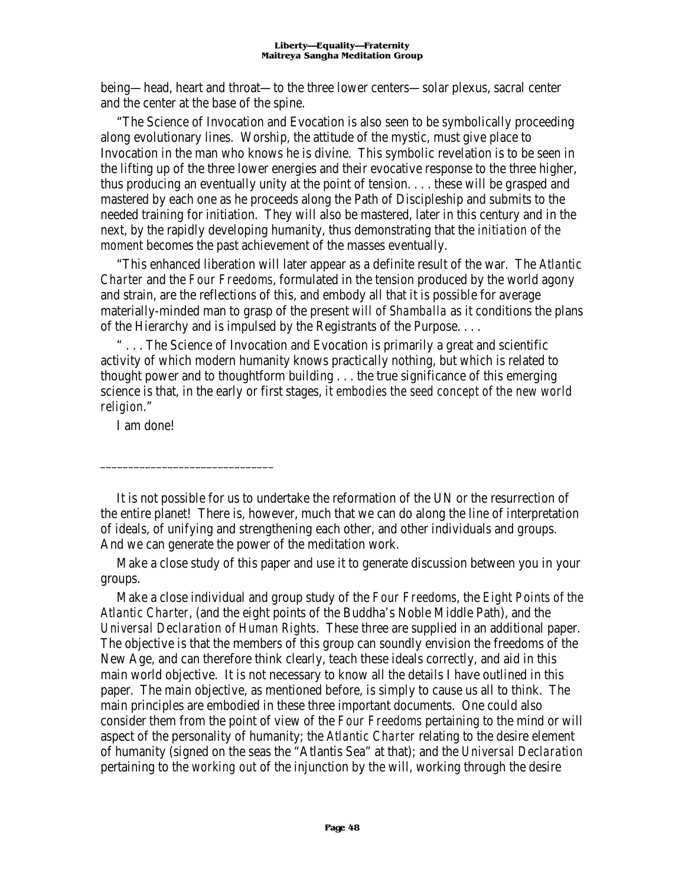being—head, heart and throat—to the three lower centers—solar plexus, sacral center and the center at the base of the spine.

"The Science of Invocation and Evocation is also seen to be symbolically proceeding along evolutionary lines. Worship, the attitude of the mystic, must give place to Invocation in the man who knows he is divine. This symbolic revelation is to be seen in the lifting up of the three lower energies and their evocative response to the three higher, thus producing an eventually unity at the point of tension. . . . these will be grasped and mastered by each one as he proceeds along the Path of Discipleship and submits to the needed training for initiation. They will also be mastered, later in this century and in the next, by the rapidly developing humanity, thus demonstrating that the *initiation of the moment* becomes the past achievement of the masses eventually.

"This enhanced liberation will later appear as a definite result of the war. The *Atlantic Charter* and the *Four Freedoms*, formulated in the tension produced by the world agony and strain, are the reflections of this, and embody all that it is possible for average materially-minded man to grasp of the present *will of Shamballa* as it conditions the plans of the Hierarchy and is impulsed by the Registrants of the Purpose. . . .

" . . . The Science of Invocation and Evocation is primarily a great and scientific activity of which modern humanity knows practically nothing, but which is related to thought power and to thoughtform building . . . the true significance of this emerging science is that, in the early or first stages, *it embodies the seed concept of the new world religion*."

I am done!

\_\_\_\_\_\_\_\_\_\_\_\_\_\_\_\_\_\_\_\_\_\_\_\_\_\_\_\_\_\_\_

It is not possible for us to undertake the reformation of the UN or the resurrection of the entire planet! There is, however, much that we can do along the line of interpretation of ideals, of unifying and strengthening each other, and other individuals and groups. And we can generate the power of the meditation work.

Make a close study of this paper and use it to generate discussion between you in your groups.

Make a close individual and group study of the *Four Freedoms*, the *Eight Points of the Atlantic Charter*, (and the eight points of the Buddha's Noble Middle Path), and the *Universal Declaration of Human Rights*. These three are supplied in an additional paper. The objective is that the members of this group can soundly envision the freedoms of the New Age, and can therefore think clearly, teach these ideals correctly, and aid in this main world objective. It is not necessary to know all the details I have outlined in this paper. The main objective, as mentioned before, is simply to cause us all to think. The main principles are embodied in these three important documents. One could also consider them from the point of view of the *Four Freedoms* pertaining to the mind or will aspect of the personality of humanity; the *Atlantic Charter* relating to the desire element of humanity (signed on the seas the "Atlantis Sea" at that); and the *Universal Declaration* pertaining to the *working out* of the injunction by the will, working through the desire